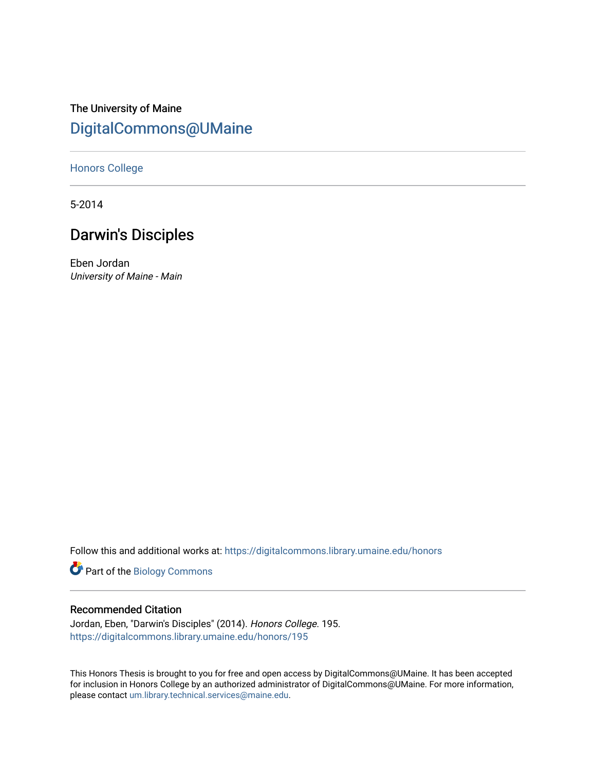# The University of Maine [DigitalCommons@UMaine](https://digitalcommons.library.umaine.edu/)

### [Honors College](https://digitalcommons.library.umaine.edu/honors)

5-2014

# Darwin's Disciples

Eben Jordan University of Maine - Main

Follow this and additional works at: [https://digitalcommons.library.umaine.edu/honors](https://digitalcommons.library.umaine.edu/honors?utm_source=digitalcommons.library.umaine.edu%2Fhonors%2F195&utm_medium=PDF&utm_campaign=PDFCoverPages) 

Part of the [Biology Commons](http://network.bepress.com/hgg/discipline/41?utm_source=digitalcommons.library.umaine.edu%2Fhonors%2F195&utm_medium=PDF&utm_campaign=PDFCoverPages) 

### Recommended Citation

Jordan, Eben, "Darwin's Disciples" (2014). Honors College. 195. [https://digitalcommons.library.umaine.edu/honors/195](https://digitalcommons.library.umaine.edu/honors/195?utm_source=digitalcommons.library.umaine.edu%2Fhonors%2F195&utm_medium=PDF&utm_campaign=PDFCoverPages) 

This Honors Thesis is brought to you for free and open access by DigitalCommons@UMaine. It has been accepted for inclusion in Honors College by an authorized administrator of DigitalCommons@UMaine. For more information, please contact [um.library.technical.services@maine.edu.](mailto:um.library.technical.services@maine.edu)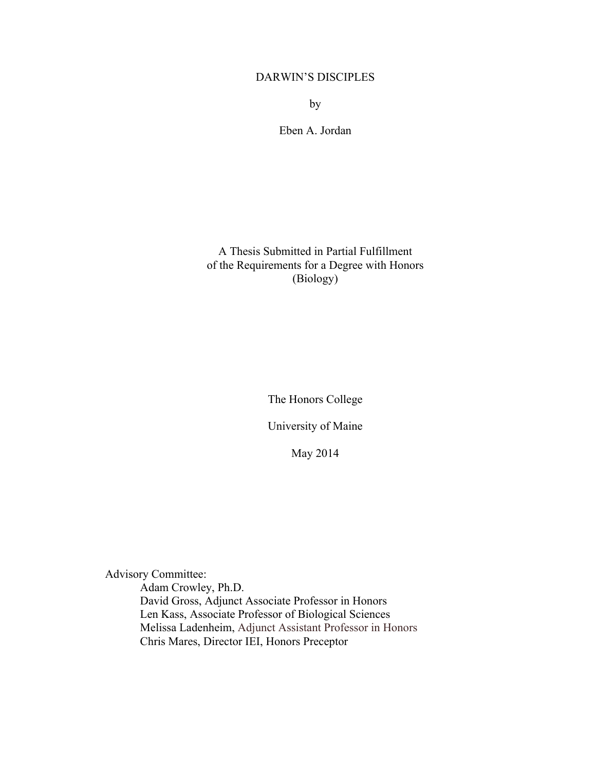## DARWIN'S DISCIPLES

by

Eben A. Jordan

A Thesis Submitted in Partial Fulfillment of the Requirements for a Degree with Honors (Biology)

The Honors College

University of Maine

May 2014

Advisory Committee:

Adam Crowley, Ph.D. David Gross, Adjunct Associate Professor in Honors Len Kass, Associate Professor of Biological Sciences Melissa Ladenheim, Adjunct Assistant Professor in Honors Chris Mares, Director IEI, Honors Preceptor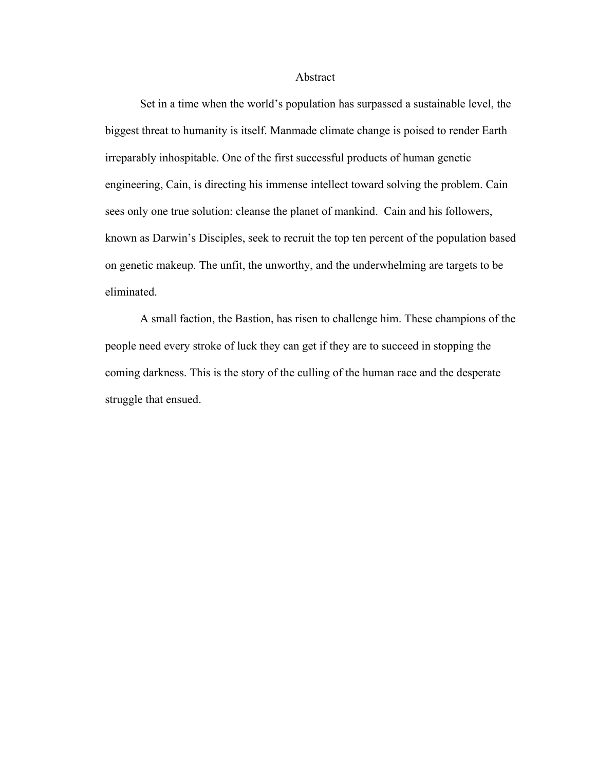#### Abstract

Set in a time when the world's population has surpassed a sustainable level, the biggest threat to humanity is itself. Manmade climate change is poised to render Earth irreparably inhospitable. One of the first successful products of human genetic engineering, Cain, is directing his immense intellect toward solving the problem. Cain sees only one true solution: cleanse the planet of mankind. Cain and his followers, known as Darwin's Disciples, seek to recruit the top ten percent of the population based on genetic makeup. The unfit, the unworthy, and the underwhelming are targets to be eliminated.

A small faction, the Bastion, has risen to challenge him. These champions of the people need every stroke of luck they can get if they are to succeed in stopping the coming darkness. This is the story of the culling of the human race and the desperate struggle that ensued.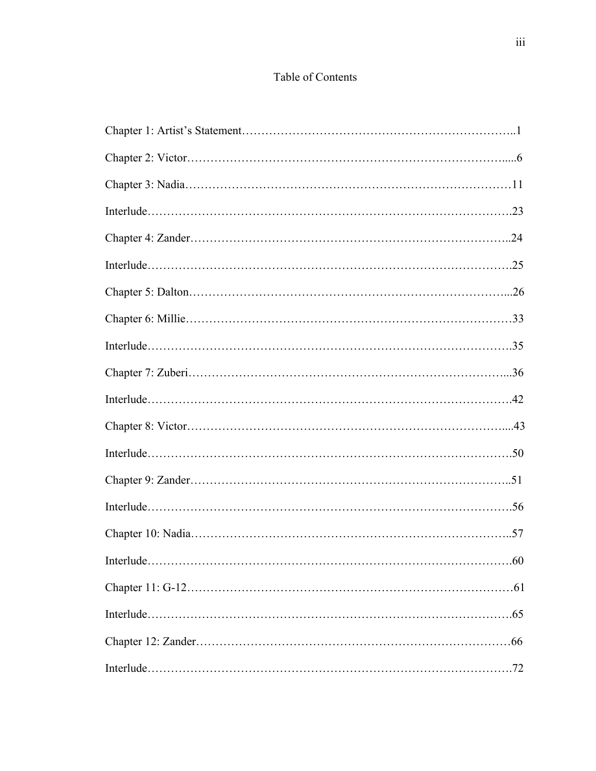# Table of Contents

| Interlude | .60 |
|-----------|-----|
|           |     |
|           |     |
|           |     |
|           |     |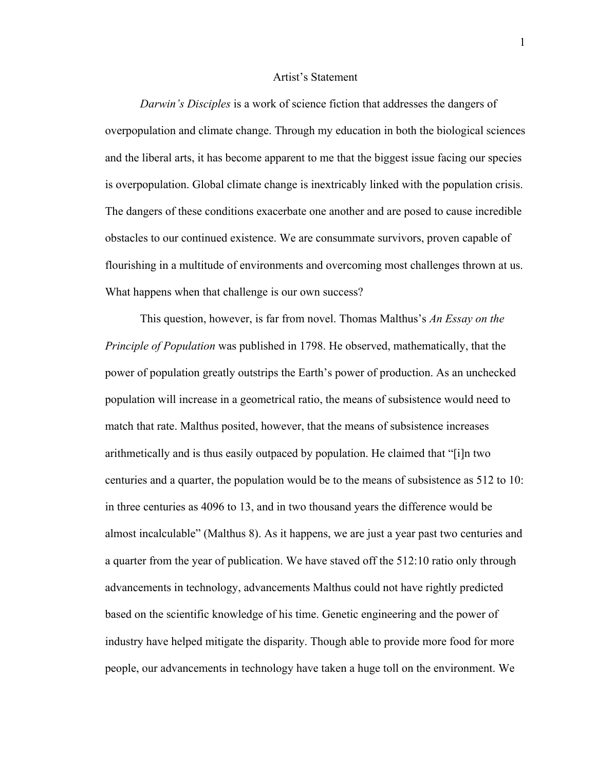### Artist's Statement

*Darwin's Disciples* is a work of science fiction that addresses the dangers of overpopulation and climate change. Through my education in both the biological sciences and the liberal arts, it has become apparent to me that the biggest issue facing our species is overpopulation. Global climate change is inextricably linked with the population crisis. The dangers of these conditions exacerbate one another and are posed to cause incredible obstacles to our continued existence. We are consummate survivors, proven capable of flourishing in a multitude of environments and overcoming most challenges thrown at us. What happens when that challenge is our own success?

This question, however, is far from novel. Thomas Malthus's *An Essay on the Principle of Population* was published in 1798. He observed, mathematically, that the power of population greatly outstrips the Earth's power of production. As an unchecked population will increase in a geometrical ratio, the means of subsistence would need to match that rate. Malthus posited, however, that the means of subsistence increases arithmetically and is thus easily outpaced by population. He claimed that "[i]n two centuries and a quarter, the population would be to the means of subsistence as 512 to 10: in three centuries as 4096 to 13, and in two thousand years the difference would be almost incalculable" (Malthus 8). As it happens, we are just a year past two centuries and a quarter from the year of publication. We have staved off the 512:10 ratio only through advancements in technology, advancements Malthus could not have rightly predicted based on the scientific knowledge of his time. Genetic engineering and the power of industry have helped mitigate the disparity. Though able to provide more food for more people, our advancements in technology have taken a huge toll on the environment. We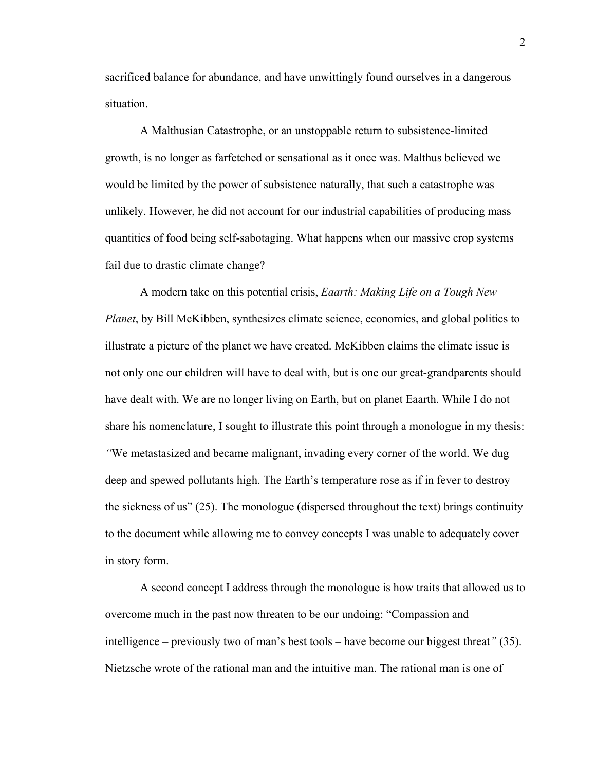sacrificed balance for abundance, and have unwittingly found ourselves in a dangerous situation.

A Malthusian Catastrophe, or an unstoppable return to subsistence-limited growth, is no longer as farfetched or sensational as it once was. Malthus believed we would be limited by the power of subsistence naturally, that such a catastrophe was unlikely. However, he did not account for our industrial capabilities of producing mass quantities of food being self-sabotaging. What happens when our massive crop systems fail due to drastic climate change?

A modern take on this potential crisis, *Eaarth: Making Life on a Tough New Planet*, by Bill McKibben, synthesizes climate science, economics, and global politics to illustrate a picture of the planet we have created. McKibben claims the climate issue is not only one our children will have to deal with, but is one our great-grandparents should have dealt with. We are no longer living on Earth, but on planet Eaarth. While I do not share his nomenclature, I sought to illustrate this point through a monologue in my thesis: *"*We metastasized and became malignant, invading every corner of the world. We dug deep and spewed pollutants high. The Earth's temperature rose as if in fever to destroy the sickness of us" (25). The monologue (dispersed throughout the text) brings continuity to the document while allowing me to convey concepts I was unable to adequately cover in story form.

A second concept I address through the monologue is how traits that allowed us to overcome much in the past now threaten to be our undoing: "Compassion and intelligence – previously two of man's best tools – have become our biggest threat*"* (35). Nietzsche wrote of the rational man and the intuitive man. The rational man is one of

2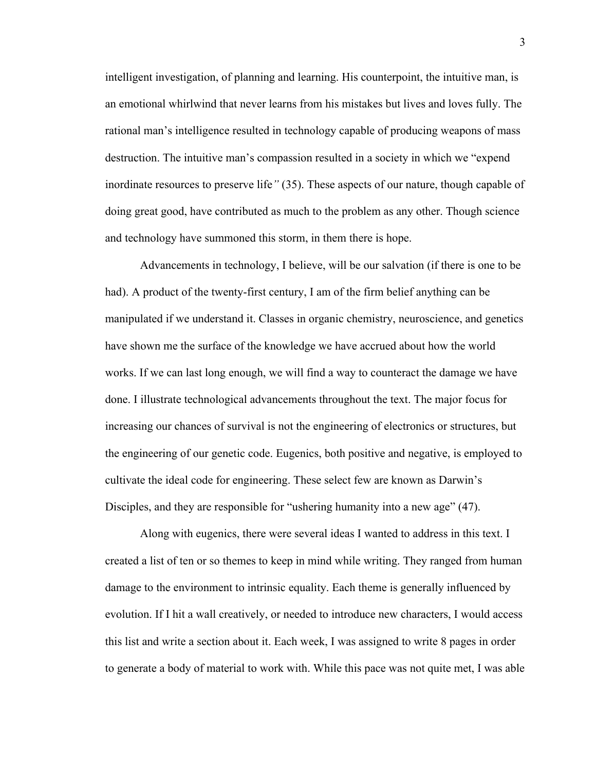intelligent investigation, of planning and learning. His counterpoint, the intuitive man, is an emotional whirlwind that never learns from his mistakes but lives and loves fully. The rational man's intelligence resulted in technology capable of producing weapons of mass destruction. The intuitive man's compassion resulted in a society in which we "expend inordinate resources to preserve life*"* (35). These aspects of our nature, though capable of doing great good, have contributed as much to the problem as any other. Though science and technology have summoned this storm, in them there is hope.

Advancements in technology, I believe, will be our salvation (if there is one to be had). A product of the twenty-first century, I am of the firm belief anything can be manipulated if we understand it. Classes in organic chemistry, neuroscience, and genetics have shown me the surface of the knowledge we have accrued about how the world works. If we can last long enough, we will find a way to counteract the damage we have done. I illustrate technological advancements throughout the text. The major focus for increasing our chances of survival is not the engineering of electronics or structures, but the engineering of our genetic code. Eugenics, both positive and negative, is employed to cultivate the ideal code for engineering. These select few are known as Darwin's Disciples, and they are responsible for "ushering humanity into a new age" (47).

Along with eugenics, there were several ideas I wanted to address in this text. I created a list of ten or so themes to keep in mind while writing. They ranged from human damage to the environment to intrinsic equality. Each theme is generally influenced by evolution. If I hit a wall creatively, or needed to introduce new characters, I would access this list and write a section about it. Each week, I was assigned to write 8 pages in order to generate a body of material to work with. While this pace was not quite met, I was able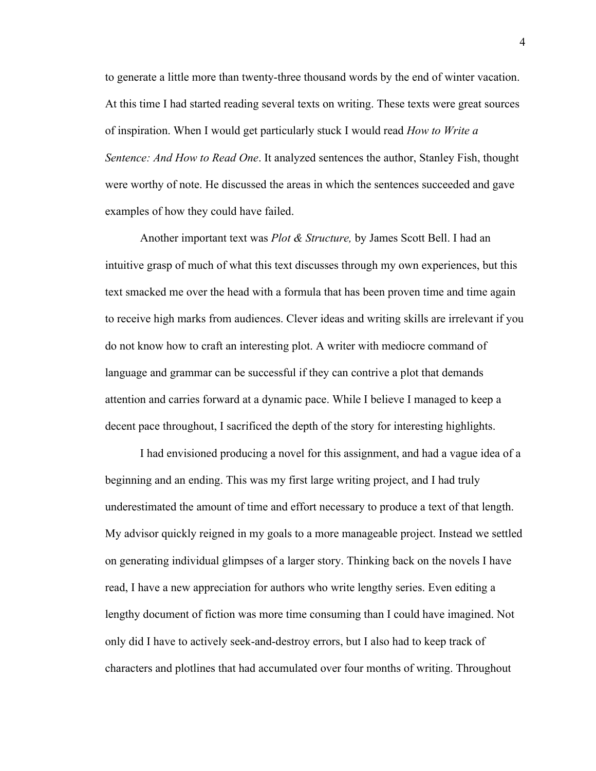to generate a little more than twenty-three thousand words by the end of winter vacation. At this time I had started reading several texts on writing. These texts were great sources of inspiration. When I would get particularly stuck I would read *How to Write a Sentence: And How to Read One*. It analyzed sentences the author, Stanley Fish, thought were worthy of note. He discussed the areas in which the sentences succeeded and gave examples of how they could have failed.

Another important text was *Plot & Structure,* by James Scott Bell. I had an intuitive grasp of much of what this text discusses through my own experiences, but this text smacked me over the head with a formula that has been proven time and time again to receive high marks from audiences. Clever ideas and writing skills are irrelevant if you do not know how to craft an interesting plot. A writer with mediocre command of language and grammar can be successful if they can contrive a plot that demands attention and carries forward at a dynamic pace. While I believe I managed to keep a decent pace throughout, I sacrificed the depth of the story for interesting highlights.

I had envisioned producing a novel for this assignment, and had a vague idea of a beginning and an ending. This was my first large writing project, and I had truly underestimated the amount of time and effort necessary to produce a text of that length. My advisor quickly reigned in my goals to a more manageable project. Instead we settled on generating individual glimpses of a larger story. Thinking back on the novels I have read, I have a new appreciation for authors who write lengthy series. Even editing a lengthy document of fiction was more time consuming than I could have imagined. Not only did I have to actively seek-and-destroy errors, but I also had to keep track of characters and plotlines that had accumulated over four months of writing. Throughout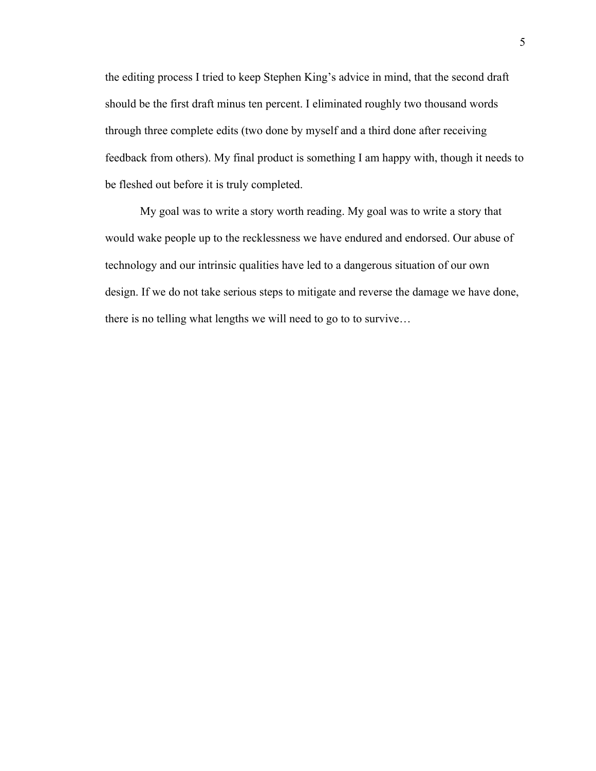the editing process I tried to keep Stephen King's advice in mind, that the second draft should be the first draft minus ten percent. I eliminated roughly two thousand words through three complete edits (two done by myself and a third done after receiving feedback from others). My final product is something I am happy with, though it needs to be fleshed out before it is truly completed.

My goal was to write a story worth reading. My goal was to write a story that would wake people up to the recklessness we have endured and endorsed. Our abuse of technology and our intrinsic qualities have led to a dangerous situation of our own design. If we do not take serious steps to mitigate and reverse the damage we have done, there is no telling what lengths we will need to go to to survive…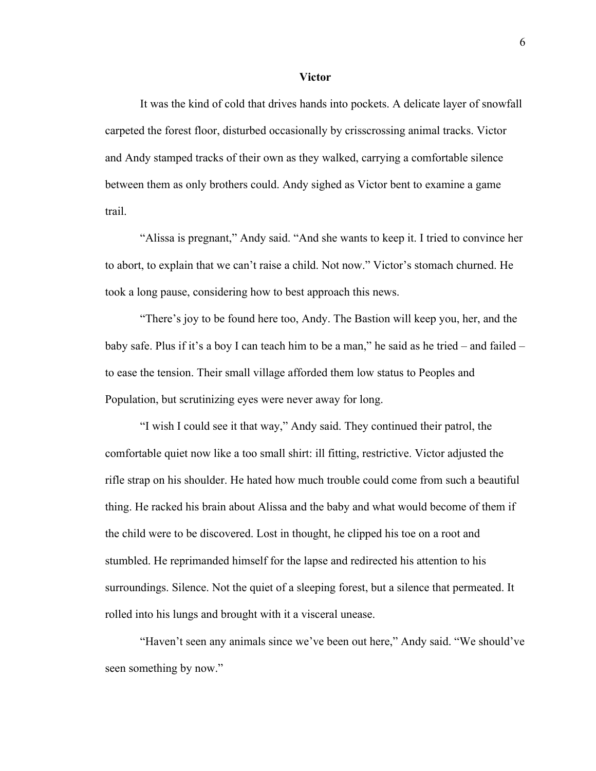#### **Victor**

It was the kind of cold that drives hands into pockets. A delicate layer of snowfall carpeted the forest floor, disturbed occasionally by crisscrossing animal tracks. Victor and Andy stamped tracks of their own as they walked, carrying a comfortable silence between them as only brothers could. Andy sighed as Victor bent to examine a game trail.

"Alissa is pregnant," Andy said. "And she wants to keep it. I tried to convince her to abort, to explain that we can't raise a child. Not now." Victor's stomach churned. He took a long pause, considering how to best approach this news.

"There's joy to be found here too, Andy. The Bastion will keep you, her, and the baby safe. Plus if it's a boy I can teach him to be a man," he said as he tried – and failed – to ease the tension. Their small village afforded them low status to Peoples and Population, but scrutinizing eyes were never away for long.

"I wish I could see it that way," Andy said. They continued their patrol, the comfortable quiet now like a too small shirt: ill fitting, restrictive. Victor adjusted the rifle strap on his shoulder. He hated how much trouble could come from such a beautiful thing. He racked his brain about Alissa and the baby and what would become of them if the child were to be discovered. Lost in thought, he clipped his toe on a root and stumbled. He reprimanded himself for the lapse and redirected his attention to his surroundings. Silence. Not the quiet of a sleeping forest, but a silence that permeated. It rolled into his lungs and brought with it a visceral unease.

"Haven't seen any animals since we've been out here," Andy said. "We should've seen something by now."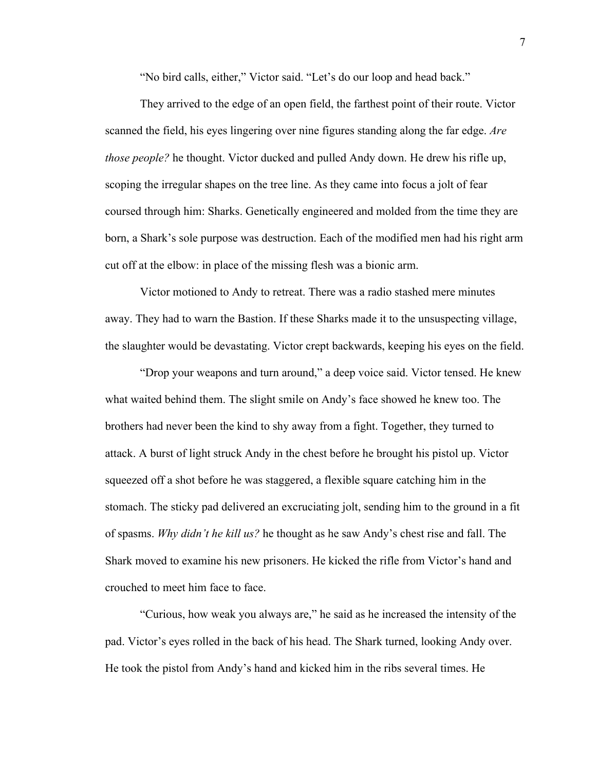"No bird calls, either," Victor said. "Let's do our loop and head back."

They arrived to the edge of an open field, the farthest point of their route. Victor scanned the field, his eyes lingering over nine figures standing along the far edge. *Are those people?* he thought. Victor ducked and pulled Andy down. He drew his rifle up, scoping the irregular shapes on the tree line. As they came into focus a jolt of fear coursed through him: Sharks. Genetically engineered and molded from the time they are born, a Shark's sole purpose was destruction. Each of the modified men had his right arm cut off at the elbow: in place of the missing flesh was a bionic arm.

Victor motioned to Andy to retreat. There was a radio stashed mere minutes away. They had to warn the Bastion. If these Sharks made it to the unsuspecting village, the slaughter would be devastating. Victor crept backwards, keeping his eyes on the field.

"Drop your weapons and turn around," a deep voice said. Victor tensed. He knew what waited behind them. The slight smile on Andy's face showed he knew too. The brothers had never been the kind to shy away from a fight. Together, they turned to attack. A burst of light struck Andy in the chest before he brought his pistol up. Victor squeezed off a shot before he was staggered, a flexible square catching him in the stomach. The sticky pad delivered an excruciating jolt, sending him to the ground in a fit of spasms. *Why didn't he kill us?* he thought as he saw Andy's chest rise and fall. The Shark moved to examine his new prisoners. He kicked the rifle from Victor's hand and crouched to meet him face to face.

"Curious, how weak you always are," he said as he increased the intensity of the pad. Victor's eyes rolled in the back of his head. The Shark turned, looking Andy over. He took the pistol from Andy's hand and kicked him in the ribs several times. He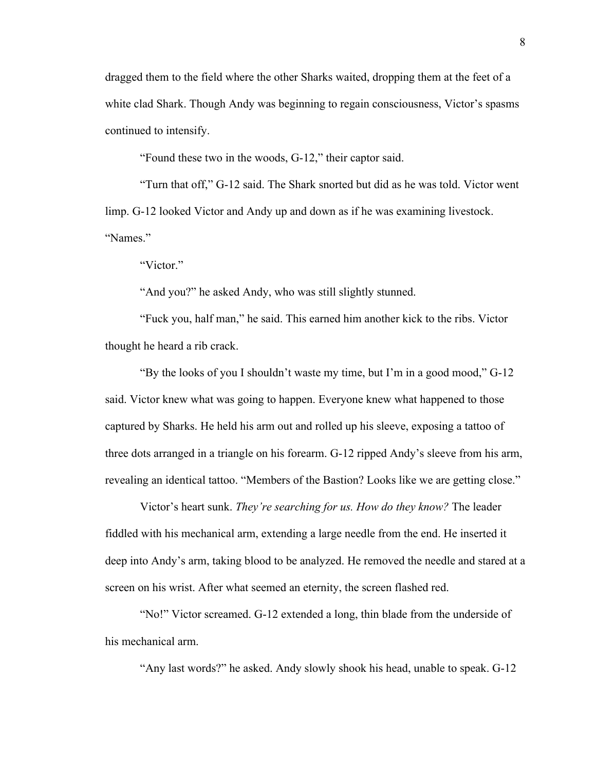dragged them to the field where the other Sharks waited, dropping them at the feet of a white clad Shark. Though Andy was beginning to regain consciousness, Victor's spasms continued to intensify.

"Found these two in the woods, G-12," their captor said.

"Turn that off," G-12 said. The Shark snorted but did as he was told. Victor went limp. G-12 looked Victor and Andy up and down as if he was examining livestock. "Names."

"Victor"

"And you?" he asked Andy, who was still slightly stunned.

"Fuck you, half man," he said. This earned him another kick to the ribs. Victor thought he heard a rib crack.

"By the looks of you I shouldn't waste my time, but I'm in a good mood," G-12 said. Victor knew what was going to happen. Everyone knew what happened to those captured by Sharks. He held his arm out and rolled up his sleeve, exposing a tattoo of three dots arranged in a triangle on his forearm. G-12 ripped Andy's sleeve from his arm, revealing an identical tattoo. "Members of the Bastion? Looks like we are getting close."

Victor's heart sunk. *They're searching for us. How do they know?* The leader fiddled with his mechanical arm, extending a large needle from the end. He inserted it deep into Andy's arm, taking blood to be analyzed. He removed the needle and stared at a screen on his wrist. After what seemed an eternity, the screen flashed red.

"No!" Victor screamed. G-12 extended a long, thin blade from the underside of his mechanical arm.

"Any last words?" he asked. Andy slowly shook his head, unable to speak. G-12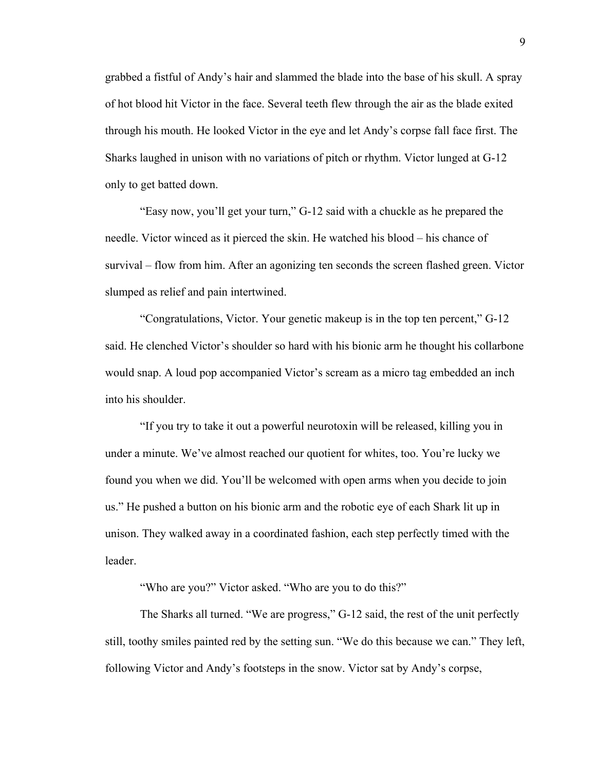grabbed a fistful of Andy's hair and slammed the blade into the base of his skull. A spray of hot blood hit Victor in the face. Several teeth flew through the air as the blade exited through his mouth. He looked Victor in the eye and let Andy's corpse fall face first. The Sharks laughed in unison with no variations of pitch or rhythm. Victor lunged at G-12 only to get batted down.

"Easy now, you'll get your turn," G-12 said with a chuckle as he prepared the needle. Victor winced as it pierced the skin. He watched his blood – his chance of survival – flow from him. After an agonizing ten seconds the screen flashed green. Victor slumped as relief and pain intertwined.

"Congratulations, Victor. Your genetic makeup is in the top ten percent," G-12 said. He clenched Victor's shoulder so hard with his bionic arm he thought his collarbone would snap. A loud pop accompanied Victor's scream as a micro tag embedded an inch into his shoulder.

"If you try to take it out a powerful neurotoxin will be released, killing you in under a minute. We've almost reached our quotient for whites, too. You're lucky we found you when we did. You'll be welcomed with open arms when you decide to join us." He pushed a button on his bionic arm and the robotic eye of each Shark lit up in unison. They walked away in a coordinated fashion, each step perfectly timed with the leader.

"Who are you?" Victor asked. "Who are you to do this?"

The Sharks all turned. "We are progress," G-12 said, the rest of the unit perfectly still, toothy smiles painted red by the setting sun. "We do this because we can." They left, following Victor and Andy's footsteps in the snow. Victor sat by Andy's corpse,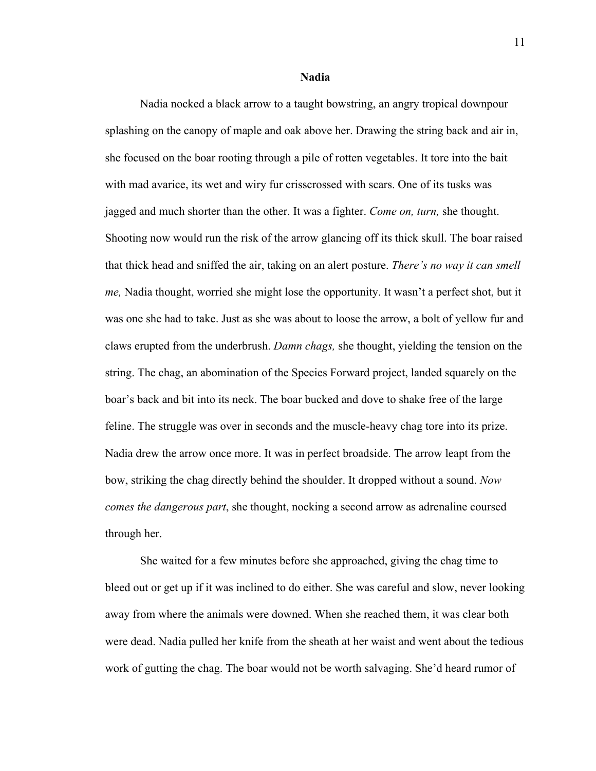**Nadia**

Nadia nocked a black arrow to a taught bowstring, an angry tropical downpour splashing on the canopy of maple and oak above her. Drawing the string back and air in, she focused on the boar rooting through a pile of rotten vegetables. It tore into the bait with mad avarice, its wet and wiry fur crisscrossed with scars. One of its tusks was jagged and much shorter than the other. It was a fighter. *Come on, turn,* she thought. Shooting now would run the risk of the arrow glancing off its thick skull. The boar raised that thick head and sniffed the air, taking on an alert posture. *There's no way it can smell me,* Nadia thought, worried she might lose the opportunity. It wasn't a perfect shot, but it was one she had to take. Just as she was about to loose the arrow, a bolt of yellow fur and claws erupted from the underbrush. *Damn chags,* she thought, yielding the tension on the string. The chag, an abomination of the Species Forward project, landed squarely on the boar's back and bit into its neck. The boar bucked and dove to shake free of the large feline. The struggle was over in seconds and the muscle-heavy chag tore into its prize. Nadia drew the arrow once more. It was in perfect broadside. The arrow leapt from the bow, striking the chag directly behind the shoulder. It dropped without a sound. *Now comes the dangerous part*, she thought, nocking a second arrow as adrenaline coursed through her.

She waited for a few minutes before she approached, giving the chag time to bleed out or get up if it was inclined to do either. She was careful and slow, never looking away from where the animals were downed. When she reached them, it was clear both were dead. Nadia pulled her knife from the sheath at her waist and went about the tedious work of gutting the chag. The boar would not be worth salvaging. She'd heard rumor of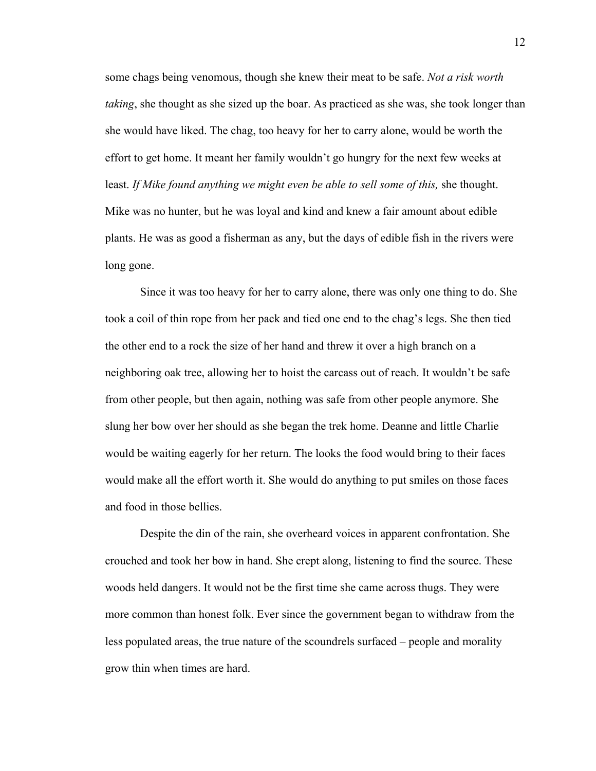some chags being venomous, though she knew their meat to be safe. *Not a risk worth taking*, she thought as she sized up the boar. As practiced as she was, she took longer than she would have liked. The chag, too heavy for her to carry alone, would be worth the effort to get home. It meant her family wouldn't go hungry for the next few weeks at least. *If Mike found anything we might even be able to sell some of this,* she thought. Mike was no hunter, but he was loyal and kind and knew a fair amount about edible plants. He was as good a fisherman as any, but the days of edible fish in the rivers were long gone.

Since it was too heavy for her to carry alone, there was only one thing to do. She took a coil of thin rope from her pack and tied one end to the chag's legs. She then tied the other end to a rock the size of her hand and threw it over a high branch on a neighboring oak tree, allowing her to hoist the carcass out of reach. It wouldn't be safe from other people, but then again, nothing was safe from other people anymore. She slung her bow over her should as she began the trek home. Deanne and little Charlie would be waiting eagerly for her return. The looks the food would bring to their faces would make all the effort worth it. She would do anything to put smiles on those faces and food in those bellies.

Despite the din of the rain, she overheard voices in apparent confrontation. She crouched and took her bow in hand. She crept along, listening to find the source. These woods held dangers. It would not be the first time she came across thugs. They were more common than honest folk. Ever since the government began to withdraw from the less populated areas, the true nature of the scoundrels surfaced – people and morality grow thin when times are hard.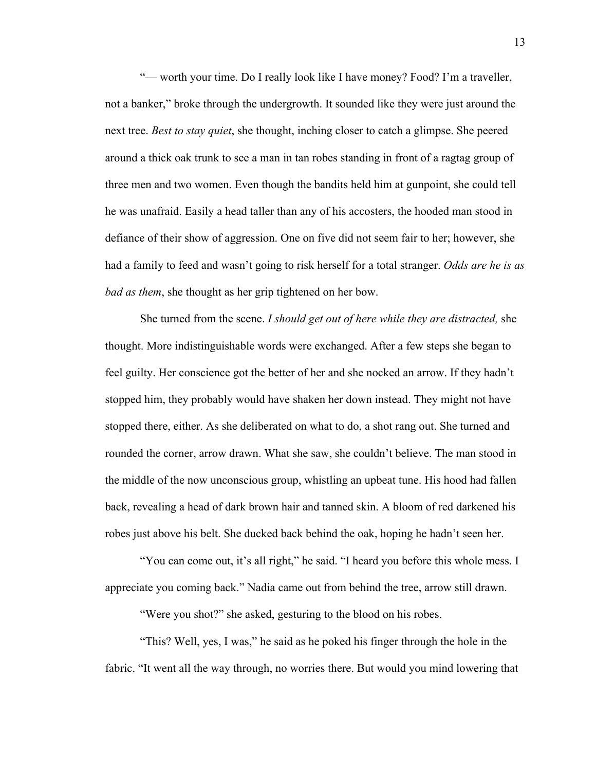"— worth your time. Do I really look like I have money? Food? I'm a traveller, not a banker," broke through the undergrowth. It sounded like they were just around the next tree. *Best to stay quiet*, she thought, inching closer to catch a glimpse. She peered around a thick oak trunk to see a man in tan robes standing in front of a ragtag group of three men and two women. Even though the bandits held him at gunpoint, she could tell he was unafraid. Easily a head taller than any of his accosters, the hooded man stood in defiance of their show of aggression. One on five did not seem fair to her; however, she had a family to feed and wasn't going to risk herself for a total stranger. *Odds are he is as bad as them*, she thought as her grip tightened on her bow.

She turned from the scene. *I should get out of here while they are distracted,* she thought. More indistinguishable words were exchanged. After a few steps she began to feel guilty. Her conscience got the better of her and she nocked an arrow. If they hadn't stopped him, they probably would have shaken her down instead. They might not have stopped there, either. As she deliberated on what to do, a shot rang out. She turned and rounded the corner, arrow drawn. What she saw, she couldn't believe. The man stood in the middle of the now unconscious group, whistling an upbeat tune. His hood had fallen back, revealing a head of dark brown hair and tanned skin. A bloom of red darkened his robes just above his belt. She ducked back behind the oak, hoping he hadn't seen her.

"You can come out, it's all right," he said. "I heard you before this whole mess. I appreciate you coming back." Nadia came out from behind the tree, arrow still drawn.

"Were you shot?" she asked, gesturing to the blood on his robes.

"This? Well, yes, I was," he said as he poked his finger through the hole in the fabric. "It went all the way through, no worries there. But would you mind lowering that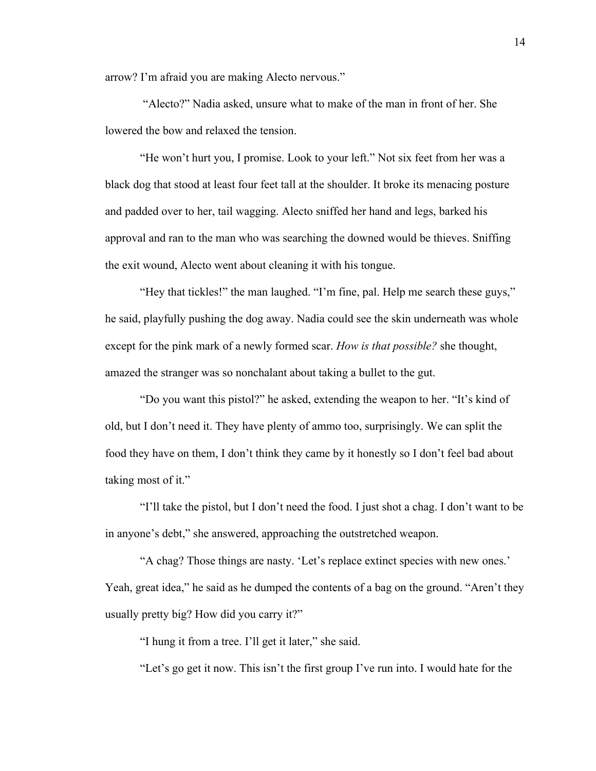arrow? I'm afraid you are making Alecto nervous."

"Alecto?" Nadia asked, unsure what to make of the man in front of her. She lowered the bow and relaxed the tension.

"He won't hurt you, I promise. Look to your left." Not six feet from her was a black dog that stood at least four feet tall at the shoulder. It broke its menacing posture and padded over to her, tail wagging. Alecto sniffed her hand and legs, barked his approval and ran to the man who was searching the downed would be thieves. Sniffing the exit wound, Alecto went about cleaning it with his tongue.

"Hey that tickles!" the man laughed. "I'm fine, pal. Help me search these guys," he said, playfully pushing the dog away. Nadia could see the skin underneath was whole except for the pink mark of a newly formed scar. *How is that possible?* she thought, amazed the stranger was so nonchalant about taking a bullet to the gut.

"Do you want this pistol?" he asked, extending the weapon to her. "It's kind of old, but I don't need it. They have plenty of ammo too, surprisingly. We can split the food they have on them, I don't think they came by it honestly so I don't feel bad about taking most of it."

"I'll take the pistol, but I don't need the food. I just shot a chag. I don't want to be in anyone's debt," she answered, approaching the outstretched weapon.

"A chag? Those things are nasty. 'Let's replace extinct species with new ones.' Yeah, great idea," he said as he dumped the contents of a bag on the ground. "Aren't they usually pretty big? How did you carry it?"

"I hung it from a tree. I'll get it later," she said.

"Let's go get it now. This isn't the first group I've run into. I would hate for the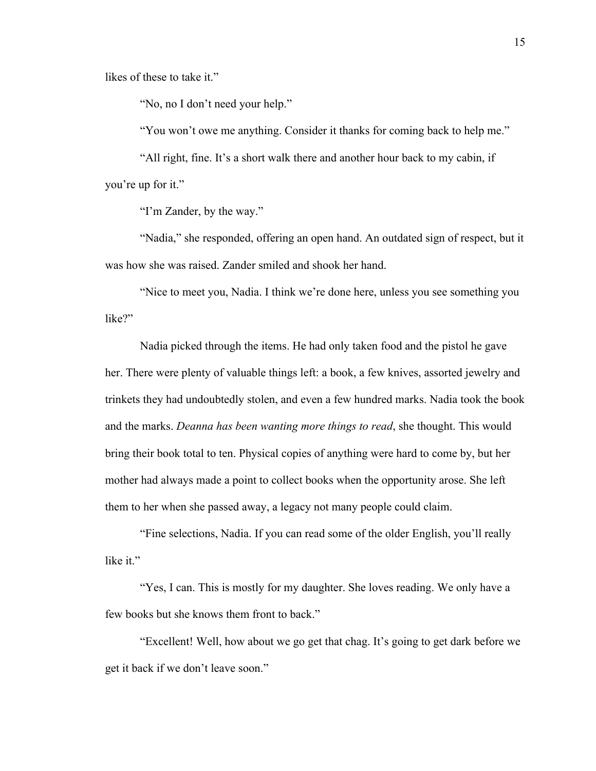likes of these to take it."

"No, no I don't need your help."

"You won't owe me anything. Consider it thanks for coming back to help me."

"All right, fine. It's a short walk there and another hour back to my cabin, if you're up for it."

"I'm Zander, by the way."

"Nadia," she responded, offering an open hand. An outdated sign of respect, but it was how she was raised. Zander smiled and shook her hand.

"Nice to meet you, Nadia. I think we're done here, unless you see something you like?"

Nadia picked through the items. He had only taken food and the pistol he gave her. There were plenty of valuable things left: a book, a few knives, assorted jewelry and trinkets they had undoubtedly stolen, and even a few hundred marks. Nadia took the book and the marks. *Deanna has been wanting more things to read*, she thought. This would bring their book total to ten. Physical copies of anything were hard to come by, but her mother had always made a point to collect books when the opportunity arose. She left them to her when she passed away, a legacy not many people could claim.

"Fine selections, Nadia. If you can read some of the older English, you'll really like it."

"Yes, I can. This is mostly for my daughter. She loves reading. We only have a few books but she knows them front to back."

"Excellent! Well, how about we go get that chag. It's going to get dark before we get it back if we don't leave soon."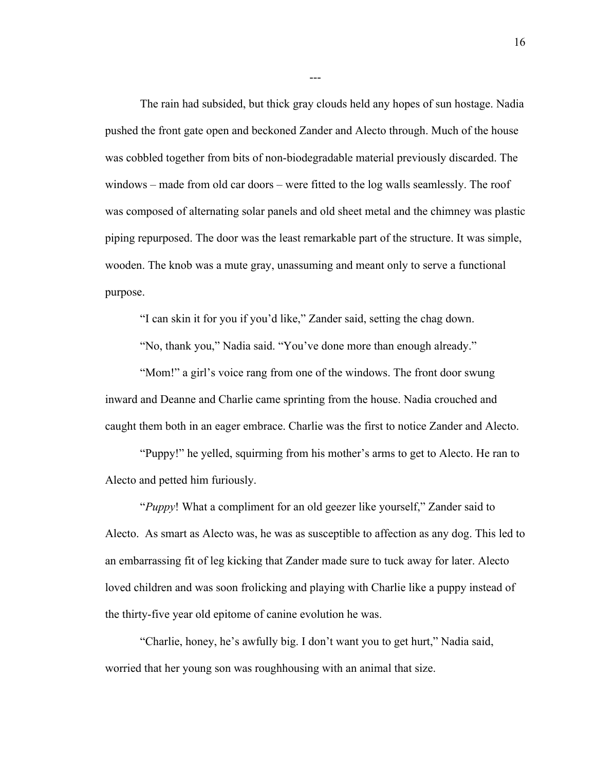The rain had subsided, but thick gray clouds held any hopes of sun hostage. Nadia pushed the front gate open and beckoned Zander and Alecto through. Much of the house was cobbled together from bits of non-biodegradable material previously discarded. The windows – made from old car doors – were fitted to the log walls seamlessly. The roof was composed of alternating solar panels and old sheet metal and the chimney was plastic piping repurposed. The door was the least remarkable part of the structure. It was simple, wooden. The knob was a mute gray, unassuming and meant only to serve a functional purpose.

---

"I can skin it for you if you'd like," Zander said, setting the chag down.

"No, thank you," Nadia said. "You've done more than enough already."

"Mom!" a girl's voice rang from one of the windows. The front door swung inward and Deanne and Charlie came sprinting from the house. Nadia crouched and caught them both in an eager embrace. Charlie was the first to notice Zander and Alecto.

"Puppy!" he yelled, squirming from his mother's arms to get to Alecto. He ran to Alecto and petted him furiously.

"*Puppy*! What a compliment for an old geezer like yourself," Zander said to Alecto. As smart as Alecto was, he was as susceptible to affection as any dog. This led to an embarrassing fit of leg kicking that Zander made sure to tuck away for later. Alecto loved children and was soon frolicking and playing with Charlie like a puppy instead of the thirty-five year old epitome of canine evolution he was.

"Charlie, honey, he's awfully big. I don't want you to get hurt," Nadia said, worried that her young son was roughhousing with an animal that size.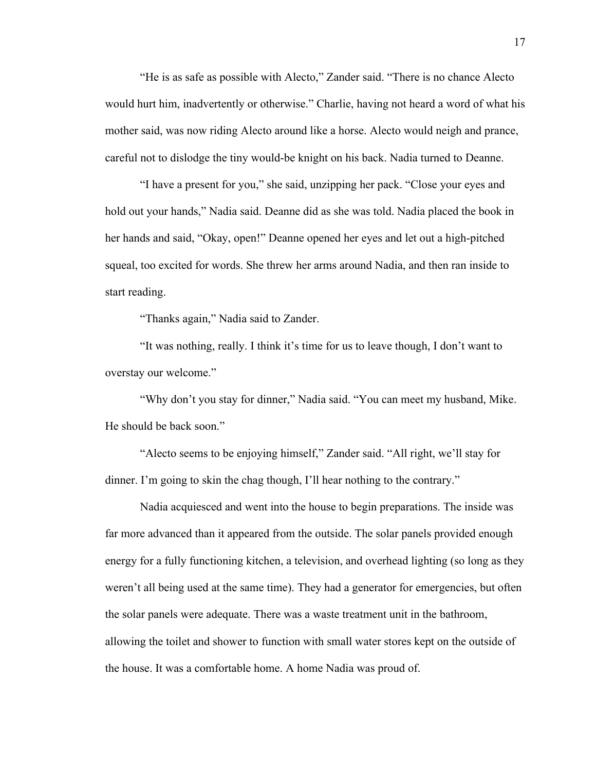"He is as safe as possible with Alecto," Zander said. "There is no chance Alecto would hurt him, inadvertently or otherwise." Charlie, having not heard a word of what his mother said, was now riding Alecto around like a horse. Alecto would neigh and prance, careful not to dislodge the tiny would-be knight on his back. Nadia turned to Deanne.

"I have a present for you," she said, unzipping her pack. "Close your eyes and hold out your hands," Nadia said. Deanne did as she was told. Nadia placed the book in her hands and said, "Okay, open!" Deanne opened her eyes and let out a high-pitched squeal, too excited for words. She threw her arms around Nadia, and then ran inside to start reading.

"Thanks again," Nadia said to Zander.

"It was nothing, really. I think it's time for us to leave though, I don't want to overstay our welcome."

"Why don't you stay for dinner," Nadia said. "You can meet my husband, Mike. He should be back soon."

"Alecto seems to be enjoying himself," Zander said. "All right, we'll stay for dinner. I'm going to skin the chag though, I'll hear nothing to the contrary."

Nadia acquiesced and went into the house to begin preparations. The inside was far more advanced than it appeared from the outside. The solar panels provided enough energy for a fully functioning kitchen, a television, and overhead lighting (so long as they weren't all being used at the same time). They had a generator for emergencies, but often the solar panels were adequate. There was a waste treatment unit in the bathroom, allowing the toilet and shower to function with small water stores kept on the outside of the house. It was a comfortable home. A home Nadia was proud of.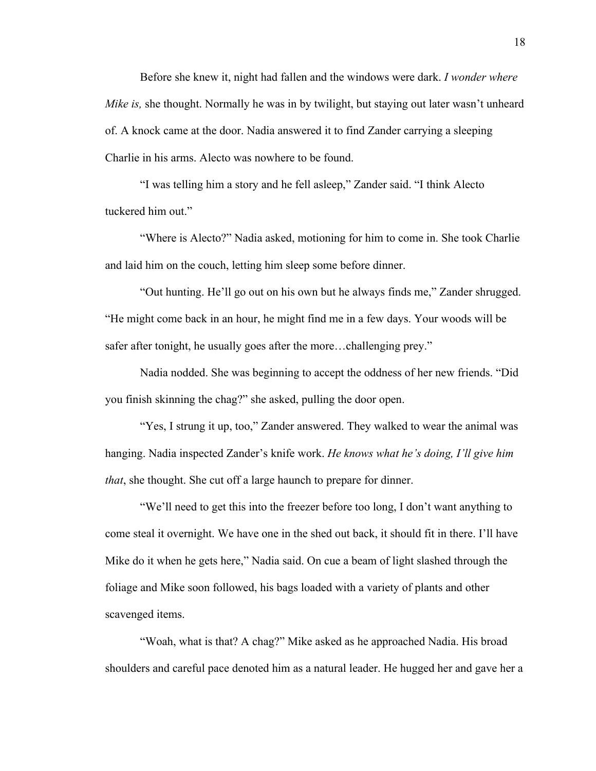Before she knew it, night had fallen and the windows were dark. *I wonder where Mike is,* she thought. Normally he was in by twilight, but staying out later wasn't unheard of. A knock came at the door. Nadia answered it to find Zander carrying a sleeping Charlie in his arms. Alecto was nowhere to be found.

"I was telling him a story and he fell asleep," Zander said. "I think Alecto tuckered him out."

"Where is Alecto?" Nadia asked, motioning for him to come in. She took Charlie and laid him on the couch, letting him sleep some before dinner.

"Out hunting. He'll go out on his own but he always finds me," Zander shrugged. "He might come back in an hour, he might find me in a few days. Your woods will be safer after tonight, he usually goes after the more…challenging prey."

Nadia nodded. She was beginning to accept the oddness of her new friends. "Did you finish skinning the chag?" she asked, pulling the door open.

"Yes, I strung it up, too," Zander answered. They walked to wear the animal was hanging. Nadia inspected Zander's knife work. *He knows what he's doing, I'll give him that*, she thought. She cut off a large haunch to prepare for dinner.

"We'll need to get this into the freezer before too long, I don't want anything to come steal it overnight. We have one in the shed out back, it should fit in there. I'll have Mike do it when he gets here," Nadia said. On cue a beam of light slashed through the foliage and Mike soon followed, his bags loaded with a variety of plants and other scavenged items.

"Woah, what is that? A chag?" Mike asked as he approached Nadia. His broad shoulders and careful pace denoted him as a natural leader. He hugged her and gave her a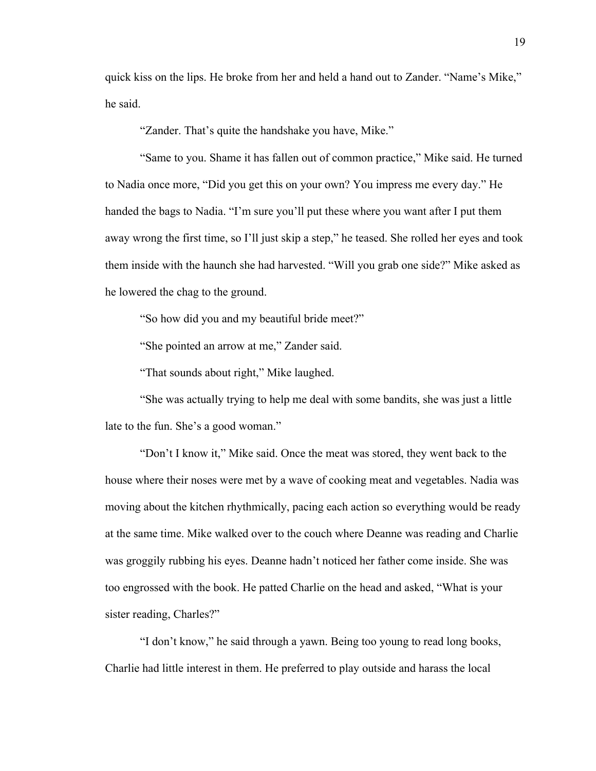quick kiss on the lips. He broke from her and held a hand out to Zander. "Name's Mike," he said.

"Zander. That's quite the handshake you have, Mike."

"Same to you. Shame it has fallen out of common practice," Mike said. He turned to Nadia once more, "Did you get this on your own? You impress me every day." He handed the bags to Nadia. "I'm sure you'll put these where you want after I put them away wrong the first time, so I'll just skip a step," he teased. She rolled her eyes and took them inside with the haunch she had harvested. "Will you grab one side?" Mike asked as he lowered the chag to the ground.

"So how did you and my beautiful bride meet?"

"She pointed an arrow at me," Zander said.

"That sounds about right," Mike laughed.

"She was actually trying to help me deal with some bandits, she was just a little late to the fun. She's a good woman."

"Don't I know it," Mike said. Once the meat was stored, they went back to the house where their noses were met by a wave of cooking meat and vegetables. Nadia was moving about the kitchen rhythmically, pacing each action so everything would be ready at the same time. Mike walked over to the couch where Deanne was reading and Charlie was groggily rubbing his eyes. Deanne hadn't noticed her father come inside. She was too engrossed with the book. He patted Charlie on the head and asked, "What is your sister reading, Charles?"

"I don't know," he said through a yawn. Being too young to read long books, Charlie had little interest in them. He preferred to play outside and harass the local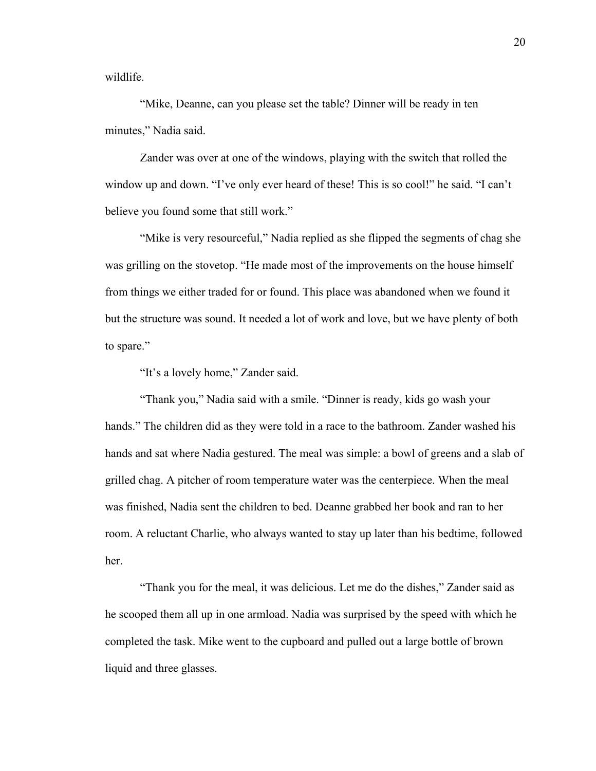wildlife.

"Mike, Deanne, can you please set the table? Dinner will be ready in ten minutes," Nadia said.

Zander was over at one of the windows, playing with the switch that rolled the window up and down. "I've only ever heard of these! This is so cool!" he said. "I can't believe you found some that still work."

"Mike is very resourceful," Nadia replied as she flipped the segments of chag she was grilling on the stovetop. "He made most of the improvements on the house himself from things we either traded for or found. This place was abandoned when we found it but the structure was sound. It needed a lot of work and love, but we have plenty of both to spare."

"It's a lovely home," Zander said.

"Thank you," Nadia said with a smile. "Dinner is ready, kids go wash your hands." The children did as they were told in a race to the bathroom. Zander washed his hands and sat where Nadia gestured. The meal was simple: a bowl of greens and a slab of grilled chag. A pitcher of room temperature water was the centerpiece. When the meal was finished, Nadia sent the children to bed. Deanne grabbed her book and ran to her room. A reluctant Charlie, who always wanted to stay up later than his bedtime, followed her.

"Thank you for the meal, it was delicious. Let me do the dishes," Zander said as he scooped them all up in one armload. Nadia was surprised by the speed with which he completed the task. Mike went to the cupboard and pulled out a large bottle of brown liquid and three glasses.

20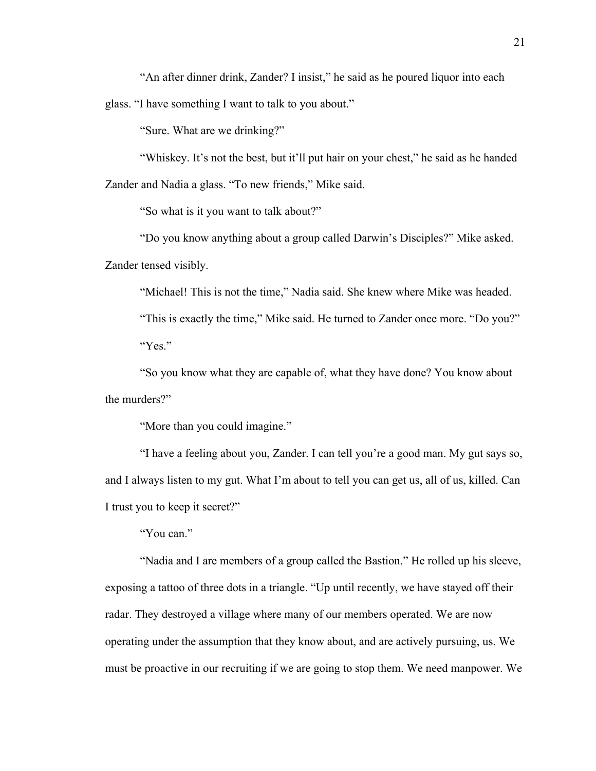"An after dinner drink, Zander? I insist," he said as he poured liquor into each glass. "I have something I want to talk to you about."

"Sure. What are we drinking?"

"Whiskey. It's not the best, but it'll put hair on your chest," he said as he handed Zander and Nadia a glass. "To new friends," Mike said.

"So what is it you want to talk about?"

"Do you know anything about a group called Darwin's Disciples?" Mike asked. Zander tensed visibly.

"Michael! This is not the time," Nadia said. She knew where Mike was headed.

"This is exactly the time," Mike said. He turned to Zander once more. "Do you?" "Yes."

"So you know what they are capable of, what they have done? You know about the murders?"

"More than you could imagine."

"I have a feeling about you, Zander. I can tell you're a good man. My gut says so, and I always listen to my gut. What I'm about to tell you can get us, all of us, killed. Can I trust you to keep it secret?"

"You can."

"Nadia and I are members of a group called the Bastion." He rolled up his sleeve, exposing a tattoo of three dots in a triangle. "Up until recently, we have stayed off their radar. They destroyed a village where many of our members operated. We are now operating under the assumption that they know about, and are actively pursuing, us. We must be proactive in our recruiting if we are going to stop them. We need manpower. We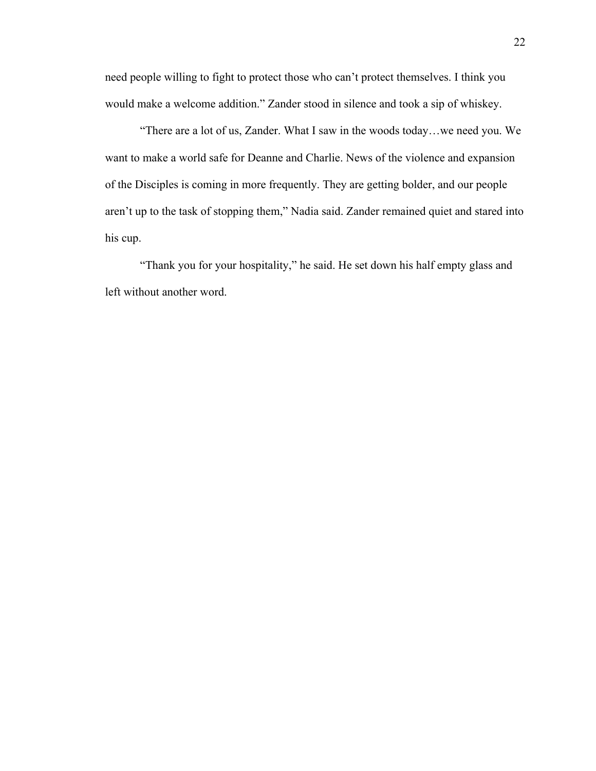need people willing to fight to protect those who can't protect themselves. I think you would make a welcome addition." Zander stood in silence and took a sip of whiskey.

"There are a lot of us, Zander. What I saw in the woods today…we need you. We want to make a world safe for Deanne and Charlie. News of the violence and expansion of the Disciples is coming in more frequently. They are getting bolder, and our people aren't up to the task of stopping them," Nadia said. Zander remained quiet and stared into his cup.

"Thank you for your hospitality," he said. He set down his half empty glass and left without another word.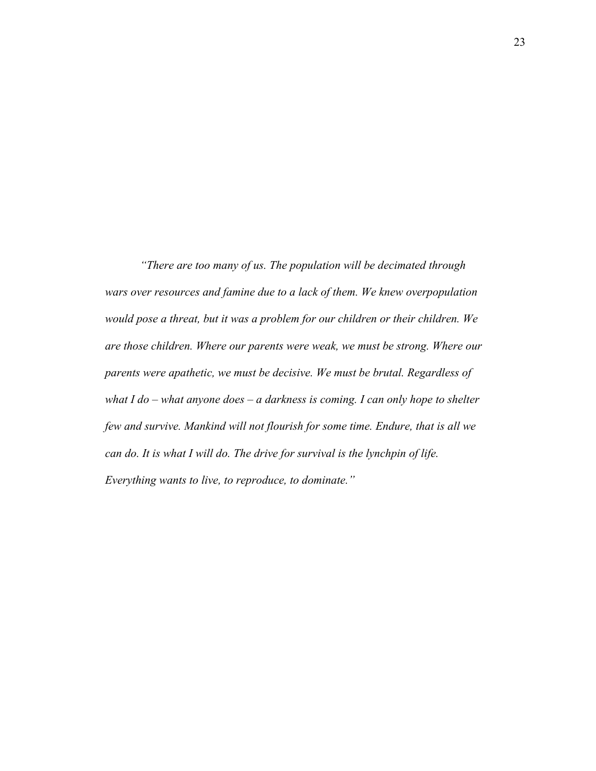*"There are too many of us. The population will be decimated through wars over resources and famine due to a lack of them. We knew overpopulation would pose a threat, but it was a problem for our children or their children. We are those children. Where our parents were weak, we must be strong. Where our parents were apathetic, we must be decisive. We must be brutal. Regardless of what I do – what anyone does – a darkness is coming. I can only hope to shelter few and survive. Mankind will not flourish for some time. Endure, that is all we can do. It is what I will do. The drive for survival is the lynchpin of life. Everything wants to live, to reproduce, to dominate."*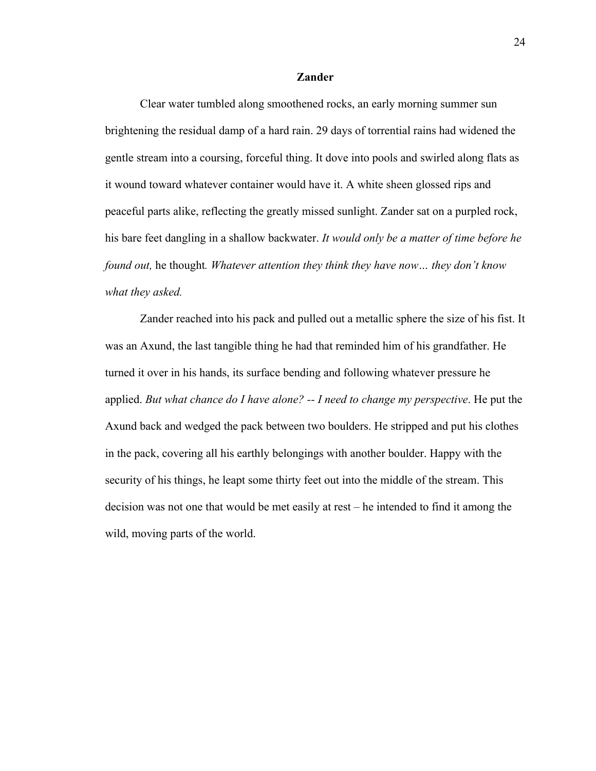### **Zander**

Clear water tumbled along smoothened rocks, an early morning summer sun brightening the residual damp of a hard rain. 29 days of torrential rains had widened the gentle stream into a coursing, forceful thing. It dove into pools and swirled along flats as it wound toward whatever container would have it. A white sheen glossed rips and peaceful parts alike, reflecting the greatly missed sunlight. Zander sat on a purpled rock, his bare feet dangling in a shallow backwater. *It would only be a matter of time before he found out,* he thought*. Whatever attention they think they have now… they don't know what they asked.*

Zander reached into his pack and pulled out a metallic sphere the size of his fist. It was an Axund, the last tangible thing he had that reminded him of his grandfather. He turned it over in his hands, its surface bending and following whatever pressure he applied. *But what chance do I have alone? -- I need to change my perspective*. He put the Axund back and wedged the pack between two boulders. He stripped and put his clothes in the pack, covering all his earthly belongings with another boulder. Happy with the security of his things, he leapt some thirty feet out into the middle of the stream. This decision was not one that would be met easily at rest – he intended to find it among the wild, moving parts of the world.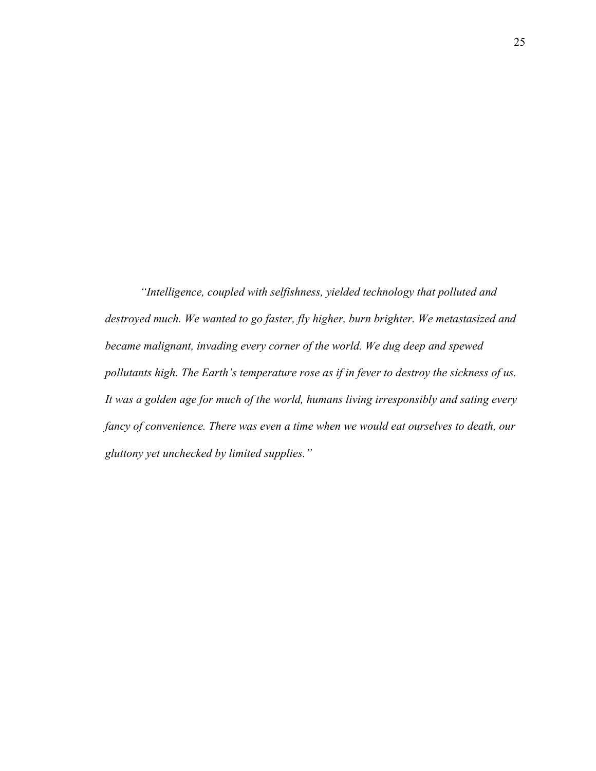*"Intelligence, coupled with selfishness, yielded technology that polluted and destroyed much. We wanted to go faster, fly higher, burn brighter. We metastasized and became malignant, invading every corner of the world. We dug deep and spewed pollutants high. The Earth's temperature rose as if in fever to destroy the sickness of us. It was a golden age for much of the world, humans living irresponsibly and sating every fancy of convenience. There was even a time when we would eat ourselves to death, our gluttony yet unchecked by limited supplies."*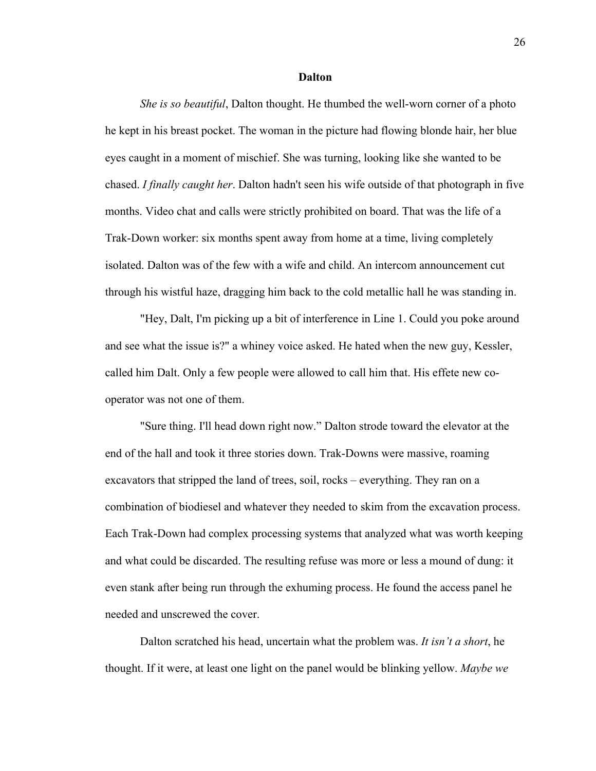#### **Dalton**

*She is so beautiful*, Dalton thought. He thumbed the well-worn corner of a photo he kept in his breast pocket. The woman in the picture had flowing blonde hair, her blue eyes caught in a moment of mischief. She was turning, looking like she wanted to be chased. *I finally caught her*. Dalton hadn't seen his wife outside of that photograph in five months. Video chat and calls were strictly prohibited on board. That was the life of a Trak-Down worker: six months spent away from home at a time, living completely isolated. Dalton was of the few with a wife and child. An intercom announcement cut through his wistful haze, dragging him back to the cold metallic hall he was standing in.

"Hey, Dalt, I'm picking up a bit of interference in Line 1. Could you poke around and see what the issue is?" a whiney voice asked. He hated when the new guy, Kessler, called him Dalt. Only a few people were allowed to call him that. His effete new cooperator was not one of them.

"Sure thing. I'll head down right now." Dalton strode toward the elevator at the end of the hall and took it three stories down. Trak-Downs were massive, roaming excavators that stripped the land of trees, soil, rocks – everything. They ran on a combination of biodiesel and whatever they needed to skim from the excavation process. Each Trak-Down had complex processing systems that analyzed what was worth keeping and what could be discarded. The resulting refuse was more or less a mound of dung: it even stank after being run through the exhuming process. He found the access panel he needed and unscrewed the cover.

Dalton scratched his head, uncertain what the problem was. *It isn't a short*, he thought. If it were, at least one light on the panel would be blinking yellow. *Maybe we*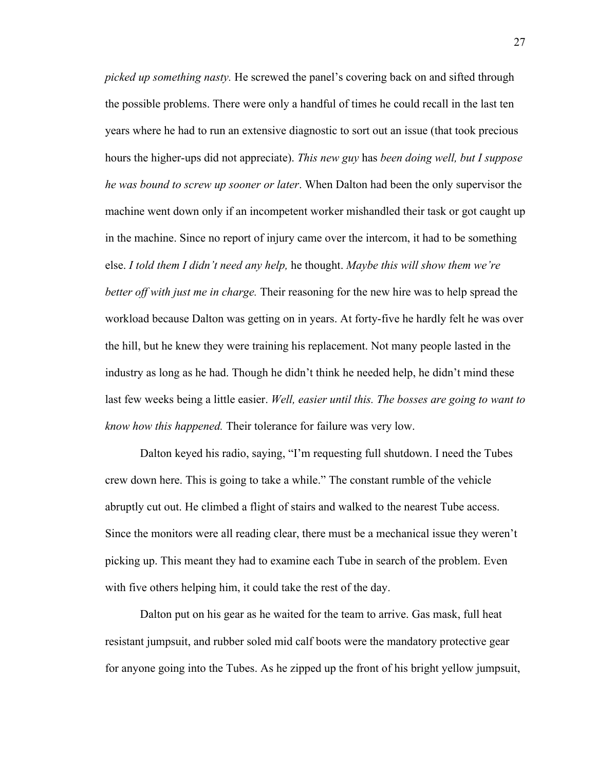*picked up something nasty.* He screwed the panel's covering back on and sifted through the possible problems. There were only a handful of times he could recall in the last ten years where he had to run an extensive diagnostic to sort out an issue (that took precious hours the higher-ups did not appreciate). *This new guy* has *been doing well, but I suppose he was bound to screw up sooner or later*. When Dalton had been the only supervisor the machine went down only if an incompetent worker mishandled their task or got caught up in the machine. Since no report of injury came over the intercom, it had to be something else. *I told them I didn't need any help,* he thought. *Maybe this will show them we're better off with just me in charge.* Their reasoning for the new hire was to help spread the workload because Dalton was getting on in years. At forty-five he hardly felt he was over the hill, but he knew they were training his replacement. Not many people lasted in the industry as long as he had. Though he didn't think he needed help, he didn't mind these last few weeks being a little easier. *Well, easier until this. The bosses are going to want to know how this happened.* Their tolerance for failure was very low.

Dalton keyed his radio, saying, "I'm requesting full shutdown. I need the Tubes crew down here. This is going to take a while." The constant rumble of the vehicle abruptly cut out. He climbed a flight of stairs and walked to the nearest Tube access. Since the monitors were all reading clear, there must be a mechanical issue they weren't picking up. This meant they had to examine each Tube in search of the problem. Even with five others helping him, it could take the rest of the day.

Dalton put on his gear as he waited for the team to arrive. Gas mask, full heat resistant jumpsuit, and rubber soled mid calf boots were the mandatory protective gear for anyone going into the Tubes. As he zipped up the front of his bright yellow jumpsuit,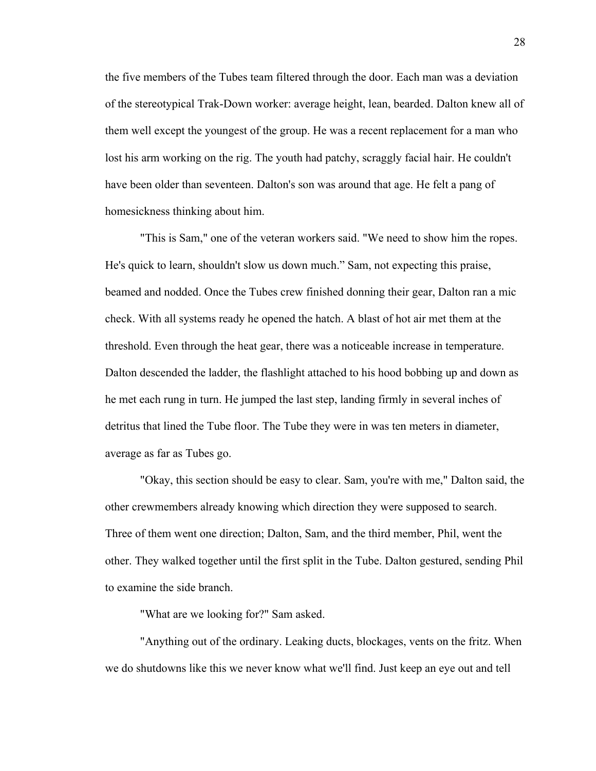the five members of the Tubes team filtered through the door. Each man was a deviation of the stereotypical Trak-Down worker: average height, lean, bearded. Dalton knew all of them well except the youngest of the group. He was a recent replacement for a man who lost his arm working on the rig. The youth had patchy, scraggly facial hair. He couldn't have been older than seventeen. Dalton's son was around that age. He felt a pang of homesickness thinking about him.

"This is Sam," one of the veteran workers said. "We need to show him the ropes. He's quick to learn, shouldn't slow us down much." Sam, not expecting this praise, beamed and nodded. Once the Tubes crew finished donning their gear, Dalton ran a mic check. With all systems ready he opened the hatch. A blast of hot air met them at the threshold. Even through the heat gear, there was a noticeable increase in temperature. Dalton descended the ladder, the flashlight attached to his hood bobbing up and down as he met each rung in turn. He jumped the last step, landing firmly in several inches of detritus that lined the Tube floor. The Tube they were in was ten meters in diameter, average as far as Tubes go.

"Okay, this section should be easy to clear. Sam, you're with me," Dalton said, the other crewmembers already knowing which direction they were supposed to search. Three of them went one direction; Dalton, Sam, and the third member, Phil, went the other. They walked together until the first split in the Tube. Dalton gestured, sending Phil to examine the side branch.

"What are we looking for?" Sam asked.

"Anything out of the ordinary. Leaking ducts, blockages, vents on the fritz. When we do shutdowns like this we never know what we'll find. Just keep an eye out and tell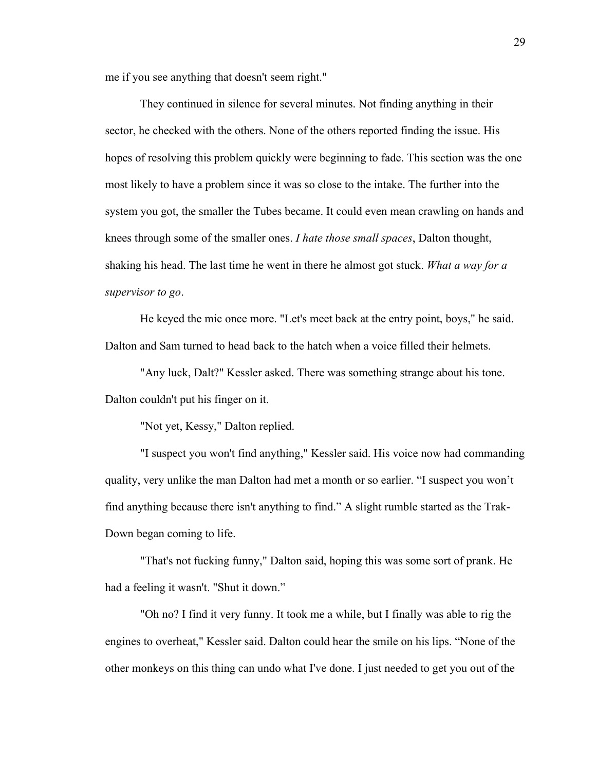me if you see anything that doesn't seem right."

They continued in silence for several minutes. Not finding anything in their sector, he checked with the others. None of the others reported finding the issue. His hopes of resolving this problem quickly were beginning to fade. This section was the one most likely to have a problem since it was so close to the intake. The further into the system you got, the smaller the Tubes became. It could even mean crawling on hands and knees through some of the smaller ones. *I hate those small spaces*, Dalton thought, shaking his head. The last time he went in there he almost got stuck. *What a way for a supervisor to go*.

He keyed the mic once more. "Let's meet back at the entry point, boys," he said. Dalton and Sam turned to head back to the hatch when a voice filled their helmets.

"Any luck, Dalt?" Kessler asked. There was something strange about his tone. Dalton couldn't put his finger on it.

"Not yet, Kessy," Dalton replied.

"I suspect you won't find anything," Kessler said. His voice now had commanding quality, very unlike the man Dalton had met a month or so earlier. "I suspect you won't find anything because there isn't anything to find." A slight rumble started as the Trak-Down began coming to life.

"That's not fucking funny," Dalton said, hoping this was some sort of prank. He had a feeling it wasn't. "Shut it down."

"Oh no? I find it very funny. It took me a while, but I finally was able to rig the engines to overheat," Kessler said. Dalton could hear the smile on his lips. "None of the other monkeys on this thing can undo what I've done. I just needed to get you out of the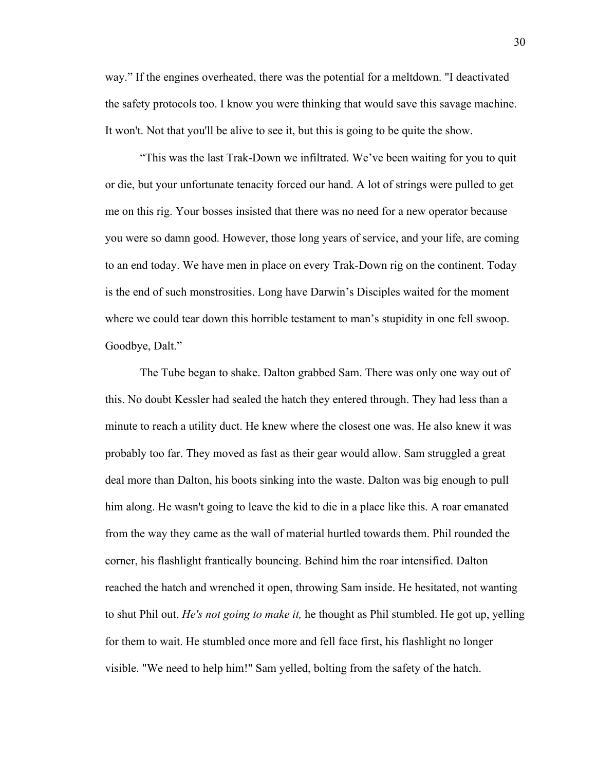way." If the engines overheated, there was the potential for a meltdown. "I deactivated the safety protocols too. I know you were thinking that would save this savage machine. It won't. Not that you'll be alive to see it, but this is going to be quite the show.

"This was the last Trak-Down we infiltrated. We've been waiting for you to quit or die, but your unfortunate tenacity forced our hand. A lot of strings were pulled to get me on this rig. Your bosses insisted that there was no need for a new operator because you were so damn good. However, those long years of service, and your life, are coming to an end today. We have men in place on every Trak-Down rig on the continent. Today is the end of such monstrosities. Long have Darwin's Disciples waited for the moment where we could tear down this horrible testament to man's stupidity in one fell swoop. Goodbye, Dalt."

The Tube began to shake. Dalton grabbed Sam. There was only one way out of this. No doubt Kessler had sealed the hatch they entered through. They had less than a minute to reach a utility duct. He knew where the closest one was. He also knew it was probably too far. They moved as fast as their gear would allow. Sam struggled a great deal more than Dalton, his boots sinking into the waste. Dalton was big enough to pull him along. He wasn't going to leave the kid to die in a place like this. A roar emanated from the way they came as the wall of material hurtled towards them. Phil rounded the corner, his flashlight frantically bouncing. Behind him the roar intensified. Dalton reached the hatch and wrenched it open, throwing Sam inside. He hesitated, not wanting to shut Phil out. *He's not going to make it,* he thought as Phil stumbled. He got up, yelling for them to wait. He stumbled once more and fell face first, his flashlight no longer visible. "We need to help him!" Sam yelled, bolting from the safety of the hatch.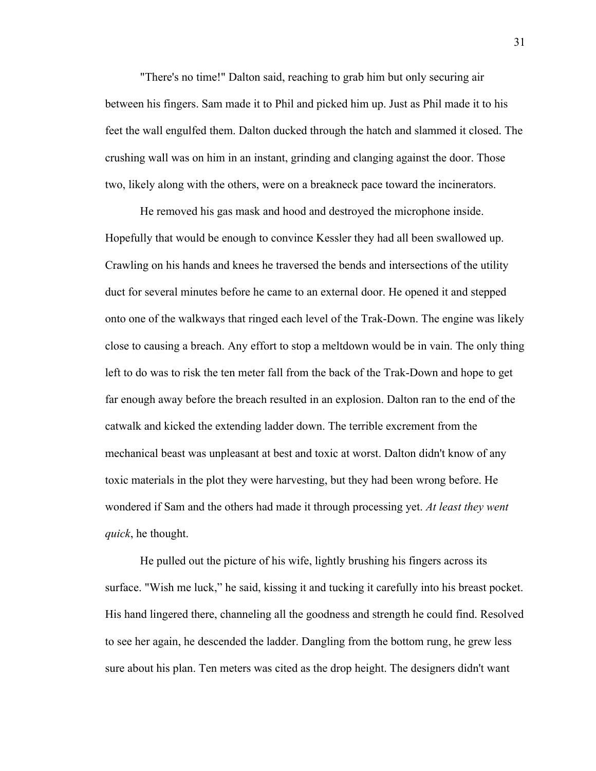"There's no time!" Dalton said, reaching to grab him but only securing air between his fingers. Sam made it to Phil and picked him up. Just as Phil made it to his feet the wall engulfed them. Dalton ducked through the hatch and slammed it closed. The crushing wall was on him in an instant, grinding and clanging against the door. Those two, likely along with the others, were on a breakneck pace toward the incinerators.

He removed his gas mask and hood and destroyed the microphone inside. Hopefully that would be enough to convince Kessler they had all been swallowed up. Crawling on his hands and knees he traversed the bends and intersections of the utility duct for several minutes before he came to an external door. He opened it and stepped onto one of the walkways that ringed each level of the Trak-Down. The engine was likely close to causing a breach. Any effort to stop a meltdown would be in vain. The only thing left to do was to risk the ten meter fall from the back of the Trak-Down and hope to get far enough away before the breach resulted in an explosion. Dalton ran to the end of the catwalk and kicked the extending ladder down. The terrible excrement from the mechanical beast was unpleasant at best and toxic at worst. Dalton didn't know of any toxic materials in the plot they were harvesting, but they had been wrong before. He wondered if Sam and the others had made it through processing yet. *At least they went quick*, he thought.

He pulled out the picture of his wife, lightly brushing his fingers across its surface. "Wish me luck," he said, kissing it and tucking it carefully into his breast pocket. His hand lingered there, channeling all the goodness and strength he could find. Resolved to see her again, he descended the ladder. Dangling from the bottom rung, he grew less sure about his plan. Ten meters was cited as the drop height. The designers didn't want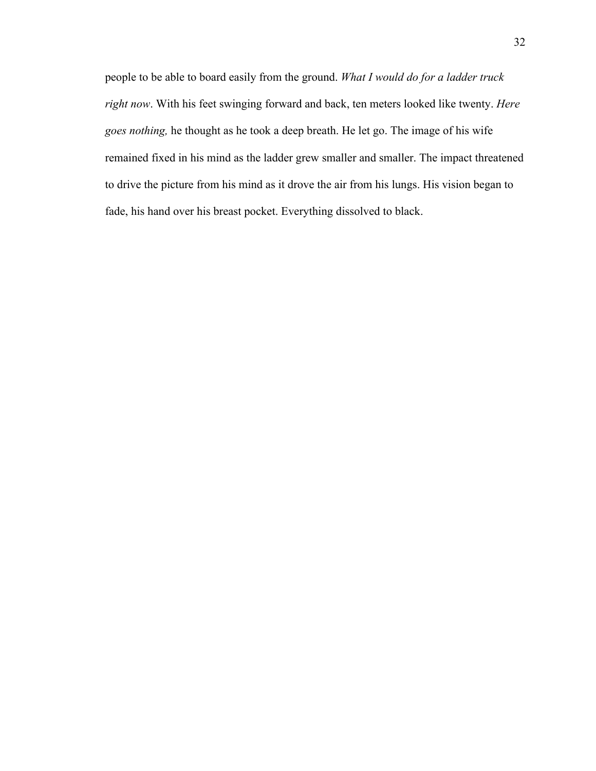people to be able to board easily from the ground. *What I would do for a ladder truck right now*. With his feet swinging forward and back, ten meters looked like twenty. *Here goes nothing,* he thought as he took a deep breath. He let go. The image of his wife remained fixed in his mind as the ladder grew smaller and smaller. The impact threatened to drive the picture from his mind as it drove the air from his lungs. His vision began to fade, his hand over his breast pocket. Everything dissolved to black.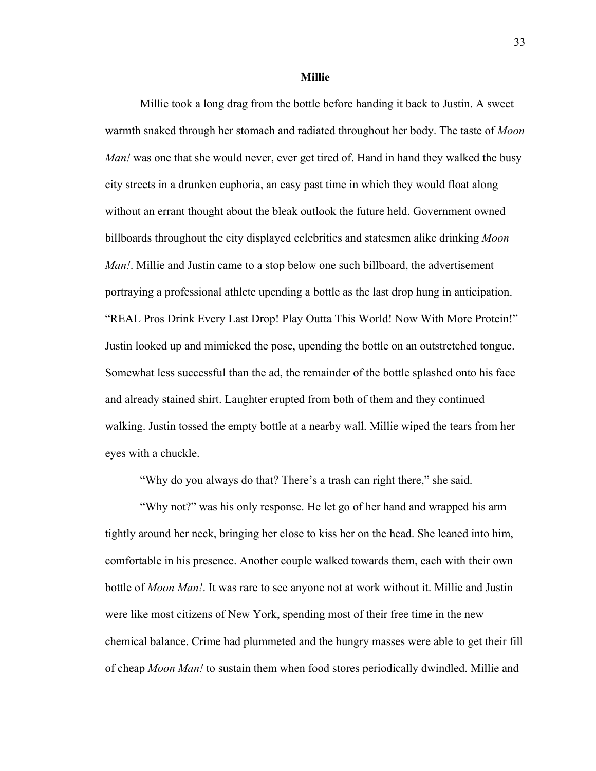**Millie**

Millie took a long drag from the bottle before handing it back to Justin. A sweet warmth snaked through her stomach and radiated throughout her body. The taste of *Moon Man!* was one that she would never, ever get tired of. Hand in hand they walked the busy city streets in a drunken euphoria, an easy past time in which they would float along without an errant thought about the bleak outlook the future held. Government owned billboards throughout the city displayed celebrities and statesmen alike drinking *Moon Man!*. Millie and Justin came to a stop below one such billboard, the advertisement portraying a professional athlete upending a bottle as the last drop hung in anticipation. "REAL Pros Drink Every Last Drop! Play Outta This World! Now With More Protein!" Justin looked up and mimicked the pose, upending the bottle on an outstretched tongue. Somewhat less successful than the ad, the remainder of the bottle splashed onto his face and already stained shirt. Laughter erupted from both of them and they continued walking. Justin tossed the empty bottle at a nearby wall. Millie wiped the tears from her eyes with a chuckle.

"Why do you always do that? There's a trash can right there," she said.

"Why not?" was his only response. He let go of her hand and wrapped his arm tightly around her neck, bringing her close to kiss her on the head. She leaned into him, comfortable in his presence. Another couple walked towards them, each with their own bottle of *Moon Man!*. It was rare to see anyone not at work without it. Millie and Justin were like most citizens of New York, spending most of their free time in the new chemical balance. Crime had plummeted and the hungry masses were able to get their fill of cheap *Moon Man!* to sustain them when food stores periodically dwindled. Millie and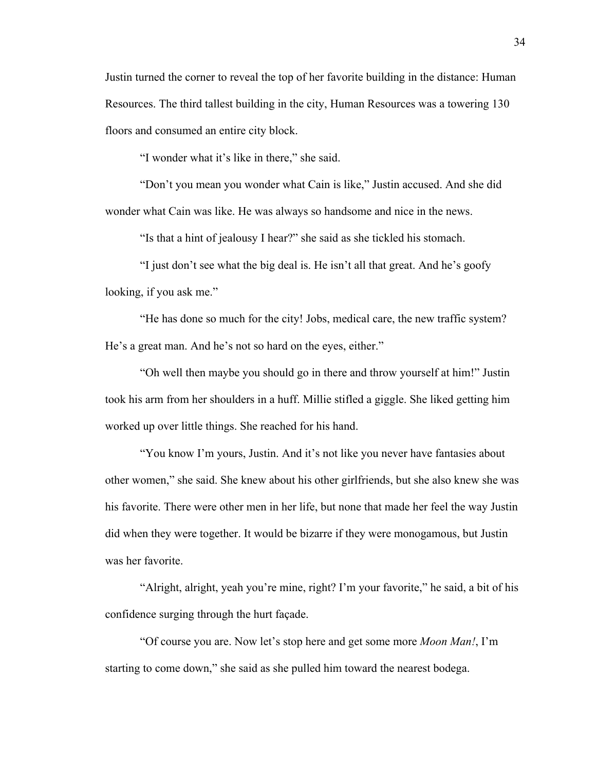Justin turned the corner to reveal the top of her favorite building in the distance: Human Resources. The third tallest building in the city, Human Resources was a towering 130 floors and consumed an entire city block.

"I wonder what it's like in there," she said.

"Don't you mean you wonder what Cain is like," Justin accused. And she did wonder what Cain was like. He was always so handsome and nice in the news.

"Is that a hint of jealousy I hear?" she said as she tickled his stomach.

"I just don't see what the big deal is. He isn't all that great. And he's goofy looking, if you ask me."

"He has done so much for the city! Jobs, medical care, the new traffic system? He's a great man. And he's not so hard on the eyes, either."

"Oh well then maybe you should go in there and throw yourself at him!" Justin took his arm from her shoulders in a huff. Millie stifled a giggle. She liked getting him worked up over little things. She reached for his hand.

"You know I'm yours, Justin. And it's not like you never have fantasies about other women," she said. She knew about his other girlfriends, but she also knew she was his favorite. There were other men in her life, but none that made her feel the way Justin did when they were together. It would be bizarre if they were monogamous, but Justin was her favorite.

"Alright, alright, yeah you're mine, right? I'm your favorite," he said, a bit of his confidence surging through the hurt façade.

"Of course you are. Now let's stop here and get some more *Moon Man!*, I'm starting to come down," she said as she pulled him toward the nearest bodega.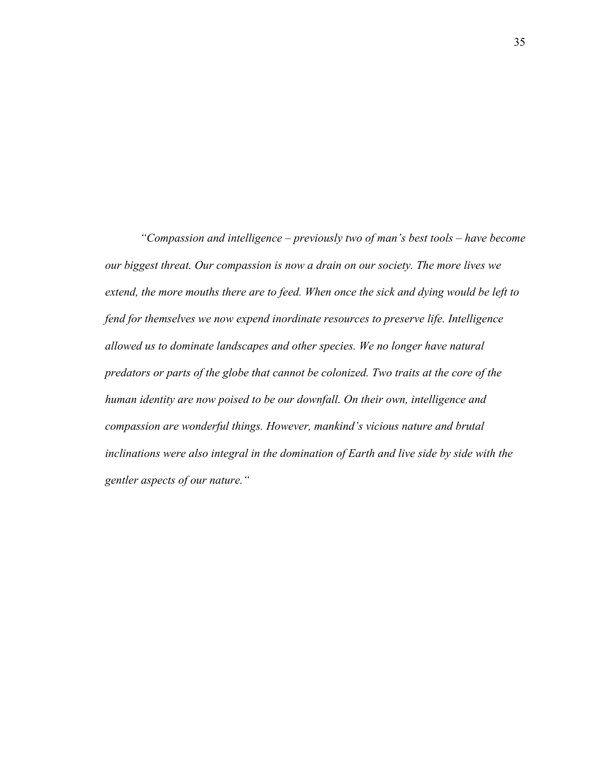*"Compassion and intelligence – previously two of man's best tools – have become our biggest threat. Our compassion is now a drain on our society. The more lives we extend, the more mouths there are to feed. When once the sick and dying would be left to fend for themselves we now expend inordinate resources to preserve life. Intelligence allowed us to dominate landscapes and other species. We no longer have natural predators or parts of the globe that cannot be colonized. Two traits at the core of the human identity are now poised to be our downfall. On their own, intelligence and compassion are wonderful things. However, mankind's vicious nature and brutal inclinations were also integral in the domination of Earth and live side by side with the gentler aspects of our nature."*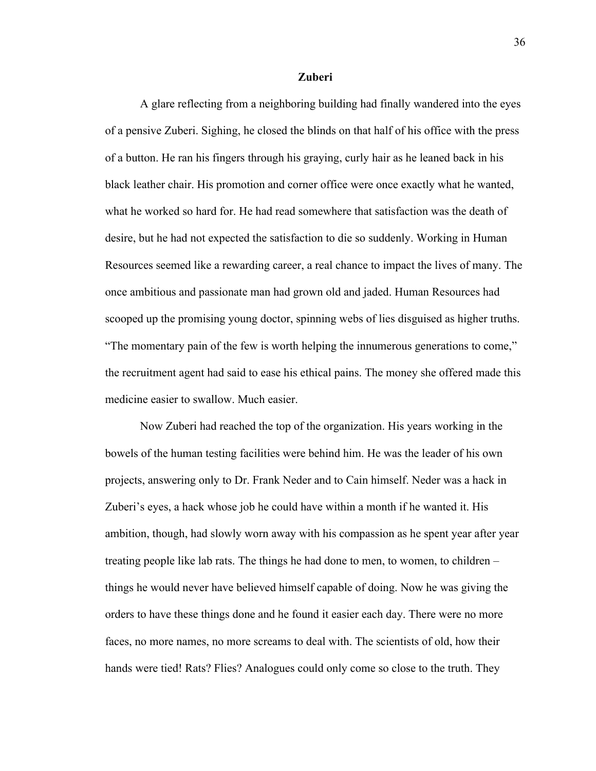### **Zuberi**

A glare reflecting from a neighboring building had finally wandered into the eyes of a pensive Zuberi. Sighing, he closed the blinds on that half of his office with the press of a button. He ran his fingers through his graying, curly hair as he leaned back in his black leather chair. His promotion and corner office were once exactly what he wanted, what he worked so hard for. He had read somewhere that satisfaction was the death of desire, but he had not expected the satisfaction to die so suddenly. Working in Human Resources seemed like a rewarding career, a real chance to impact the lives of many. The once ambitious and passionate man had grown old and jaded. Human Resources had scooped up the promising young doctor, spinning webs of lies disguised as higher truths. "The momentary pain of the few is worth helping the innumerous generations to come," the recruitment agent had said to ease his ethical pains. The money she offered made this medicine easier to swallow. Much easier.

Now Zuberi had reached the top of the organization. His years working in the bowels of the human testing facilities were behind him. He was the leader of his own projects, answering only to Dr. Frank Neder and to Cain himself. Neder was a hack in Zuberi's eyes, a hack whose job he could have within a month if he wanted it. His ambition, though, had slowly worn away with his compassion as he spent year after year treating people like lab rats. The things he had done to men, to women, to children – things he would never have believed himself capable of doing. Now he was giving the orders to have these things done and he found it easier each day. There were no more faces, no more names, no more screams to deal with. The scientists of old, how their hands were tied! Rats? Flies? Analogues could only come so close to the truth. They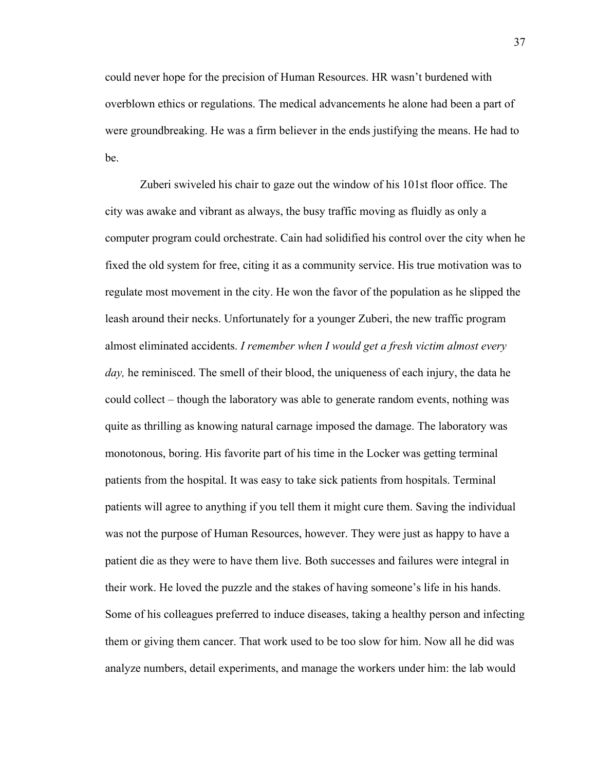could never hope for the precision of Human Resources. HR wasn't burdened with overblown ethics or regulations. The medical advancements he alone had been a part of were groundbreaking. He was a firm believer in the ends justifying the means. He had to be.

Zuberi swiveled his chair to gaze out the window of his 101st floor office. The city was awake and vibrant as always, the busy traffic moving as fluidly as only a computer program could orchestrate. Cain had solidified his control over the city when he fixed the old system for free, citing it as a community service. His true motivation was to regulate most movement in the city. He won the favor of the population as he slipped the leash around their necks. Unfortunately for a younger Zuberi, the new traffic program almost eliminated accidents. *I remember when I would get a fresh victim almost every day,* he reminisced. The smell of their blood, the uniqueness of each injury, the data he could collect – though the laboratory was able to generate random events, nothing was quite as thrilling as knowing natural carnage imposed the damage. The laboratory was monotonous, boring. His favorite part of his time in the Locker was getting terminal patients from the hospital. It was easy to take sick patients from hospitals. Terminal patients will agree to anything if you tell them it might cure them. Saving the individual was not the purpose of Human Resources, however. They were just as happy to have a patient die as they were to have them live. Both successes and failures were integral in their work. He loved the puzzle and the stakes of having someone's life in his hands. Some of his colleagues preferred to induce diseases, taking a healthy person and infecting them or giving them cancer. That work used to be too slow for him. Now all he did was analyze numbers, detail experiments, and manage the workers under him: the lab would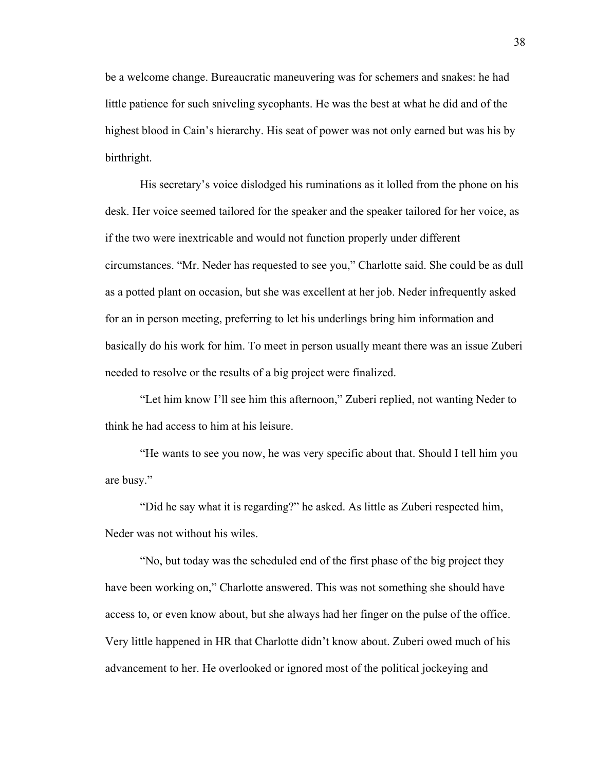be a welcome change. Bureaucratic maneuvering was for schemers and snakes: he had little patience for such sniveling sycophants. He was the best at what he did and of the highest blood in Cain's hierarchy. His seat of power was not only earned but was his by birthright.

His secretary's voice dislodged his ruminations as it lolled from the phone on his desk. Her voice seemed tailored for the speaker and the speaker tailored for her voice, as if the two were inextricable and would not function properly under different circumstances. "Mr. Neder has requested to see you," Charlotte said. She could be as dull as a potted plant on occasion, but she was excellent at her job. Neder infrequently asked for an in person meeting, preferring to let his underlings bring him information and basically do his work for him. To meet in person usually meant there was an issue Zuberi needed to resolve or the results of a big project were finalized.

"Let him know I'll see him this afternoon," Zuberi replied, not wanting Neder to think he had access to him at his leisure.

"He wants to see you now, he was very specific about that. Should I tell him you are busy."

"Did he say what it is regarding?" he asked. As little as Zuberi respected him, Neder was not without his wiles.

"No, but today was the scheduled end of the first phase of the big project they have been working on," Charlotte answered. This was not something she should have access to, or even know about, but she always had her finger on the pulse of the office. Very little happened in HR that Charlotte didn't know about. Zuberi owed much of his advancement to her. He overlooked or ignored most of the political jockeying and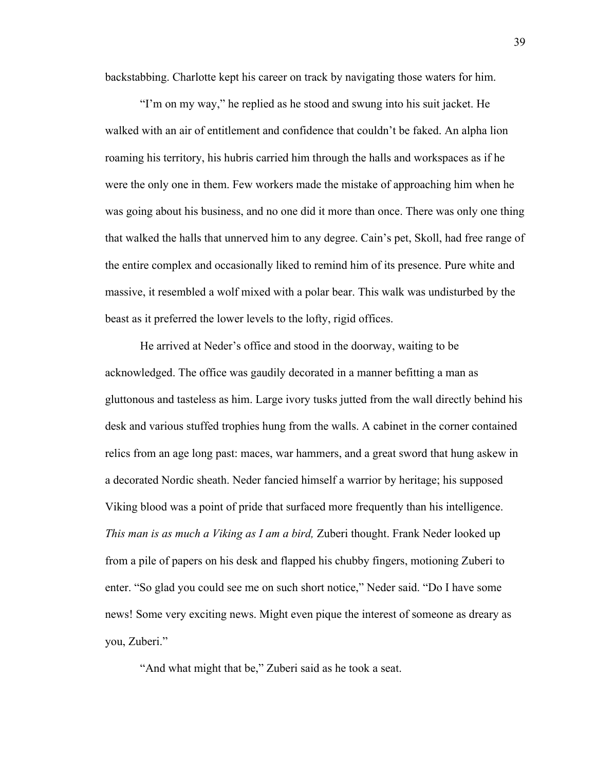backstabbing. Charlotte kept his career on track by navigating those waters for him.

"I'm on my way," he replied as he stood and swung into his suit jacket. He walked with an air of entitlement and confidence that couldn't be faked. An alpha lion roaming his territory, his hubris carried him through the halls and workspaces as if he were the only one in them. Few workers made the mistake of approaching him when he was going about his business, and no one did it more than once. There was only one thing that walked the halls that unnerved him to any degree. Cain's pet, Skoll, had free range of the entire complex and occasionally liked to remind him of its presence. Pure white and massive, it resembled a wolf mixed with a polar bear. This walk was undisturbed by the beast as it preferred the lower levels to the lofty, rigid offices.

He arrived at Neder's office and stood in the doorway, waiting to be acknowledged. The office was gaudily decorated in a manner befitting a man as gluttonous and tasteless as him. Large ivory tusks jutted from the wall directly behind his desk and various stuffed trophies hung from the walls. A cabinet in the corner contained relics from an age long past: maces, war hammers, and a great sword that hung askew in a decorated Nordic sheath. Neder fancied himself a warrior by heritage; his supposed Viking blood was a point of pride that surfaced more frequently than his intelligence. *This man is as much a Viking as I am a bird,* Zuberi thought. Frank Neder looked up from a pile of papers on his desk and flapped his chubby fingers, motioning Zuberi to enter. "So glad you could see me on such short notice," Neder said. "Do I have some news! Some very exciting news. Might even pique the interest of someone as dreary as you, Zuberi."

"And what might that be," Zuberi said as he took a seat.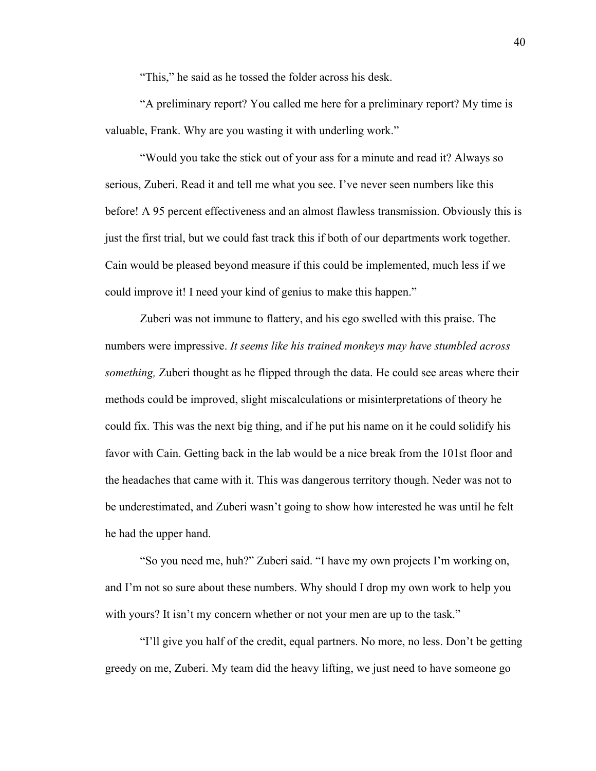"This," he said as he tossed the folder across his desk.

"A preliminary report? You called me here for a preliminary report? My time is valuable, Frank. Why are you wasting it with underling work."

"Would you take the stick out of your ass for a minute and read it? Always so serious, Zuberi. Read it and tell me what you see. I've never seen numbers like this before! A 95 percent effectiveness and an almost flawless transmission. Obviously this is just the first trial, but we could fast track this if both of our departments work together. Cain would be pleased beyond measure if this could be implemented, much less if we could improve it! I need your kind of genius to make this happen."

Zuberi was not immune to flattery, and his ego swelled with this praise. The numbers were impressive. *It seems like his trained monkeys may have stumbled across something,* Zuberi thought as he flipped through the data. He could see areas where their methods could be improved, slight miscalculations or misinterpretations of theory he could fix. This was the next big thing, and if he put his name on it he could solidify his favor with Cain. Getting back in the lab would be a nice break from the 101st floor and the headaches that came with it. This was dangerous territory though. Neder was not to be underestimated, and Zuberi wasn't going to show how interested he was until he felt he had the upper hand.

"So you need me, huh?" Zuberi said. "I have my own projects I'm working on, and I'm not so sure about these numbers. Why should I drop my own work to help you with yours? It isn't my concern whether or not your men are up to the task."

"I'll give you half of the credit, equal partners. No more, no less. Don't be getting greedy on me, Zuberi. My team did the heavy lifting, we just need to have someone go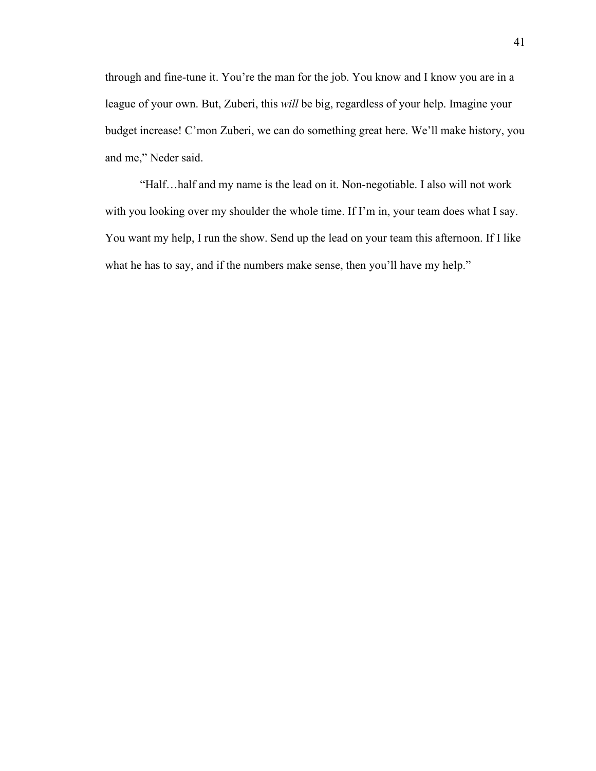through and fine-tune it. You're the man for the job. You know and I know you are in a league of your own. But, Zuberi, this *will* be big, regardless of your help. Imagine your budget increase! C'mon Zuberi, we can do something great here. We'll make history, you and me," Neder said.

"Half…half and my name is the lead on it. Non-negotiable. I also will not work with you looking over my shoulder the whole time. If I'm in, your team does what I say. You want my help, I run the show. Send up the lead on your team this afternoon. If I like what he has to say, and if the numbers make sense, then you'll have my help."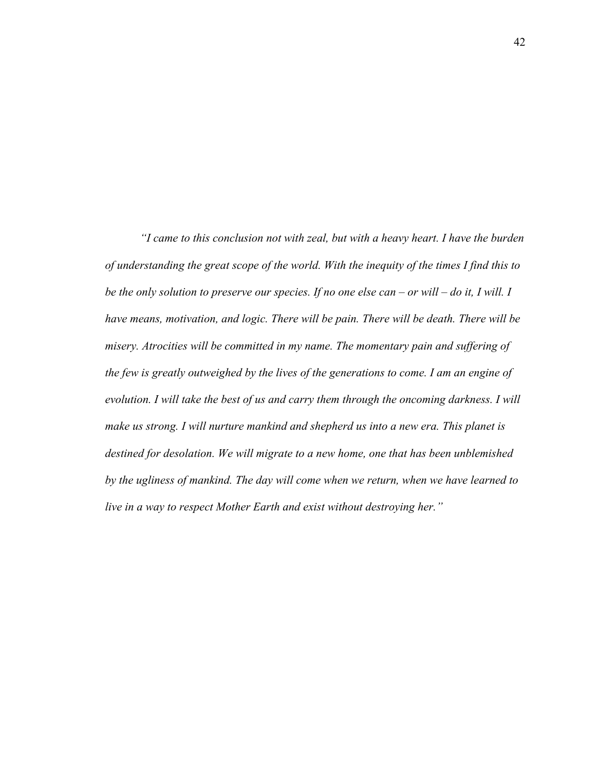*"I came to this conclusion not with zeal, but with a heavy heart. I have the burden of understanding the great scope of the world. With the inequity of the times I find this to be the only solution to preserve our species. If no one else can – or will – do it, I will. I have means, motivation, and logic. There will be pain. There will be death. There will be misery. Atrocities will be committed in my name. The momentary pain and suffering of the few is greatly outweighed by the lives of the generations to come. I am an engine of evolution. I will take the best of us and carry them through the oncoming darkness. I will make us strong. I will nurture mankind and shepherd us into a new era. This planet is destined for desolation. We will migrate to a new home, one that has been unblemished by the ugliness of mankind. The day will come when we return, when we have learned to live in a way to respect Mother Earth and exist without destroying her."*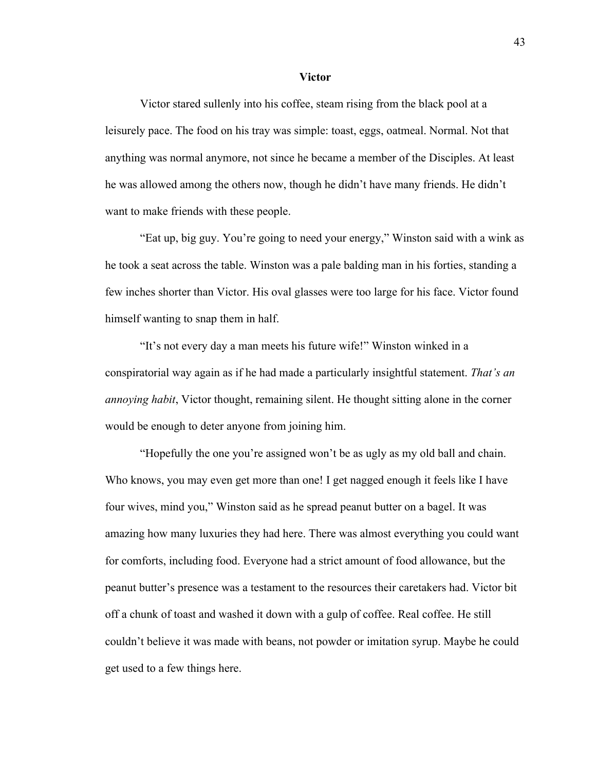#### **Victor**

Victor stared sullenly into his coffee, steam rising from the black pool at a leisurely pace. The food on his tray was simple: toast, eggs, oatmeal. Normal. Not that anything was normal anymore, not since he became a member of the Disciples. At least he was allowed among the others now, though he didn't have many friends. He didn't want to make friends with these people.

"Eat up, big guy. You're going to need your energy," Winston said with a wink as he took a seat across the table. Winston was a pale balding man in his forties, standing a few inches shorter than Victor. His oval glasses were too large for his face. Victor found himself wanting to snap them in half.

"It's not every day a man meets his future wife!" Winston winked in a conspiratorial way again as if he had made a particularly insightful statement. *That's an annoying habit*, Victor thought, remaining silent. He thought sitting alone in the corner would be enough to deter anyone from joining him.

"Hopefully the one you're assigned won't be as ugly as my old ball and chain. Who knows, you may even get more than one! I get nagged enough it feels like I have four wives, mind you," Winston said as he spread peanut butter on a bagel. It was amazing how many luxuries they had here. There was almost everything you could want for comforts, including food. Everyone had a strict amount of food allowance, but the peanut butter's presence was a testament to the resources their caretakers had. Victor bit off a chunk of toast and washed it down with a gulp of coffee. Real coffee. He still couldn't believe it was made with beans, not powder or imitation syrup. Maybe he could get used to a few things here.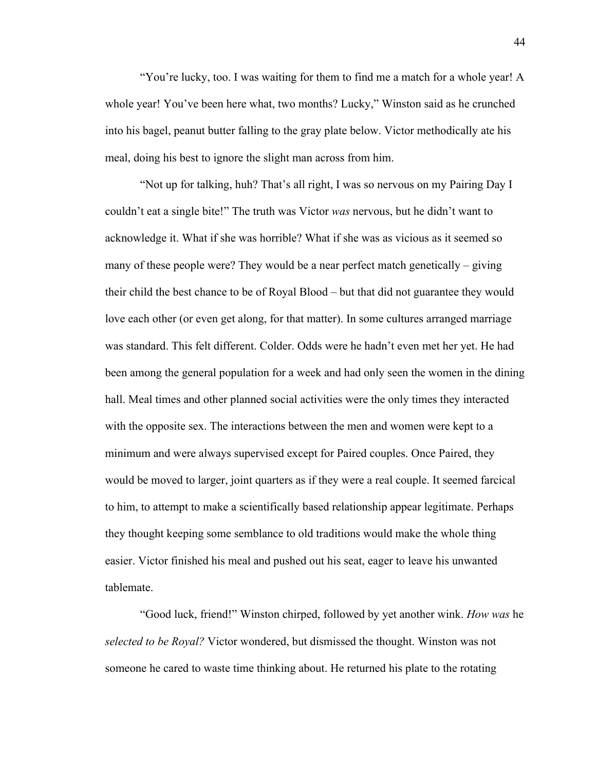"You're lucky, too. I was waiting for them to find me a match for a whole year! A whole year! You've been here what, two months? Lucky," Winston said as he crunched into his bagel, peanut butter falling to the gray plate below. Victor methodically ate his meal, doing his best to ignore the slight man across from him.

"Not up for talking, huh? That's all right, I was so nervous on my Pairing Day I couldn't eat a single bite!" The truth was Victor *was* nervous, but he didn't want to acknowledge it. What if she was horrible? What if she was as vicious as it seemed so many of these people were? They would be a near perfect match genetically – giving their child the best chance to be of Royal Blood – but that did not guarantee they would love each other (or even get along, for that matter). In some cultures arranged marriage was standard. This felt different. Colder. Odds were he hadn't even met her yet. He had been among the general population for a week and had only seen the women in the dining hall. Meal times and other planned social activities were the only times they interacted with the opposite sex. The interactions between the men and women were kept to a minimum and were always supervised except for Paired couples. Once Paired, they would be moved to larger, joint quarters as if they were a real couple. It seemed farcical to him, to attempt to make a scientifically based relationship appear legitimate. Perhaps they thought keeping some semblance to old traditions would make the whole thing easier. Victor finished his meal and pushed out his seat, eager to leave his unwanted tablemate.

"Good luck, friend!" Winston chirped, followed by yet another wink. *How was* he *selected to be Royal?* Victor wondered, but dismissed the thought. Winston was not someone he cared to waste time thinking about. He returned his plate to the rotating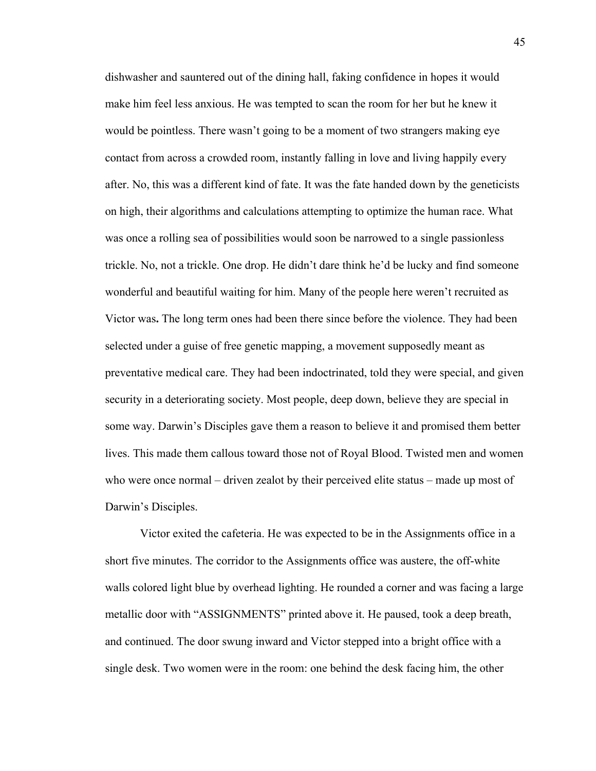dishwasher and sauntered out of the dining hall, faking confidence in hopes it would make him feel less anxious. He was tempted to scan the room for her but he knew it would be pointless. There wasn't going to be a moment of two strangers making eye contact from across a crowded room, instantly falling in love and living happily every after. No, this was a different kind of fate. It was the fate handed down by the geneticists on high, their algorithms and calculations attempting to optimize the human race. What was once a rolling sea of possibilities would soon be narrowed to a single passionless trickle. No, not a trickle. One drop. He didn't dare think he'd be lucky and find someone wonderful and beautiful waiting for him. Many of the people here weren't recruited as Victor was**.** The long term ones had been there since before the violence. They had been selected under a guise of free genetic mapping, a movement supposedly meant as preventative medical care. They had been indoctrinated, told they were special, and given security in a deteriorating society. Most people, deep down, believe they are special in some way. Darwin's Disciples gave them a reason to believe it and promised them better lives. This made them callous toward those not of Royal Blood. Twisted men and women who were once normal – driven zealot by their perceived elite status – made up most of Darwin's Disciples.

Victor exited the cafeteria. He was expected to be in the Assignments office in a short five minutes. The corridor to the Assignments office was austere, the off-white walls colored light blue by overhead lighting. He rounded a corner and was facing a large metallic door with "ASSIGNMENTS" printed above it. He paused, took a deep breath, and continued. The door swung inward and Victor stepped into a bright office with a single desk. Two women were in the room: one behind the desk facing him, the other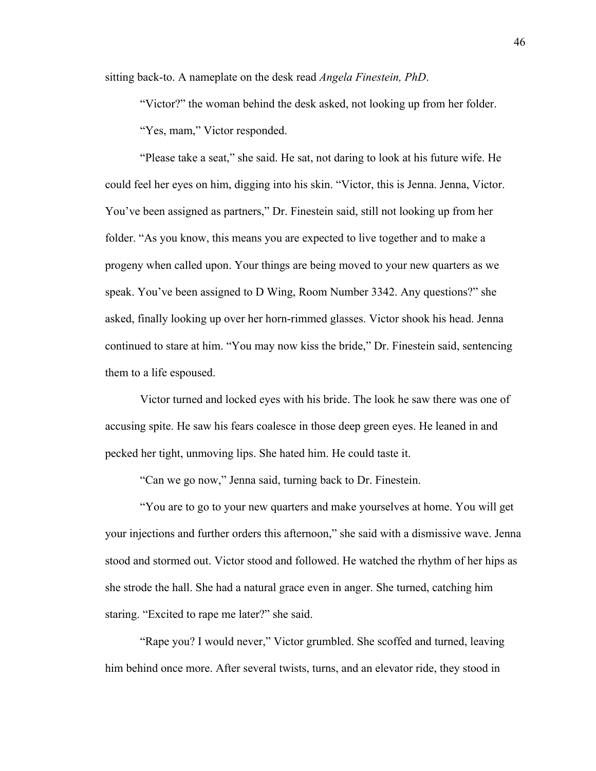sitting back-to. A nameplate on the desk read *Angela Finestein, PhD*.

"Victor?" the woman behind the desk asked, not looking up from her folder. "Yes, mam," Victor responded.

"Please take a seat," she said. He sat, not daring to look at his future wife. He could feel her eyes on him, digging into his skin. "Victor, this is Jenna. Jenna, Victor. You've been assigned as partners," Dr. Finestein said, still not looking up from her folder. "As you know, this means you are expected to live together and to make a progeny when called upon. Your things are being moved to your new quarters as we speak. You've been assigned to D Wing, Room Number 3342. Any questions?" she asked, finally looking up over her horn-rimmed glasses. Victor shook his head. Jenna continued to stare at him. "You may now kiss the bride," Dr. Finestein said, sentencing them to a life espoused.

Victor turned and locked eyes with his bride. The look he saw there was one of accusing spite. He saw his fears coalesce in those deep green eyes. He leaned in and pecked her tight, unmoving lips. She hated him. He could taste it.

"Can we go now," Jenna said, turning back to Dr. Finestein.

"You are to go to your new quarters and make yourselves at home. You will get your injections and further orders this afternoon," she said with a dismissive wave. Jenna stood and stormed out. Victor stood and followed. He watched the rhythm of her hips as she strode the hall. She had a natural grace even in anger. She turned, catching him staring. "Excited to rape me later?" she said.

"Rape you? I would never," Victor grumbled. She scoffed and turned, leaving him behind once more. After several twists, turns, and an elevator ride, they stood in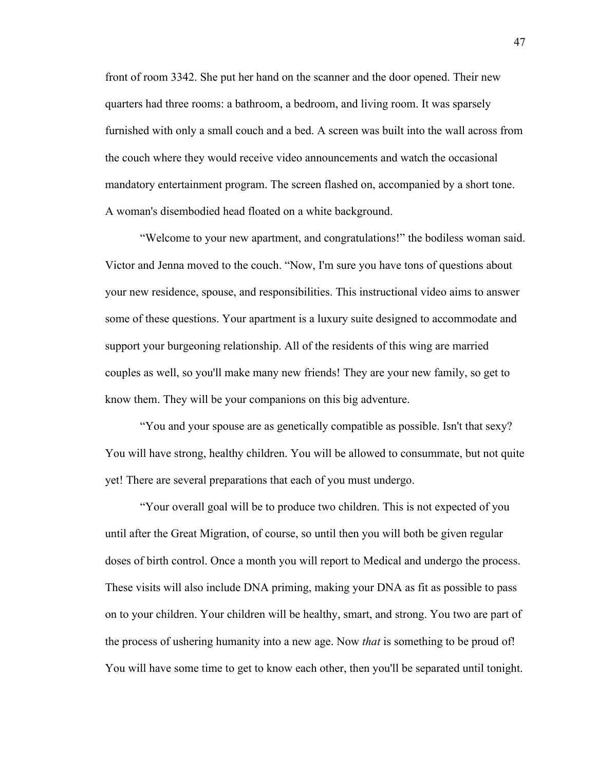front of room 3342. She put her hand on the scanner and the door opened. Their new quarters had three rooms: a bathroom, a bedroom, and living room. It was sparsely furnished with only a small couch and a bed. A screen was built into the wall across from the couch where they would receive video announcements and watch the occasional mandatory entertainment program. The screen flashed on, accompanied by a short tone. A woman's disembodied head floated on a white background.

"Welcome to your new apartment, and congratulations!" the bodiless woman said. Victor and Jenna moved to the couch. "Now, I'm sure you have tons of questions about your new residence, spouse, and responsibilities. This instructional video aims to answer some of these questions. Your apartment is a luxury suite designed to accommodate and support your burgeoning relationship. All of the residents of this wing are married couples as well, so you'll make many new friends! They are your new family, so get to know them. They will be your companions on this big adventure.

"You and your spouse are as genetically compatible as possible. Isn't that sexy? You will have strong, healthy children. You will be allowed to consummate, but not quite yet! There are several preparations that each of you must undergo.

"Your overall goal will be to produce two children. This is not expected of you until after the Great Migration, of course, so until then you will both be given regular doses of birth control. Once a month you will report to Medical and undergo the process. These visits will also include DNA priming, making your DNA as fit as possible to pass on to your children. Your children will be healthy, smart, and strong. You two are part of the process of ushering humanity into a new age. Now *that* is something to be proud of! You will have some time to get to know each other, then you'll be separated until tonight.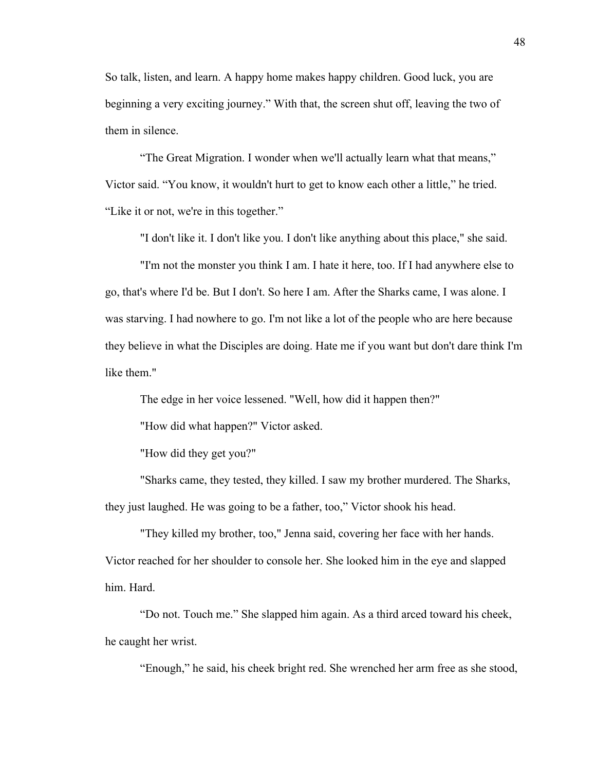So talk, listen, and learn. A happy home makes happy children. Good luck, you are beginning a very exciting journey." With that, the screen shut off, leaving the two of them in silence.

"The Great Migration. I wonder when we'll actually learn what that means," Victor said. "You know, it wouldn't hurt to get to know each other a little," he tried. "Like it or not, we're in this together."

"I don't like it. I don't like you. I don't like anything about this place," she said.

"I'm not the monster you think I am. I hate it here, too. If I had anywhere else to go, that's where I'd be. But I don't. So here I am. After the Sharks came, I was alone. I was starving. I had nowhere to go. I'm not like a lot of the people who are here because they believe in what the Disciples are doing. Hate me if you want but don't dare think I'm like them."

The edge in her voice lessened. "Well, how did it happen then?"

"How did what happen?" Victor asked.

"How did they get you?"

"Sharks came, they tested, they killed. I saw my brother murdered. The Sharks, they just laughed. He was going to be a father, too," Victor shook his head.

"They killed my brother, too," Jenna said, covering her face with her hands. Victor reached for her shoulder to console her. She looked him in the eye and slapped him. Hard.

"Do not. Touch me." She slapped him again. As a third arced toward his cheek, he caught her wrist.

"Enough," he said, his cheek bright red. She wrenched her arm free as she stood,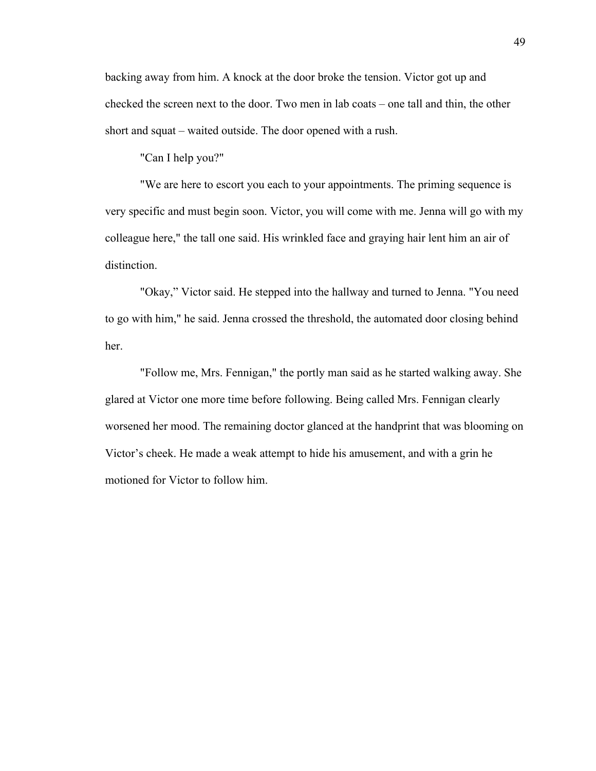backing away from him. A knock at the door broke the tension. Victor got up and checked the screen next to the door. Two men in lab coats – one tall and thin, the other short and squat – waited outside. The door opened with a rush.

"Can I help you?"

"We are here to escort you each to your appointments. The priming sequence is very specific and must begin soon. Victor, you will come with me. Jenna will go with my colleague here," the tall one said. His wrinkled face and graying hair lent him an air of distinction.

"Okay," Victor said. He stepped into the hallway and turned to Jenna. "You need to go with him," he said. Jenna crossed the threshold, the automated door closing behind her.

"Follow me, Mrs. Fennigan," the portly man said as he started walking away. She glared at Victor one more time before following. Being called Mrs. Fennigan clearly worsened her mood. The remaining doctor glanced at the handprint that was blooming on Victor's cheek. He made a weak attempt to hide his amusement, and with a grin he motioned for Victor to follow him.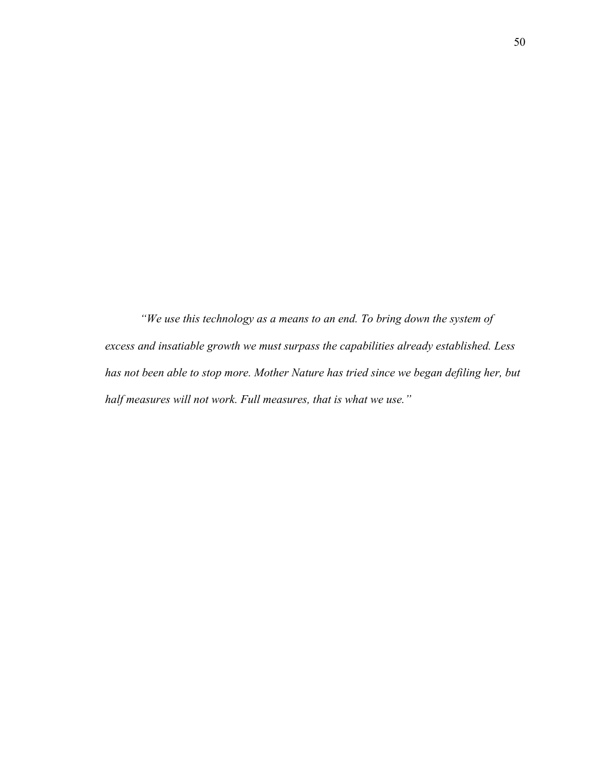*"We use this technology as a means to an end. To bring down the system of excess and insatiable growth we must surpass the capabilities already established. Less has not been able to stop more. Mother Nature has tried since we began defiling her, but half measures will not work. Full measures, that is what we use."*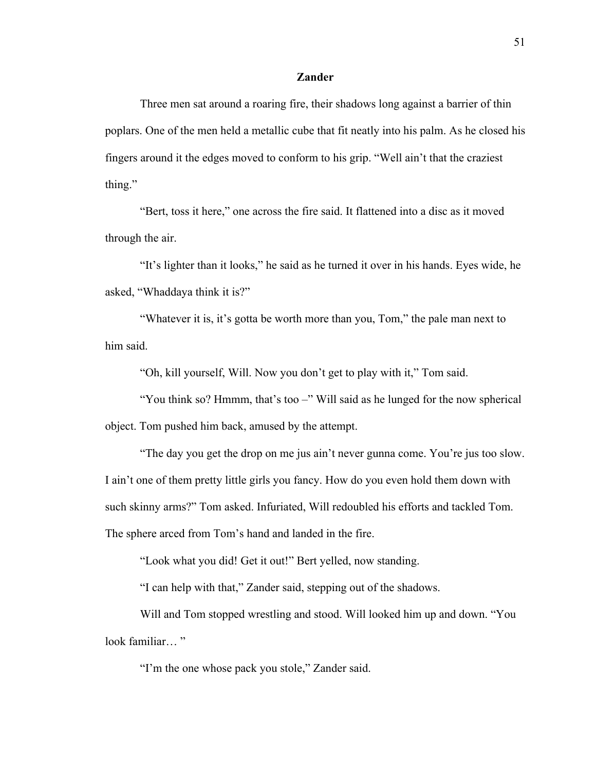# **Zander**

Three men sat around a roaring fire, their shadows long against a barrier of thin poplars. One of the men held a metallic cube that fit neatly into his palm. As he closed his fingers around it the edges moved to conform to his grip. "Well ain't that the craziest thing."

"Bert, toss it here," one across the fire said. It flattened into a disc as it moved through the air.

"It's lighter than it looks," he said as he turned it over in his hands. Eyes wide, he asked, "Whaddaya think it is?"

"Whatever it is, it's gotta be worth more than you, Tom," the pale man next to him said.

"Oh, kill yourself, Will. Now you don't get to play with it," Tom said.

"You think so? Hmmm, that's too –" Will said as he lunged for the now spherical object. Tom pushed him back, amused by the attempt.

"The day you get the drop on me jus ain't never gunna come. You're jus too slow. I ain't one of them pretty little girls you fancy. How do you even hold them down with such skinny arms?" Tom asked. Infuriated, Will redoubled his efforts and tackled Tom. The sphere arced from Tom's hand and landed in the fire.

"Look what you did! Get it out!" Bert yelled, now standing.

"I can help with that," Zander said, stepping out of the shadows.

Will and Tom stopped wrestling and stood. Will looked him up and down. "You look familiar..."

"I'm the one whose pack you stole," Zander said.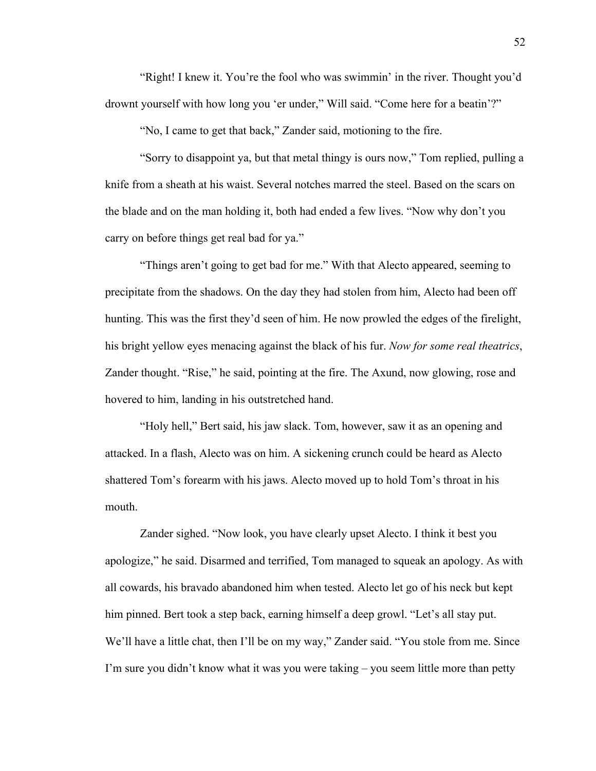"Right! I knew it. You're the fool who was swimmin' in the river. Thought you'd drownt yourself with how long you 'er under," Will said. "Come here for a beatin'?"

"No, I came to get that back," Zander said, motioning to the fire.

"Sorry to disappoint ya, but that metal thingy is ours now," Tom replied, pulling a knife from a sheath at his waist. Several notches marred the steel. Based on the scars on the blade and on the man holding it, both had ended a few lives. "Now why don't you carry on before things get real bad for ya."

"Things aren't going to get bad for me." With that Alecto appeared, seeming to precipitate from the shadows. On the day they had stolen from him, Alecto had been off hunting. This was the first they'd seen of him. He now prowled the edges of the firelight, his bright yellow eyes menacing against the black of his fur. *Now for some real theatrics*, Zander thought. "Rise," he said, pointing at the fire. The Axund, now glowing, rose and hovered to him, landing in his outstretched hand.

"Holy hell," Bert said, his jaw slack. Tom, however, saw it as an opening and attacked. In a flash, Alecto was on him. A sickening crunch could be heard as Alecto shattered Tom's forearm with his jaws. Alecto moved up to hold Tom's throat in his mouth.

Zander sighed. "Now look, you have clearly upset Alecto. I think it best you apologize," he said. Disarmed and terrified, Tom managed to squeak an apology. As with all cowards, his bravado abandoned him when tested. Alecto let go of his neck but kept him pinned. Bert took a step back, earning himself a deep growl. "Let's all stay put. We'll have a little chat, then I'll be on my way," Zander said. "You stole from me. Since I'm sure you didn't know what it was you were taking – you seem little more than petty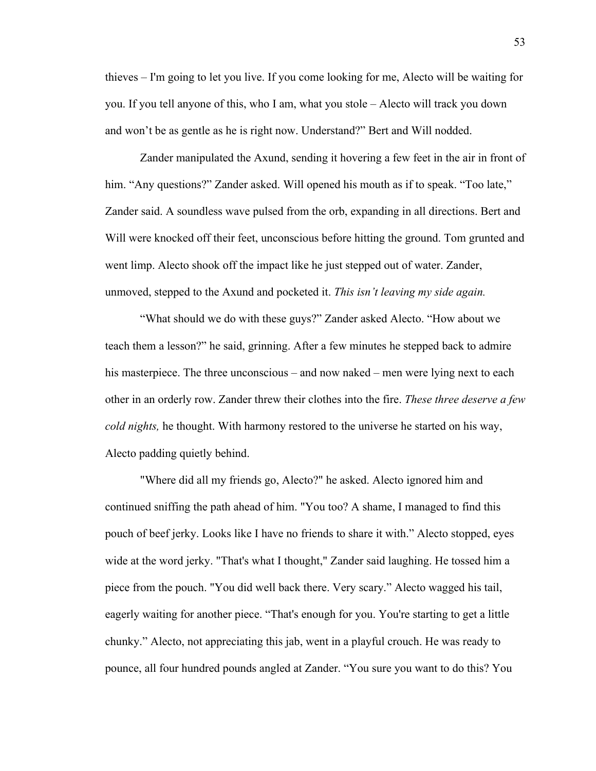thieves – I'm going to let you live. If you come looking for me, Alecto will be waiting for you. If you tell anyone of this, who I am, what you stole – Alecto will track you down and won't be as gentle as he is right now. Understand?" Bert and Will nodded.

Zander manipulated the Axund, sending it hovering a few feet in the air in front of him. "Any questions?" Zander asked. Will opened his mouth as if to speak. "Too late," Zander said. A soundless wave pulsed from the orb, expanding in all directions. Bert and Will were knocked off their feet, unconscious before hitting the ground. Tom grunted and went limp. Alecto shook off the impact like he just stepped out of water. Zander, unmoved, stepped to the Axund and pocketed it. *This isn't leaving my side again.*

"What should we do with these guys?" Zander asked Alecto. "How about we teach them a lesson?" he said, grinning. After a few minutes he stepped back to admire his masterpiece. The three unconscious – and now naked – men were lying next to each other in an orderly row. Zander threw their clothes into the fire. *These three deserve a few cold nights,* he thought. With harmony restored to the universe he started on his way, Alecto padding quietly behind.

"Where did all my friends go, Alecto?" he asked. Alecto ignored him and continued sniffing the path ahead of him. "You too? A shame, I managed to find this pouch of beef jerky. Looks like I have no friends to share it with." Alecto stopped, eyes wide at the word jerky. "That's what I thought," Zander said laughing. He tossed him a piece from the pouch. "You did well back there. Very scary." Alecto wagged his tail, eagerly waiting for another piece. "That's enough for you. You're starting to get a little chunky." Alecto, not appreciating this jab, went in a playful crouch. He was ready to pounce, all four hundred pounds angled at Zander. "You sure you want to do this? You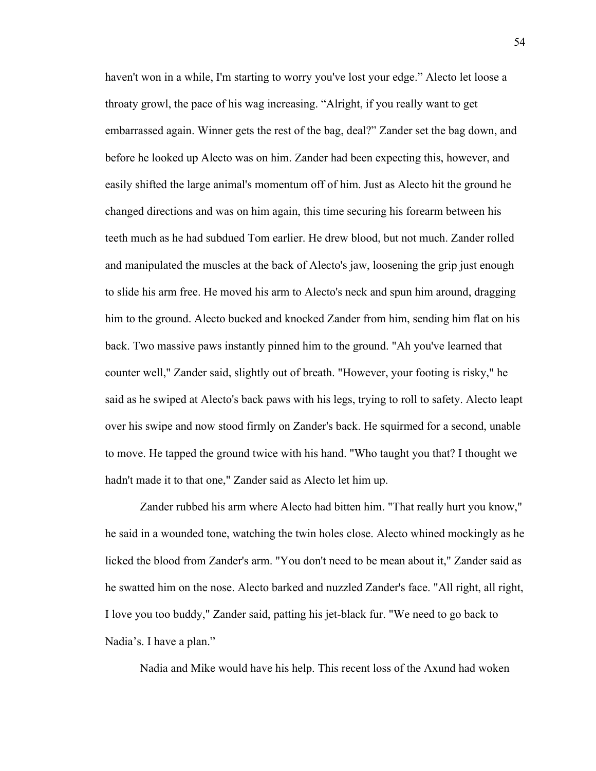haven't won in a while, I'm starting to worry you've lost your edge." Alecto let loose a throaty growl, the pace of his wag increasing. "Alright, if you really want to get embarrassed again. Winner gets the rest of the bag, deal?" Zander set the bag down, and before he looked up Alecto was on him. Zander had been expecting this, however, and easily shifted the large animal's momentum off of him. Just as Alecto hit the ground he changed directions and was on him again, this time securing his forearm between his teeth much as he had subdued Tom earlier. He drew blood, but not much. Zander rolled and manipulated the muscles at the back of Alecto's jaw, loosening the grip just enough to slide his arm free. He moved his arm to Alecto's neck and spun him around, dragging him to the ground. Alecto bucked and knocked Zander from him, sending him flat on his back. Two massive paws instantly pinned him to the ground. "Ah you've learned that counter well," Zander said, slightly out of breath. "However, your footing is risky," he said as he swiped at Alecto's back paws with his legs, trying to roll to safety. Alecto leapt over his swipe and now stood firmly on Zander's back. He squirmed for a second, unable to move. He tapped the ground twice with his hand. "Who taught you that? I thought we hadn't made it to that one," Zander said as Alecto let him up.

Zander rubbed his arm where Alecto had bitten him. "That really hurt you know," he said in a wounded tone, watching the twin holes close. Alecto whined mockingly as he licked the blood from Zander's arm. "You don't need to be mean about it," Zander said as he swatted him on the nose. Alecto barked and nuzzled Zander's face. "All right, all right, I love you too buddy," Zander said, patting his jet-black fur. "We need to go back to Nadia's. I have a plan."

Nadia and Mike would have his help. This recent loss of the Axund had woken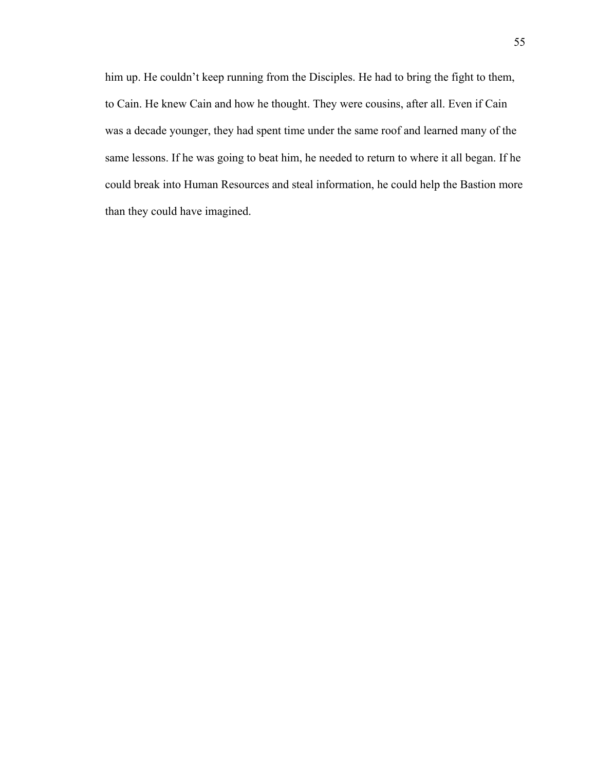him up. He couldn't keep running from the Disciples. He had to bring the fight to them, to Cain. He knew Cain and how he thought. They were cousins, after all. Even if Cain was a decade younger, they had spent time under the same roof and learned many of the same lessons. If he was going to beat him, he needed to return to where it all began. If he could break into Human Resources and steal information, he could help the Bastion more than they could have imagined.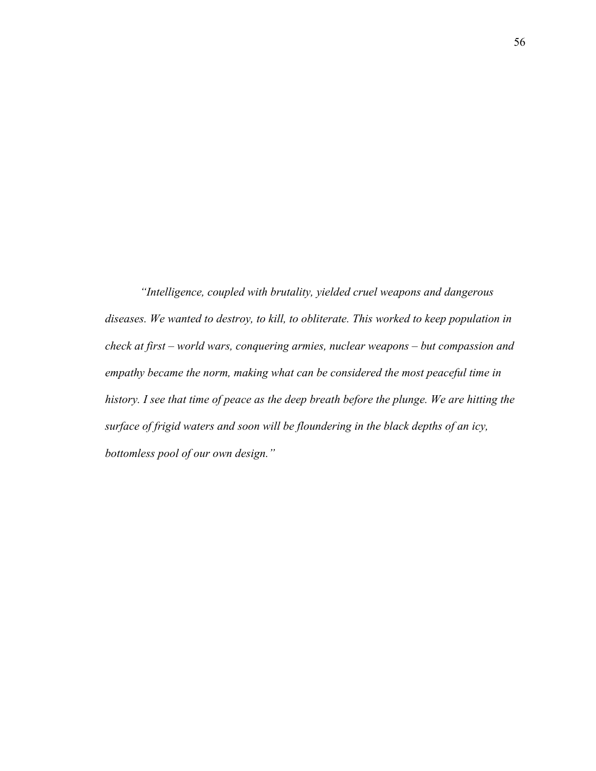*"Intelligence, coupled with brutality, yielded cruel weapons and dangerous diseases. We wanted to destroy, to kill, to obliterate. This worked to keep population in check at first – world wars, conquering armies, nuclear weapons – but compassion and empathy became the norm, making what can be considered the most peaceful time in history. I see that time of peace as the deep breath before the plunge. We are hitting the surface of frigid waters and soon will be floundering in the black depths of an icy, bottomless pool of our own design."*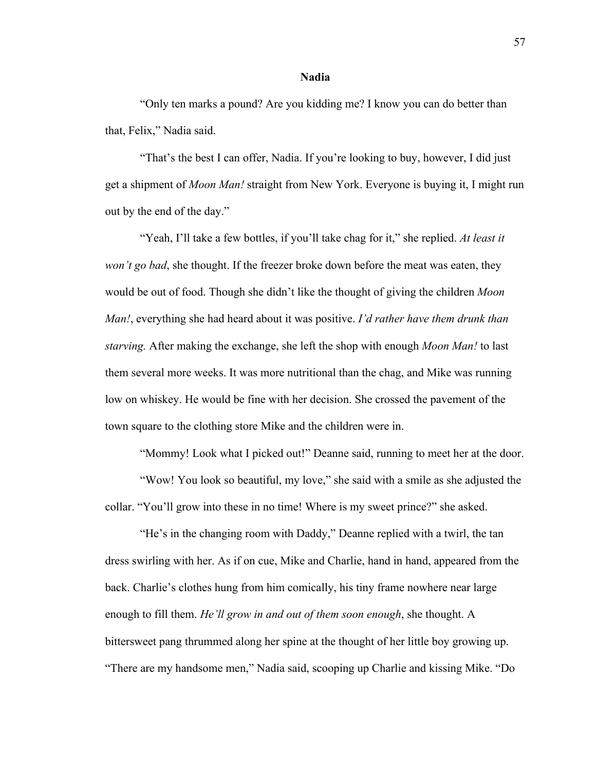#### **Nadia**

"Only ten marks a pound? Are you kidding me? I know you can do better than that, Felix," Nadia said.

"That's the best I can offer, Nadia. If you're looking to buy, however, I did just get a shipment of *Moon Man!* straight from New York. Everyone is buying it, I might run out by the end of the day."

"Yeah, I'll take a few bottles, if you'll take chag for it," she replied. *At least it won't go bad*, she thought. If the freezer broke down before the meat was eaten, they would be out of food. Though she didn't like the thought of giving the children *Moon Man!*, everything she had heard about it was positive. *I'd rather have them drunk than starving.* After making the exchange, she left the shop with enough *Moon Man!* to last them several more weeks. It was more nutritional than the chag, and Mike was running low on whiskey. He would be fine with her decision. She crossed the pavement of the town square to the clothing store Mike and the children were in.

"Mommy! Look what I picked out!" Deanne said, running to meet her at the door.

"Wow! You look so beautiful, my love," she said with a smile as she adjusted the collar. "You'll grow into these in no time! Where is my sweet prince?" she asked.

"He's in the changing room with Daddy," Deanne replied with a twirl, the tan dress swirling with her. As if on cue, Mike and Charlie, hand in hand, appeared from the back. Charlie's clothes hung from him comically, his tiny frame nowhere near large enough to fill them. *He'll grow in and out of them soon enough*, she thought. A bittersweet pang thrummed along her spine at the thought of her little boy growing up. "There are my handsome men," Nadia said, scooping up Charlie and kissing Mike. "Do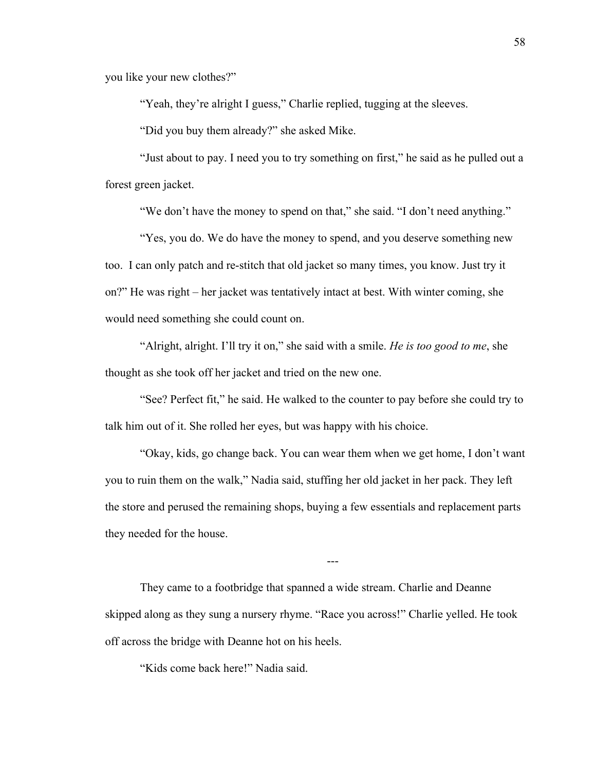you like your new clothes?"

"Yeah, they're alright I guess," Charlie replied, tugging at the sleeves.

"Did you buy them already?" she asked Mike.

"Just about to pay. I need you to try something on first," he said as he pulled out a forest green jacket.

"We don't have the money to spend on that," she said. "I don't need anything."

"Yes, you do. We do have the money to spend, and you deserve something new too. I can only patch and re-stitch that old jacket so many times, you know. Just try it on?" He was right – her jacket was tentatively intact at best. With winter coming, she would need something she could count on.

"Alright, alright. I'll try it on," she said with a smile. *He is too good to me*, she thought as she took off her jacket and tried on the new one.

"See? Perfect fit," he said. He walked to the counter to pay before she could try to talk him out of it. She rolled her eyes, but was happy with his choice.

"Okay, kids, go change back. You can wear them when we get home, I don't want you to ruin them on the walk," Nadia said, stuffing her old jacket in her pack. They left the store and perused the remaining shops, buying a few essentials and replacement parts they needed for the house.

---

They came to a footbridge that spanned a wide stream. Charlie and Deanne skipped along as they sung a nursery rhyme. "Race you across!" Charlie yelled. He took off across the bridge with Deanne hot on his heels.

"Kids come back here!" Nadia said.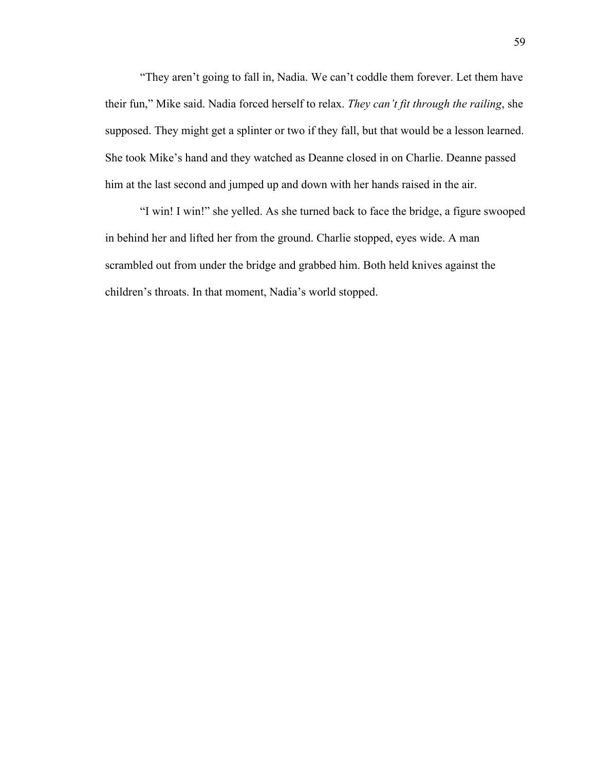"They aren't going to fall in, Nadia. We can't coddle them forever. Let them have their fun," Mike said. Nadia forced herself to relax. *They can't fit through the railing*, she supposed. They might get a splinter or two if they fall, but that would be a lesson learned. She took Mike's hand and they watched as Deanne closed in on Charlie. Deanne passed him at the last second and jumped up and down with her hands raised in the air.

"I win! I win!" she yelled. As she turned back to face the bridge, a figure swooped in behind her and lifted her from the ground. Charlie stopped, eyes wide. A man scrambled out from under the bridge and grabbed him. Both held knives against the children's throats. In that moment, Nadia's world stopped.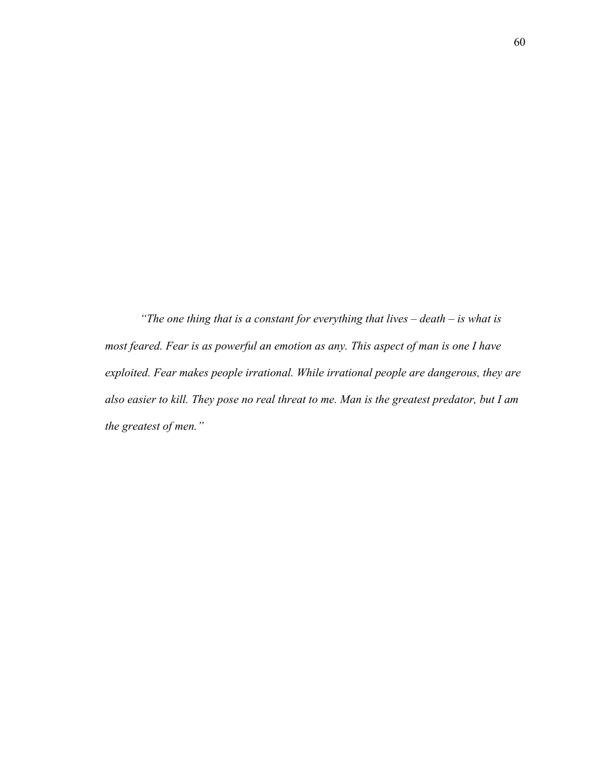*"The one thing that is a constant for everything that lives – death – is what is most feared. Fear is as powerful an emotion as any. This aspect of man is one I have exploited. Fear makes people irrational. While irrational people are dangerous, they are also easier to kill. They pose no real threat to me. Man is the greatest predator, but I am the greatest of men."*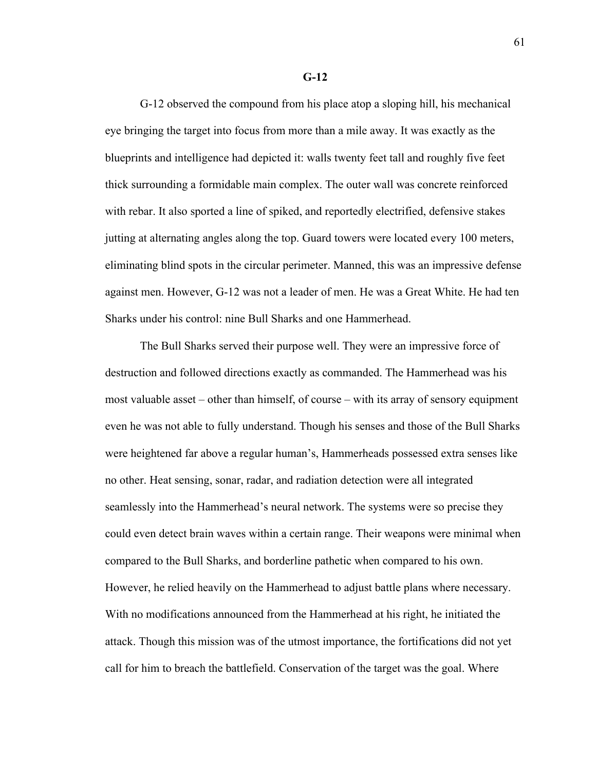G-12 observed the compound from his place atop a sloping hill, his mechanical eye bringing the target into focus from more than a mile away. It was exactly as the blueprints and intelligence had depicted it: walls twenty feet tall and roughly five feet thick surrounding a formidable main complex. The outer wall was concrete reinforced with rebar. It also sported a line of spiked, and reportedly electrified, defensive stakes jutting at alternating angles along the top. Guard towers were located every 100 meters, eliminating blind spots in the circular perimeter. Manned, this was an impressive defense against men. However, G-12 was not a leader of men. He was a Great White. He had ten Sharks under his control: nine Bull Sharks and one Hammerhead.

The Bull Sharks served their purpose well. They were an impressive force of destruction and followed directions exactly as commanded. The Hammerhead was his most valuable asset – other than himself, of course – with its array of sensory equipment even he was not able to fully understand. Though his senses and those of the Bull Sharks were heightened far above a regular human's, Hammerheads possessed extra senses like no other. Heat sensing, sonar, radar, and radiation detection were all integrated seamlessly into the Hammerhead's neural network. The systems were so precise they could even detect brain waves within a certain range. Their weapons were minimal when compared to the Bull Sharks, and borderline pathetic when compared to his own. However, he relied heavily on the Hammerhead to adjust battle plans where necessary. With no modifications announced from the Hammerhead at his right, he initiated the attack. Though this mission was of the utmost importance, the fortifications did not yet call for him to breach the battlefield. Conservation of the target was the goal. Where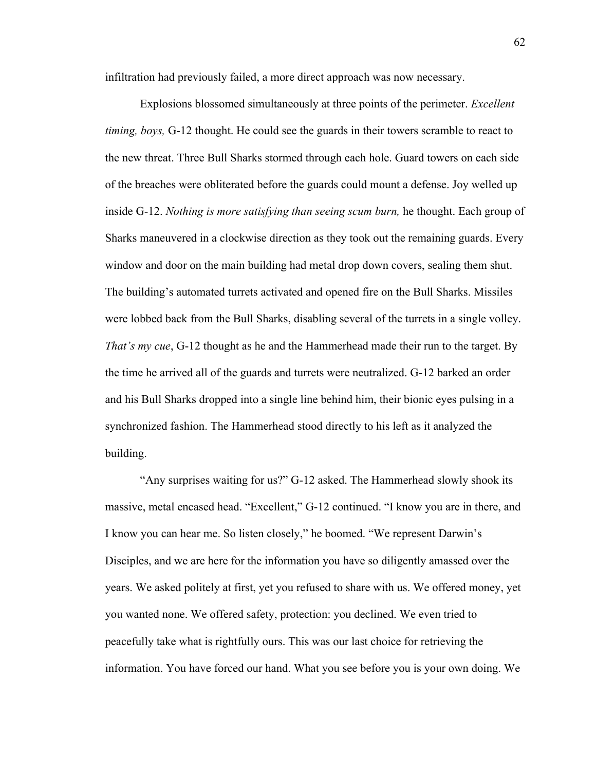infiltration had previously failed, a more direct approach was now necessary.

Explosions blossomed simultaneously at three points of the perimeter. *Excellent timing, boys,* G-12 thought. He could see the guards in their towers scramble to react to the new threat. Three Bull Sharks stormed through each hole. Guard towers on each side of the breaches were obliterated before the guards could mount a defense. Joy welled up inside G-12. *Nothing is more satisfying than seeing scum burn,* he thought. Each group of Sharks maneuvered in a clockwise direction as they took out the remaining guards. Every window and door on the main building had metal drop down covers, sealing them shut. The building's automated turrets activated and opened fire on the Bull Sharks. Missiles were lobbed back from the Bull Sharks, disabling several of the turrets in a single volley. *That's my cue*, G-12 thought as he and the Hammerhead made their run to the target. By the time he arrived all of the guards and turrets were neutralized. G-12 barked an order and his Bull Sharks dropped into a single line behind him, their bionic eyes pulsing in a synchronized fashion. The Hammerhead stood directly to his left as it analyzed the building.

"Any surprises waiting for us?" G-12 asked. The Hammerhead slowly shook its massive, metal encased head. "Excellent," G-12 continued. "I know you are in there, and I know you can hear me. So listen closely," he boomed. "We represent Darwin's Disciples, and we are here for the information you have so diligently amassed over the years. We asked politely at first, yet you refused to share with us. We offered money, yet you wanted none. We offered safety, protection: you declined. We even tried to peacefully take what is rightfully ours. This was our last choice for retrieving the information. You have forced our hand. What you see before you is your own doing. We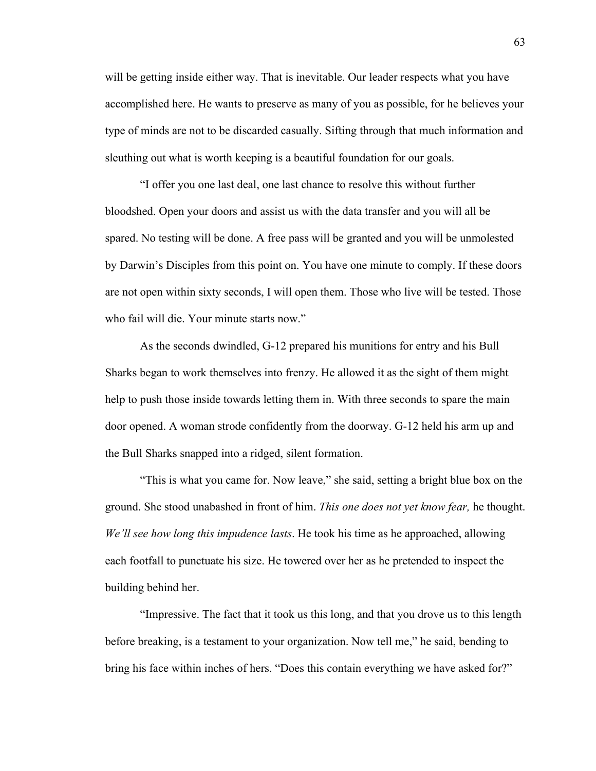will be getting inside either way. That is inevitable. Our leader respects what you have accomplished here. He wants to preserve as many of you as possible, for he believes your type of minds are not to be discarded casually. Sifting through that much information and sleuthing out what is worth keeping is a beautiful foundation for our goals.

"I offer you one last deal, one last chance to resolve this without further bloodshed. Open your doors and assist us with the data transfer and you will all be spared. No testing will be done. A free pass will be granted and you will be unmolested by Darwin's Disciples from this point on. You have one minute to comply. If these doors are not open within sixty seconds, I will open them. Those who live will be tested. Those who fail will die. Your minute starts now."

As the seconds dwindled, G-12 prepared his munitions for entry and his Bull Sharks began to work themselves into frenzy. He allowed it as the sight of them might help to push those inside towards letting them in. With three seconds to spare the main door opened. A woman strode confidently from the doorway. G-12 held his arm up and the Bull Sharks snapped into a ridged, silent formation.

"This is what you came for. Now leave," she said, setting a bright blue box on the ground. She stood unabashed in front of him. *This one does not yet know fear,* he thought. *We'll see how long this impudence lasts*. He took his time as he approached, allowing each footfall to punctuate his size. He towered over her as he pretended to inspect the building behind her.

"Impressive. The fact that it took us this long, and that you drove us to this length before breaking, is a testament to your organization. Now tell me," he said, bending to bring his face within inches of hers. "Does this contain everything we have asked for?"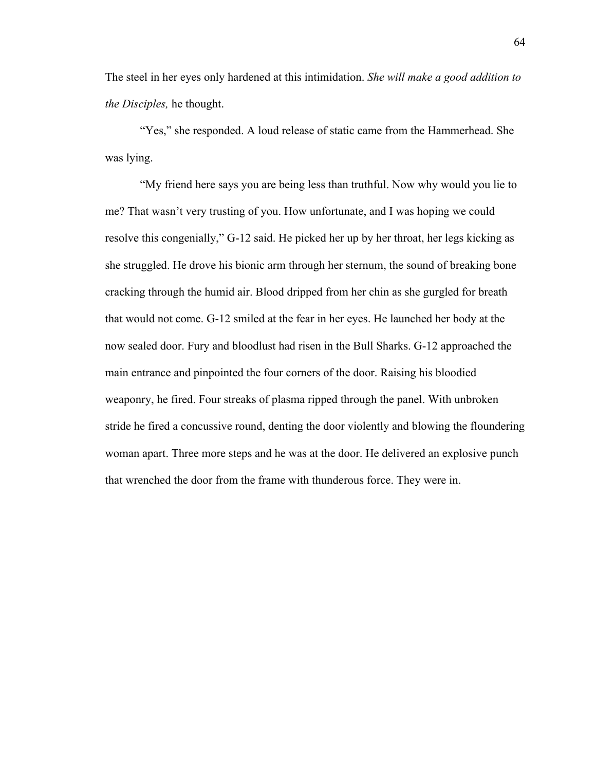The steel in her eyes only hardened at this intimidation. *She will make a good addition to the Disciples,* he thought.

"Yes," she responded. A loud release of static came from the Hammerhead. She was lying.

"My friend here says you are being less than truthful. Now why would you lie to me? That wasn't very trusting of you. How unfortunate, and I was hoping we could resolve this congenially," G-12 said. He picked her up by her throat, her legs kicking as she struggled. He drove his bionic arm through her sternum, the sound of breaking bone cracking through the humid air. Blood dripped from her chin as she gurgled for breath that would not come. G-12 smiled at the fear in her eyes. He launched her body at the now sealed door. Fury and bloodlust had risen in the Bull Sharks. G-12 approached the main entrance and pinpointed the four corners of the door. Raising his bloodied weaponry, he fired. Four streaks of plasma ripped through the panel. With unbroken stride he fired a concussive round, denting the door violently and blowing the floundering woman apart. Three more steps and he was at the door. He delivered an explosive punch that wrenched the door from the frame with thunderous force. They were in.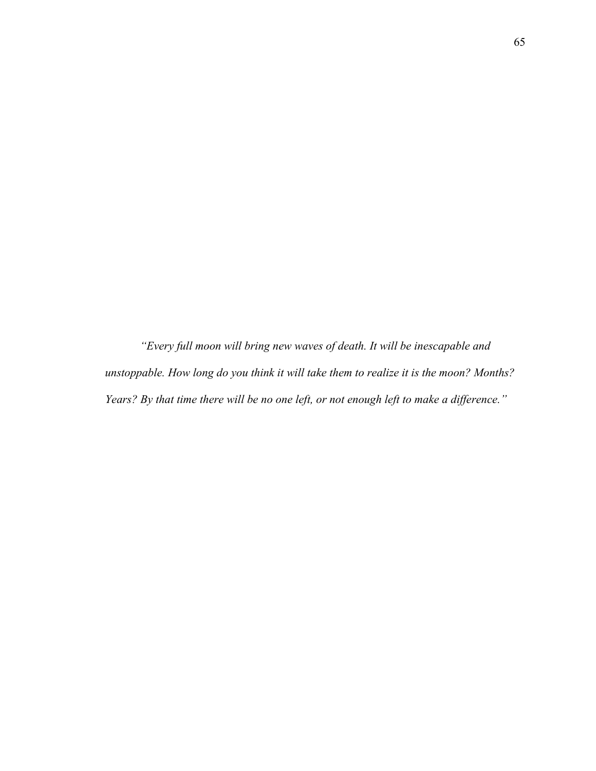*"Every full moon will bring new waves of death. It will be inescapable and unstoppable. How long do you think it will take them to realize it is the moon? Months? Years? By that time there will be no one left, or not enough left to make a difference."*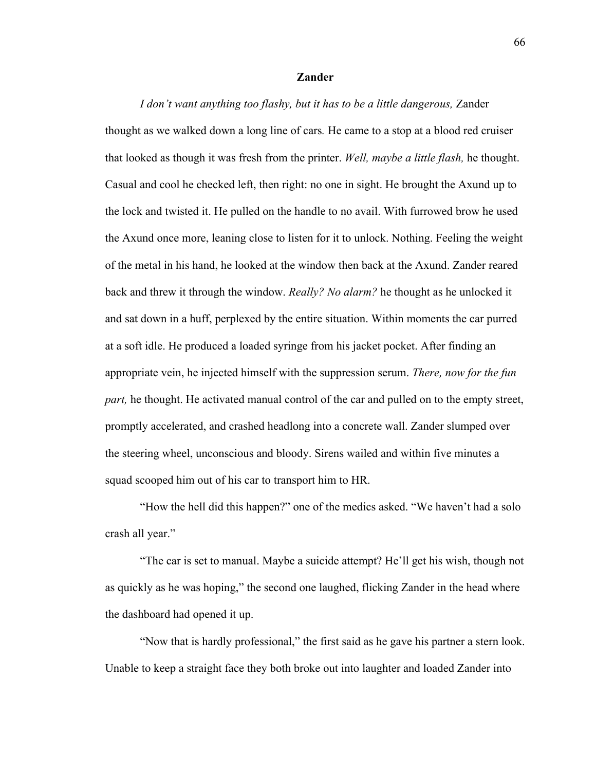# **Zander**

*I don't want anything too flashy, but it has to be a little dangerous,* Zander thought as we walked down a long line of cars*.* He came to a stop at a blood red cruiser that looked as though it was fresh from the printer. *Well, maybe a little flash,* he thought. Casual and cool he checked left, then right: no one in sight. He brought the Axund up to the lock and twisted it. He pulled on the handle to no avail. With furrowed brow he used the Axund once more, leaning close to listen for it to unlock. Nothing. Feeling the weight of the metal in his hand, he looked at the window then back at the Axund. Zander reared back and threw it through the window. *Really? No alarm?* he thought as he unlocked it and sat down in a huff, perplexed by the entire situation. Within moments the car purred at a soft idle. He produced a loaded syringe from his jacket pocket. After finding an appropriate vein, he injected himself with the suppression serum. *There, now for the fun part*, he thought. He activated manual control of the car and pulled on to the empty street, promptly accelerated, and crashed headlong into a concrete wall. Zander slumped over the steering wheel, unconscious and bloody. Sirens wailed and within five minutes a squad scooped him out of his car to transport him to HR.

"How the hell did this happen?" one of the medics asked. "We haven't had a solo crash all year."

"The car is set to manual. Maybe a suicide attempt? He'll get his wish, though not as quickly as he was hoping," the second one laughed, flicking Zander in the head where the dashboard had opened it up.

"Now that is hardly professional," the first said as he gave his partner a stern look. Unable to keep a straight face they both broke out into laughter and loaded Zander into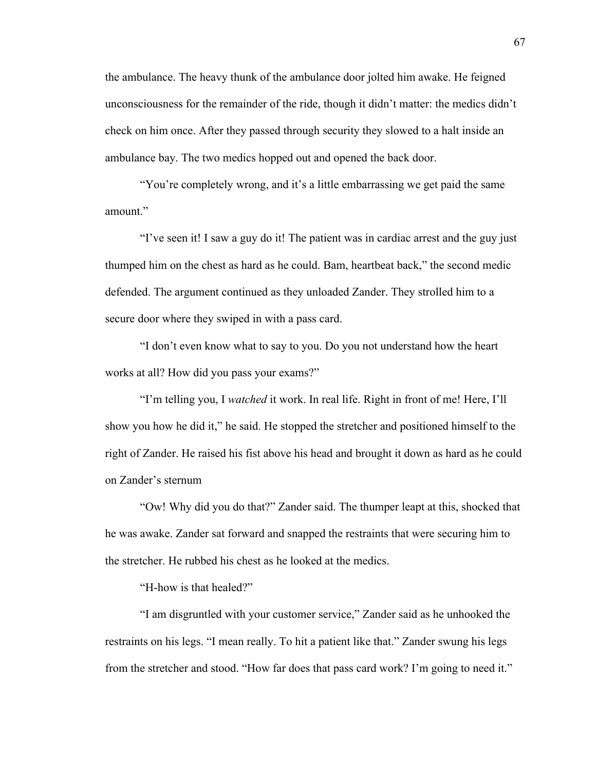the ambulance. The heavy thunk of the ambulance door jolted him awake. He feigned unconsciousness for the remainder of the ride, though it didn't matter: the medics didn't check on him once. After they passed through security they slowed to a halt inside an ambulance bay. The two medics hopped out and opened the back door.

"You're completely wrong, and it's a little embarrassing we get paid the same amount."

"I've seen it! I saw a guy do it! The patient was in cardiac arrest and the guy just thumped him on the chest as hard as he could. Bam, heartbeat back," the second medic defended. The argument continued as they unloaded Zander. They strolled him to a secure door where they swiped in with a pass card.

"I don't even know what to say to you. Do you not understand how the heart works at all? How did you pass your exams?"

"I'm telling you, I *watched* it work. In real life. Right in front of me! Here, I'll show you how he did it," he said. He stopped the stretcher and positioned himself to the right of Zander. He raised his fist above his head and brought it down as hard as he could on Zander's sternum

"Ow! Why did you do that?" Zander said. The thumper leapt at this, shocked that he was awake. Zander sat forward and snapped the restraints that were securing him to the stretcher. He rubbed his chest as he looked at the medics.

"H-how is that healed?"

"I am disgruntled with your customer service," Zander said as he unhooked the restraints on his legs. "I mean really. To hit a patient like that." Zander swung his legs from the stretcher and stood. "How far does that pass card work? I'm going to need it."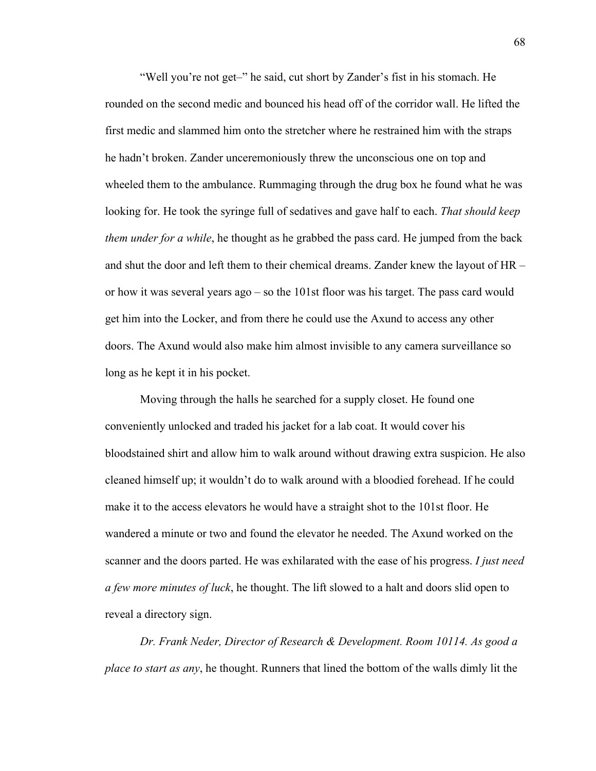"Well you're not get–" he said, cut short by Zander's fist in his stomach. He rounded on the second medic and bounced his head off of the corridor wall. He lifted the first medic and slammed him onto the stretcher where he restrained him with the straps he hadn't broken. Zander unceremoniously threw the unconscious one on top and wheeled them to the ambulance. Rummaging through the drug box he found what he was looking for. He took the syringe full of sedatives and gave half to each. *That should keep them under for a while*, he thought as he grabbed the pass card. He jumped from the back and shut the door and left them to their chemical dreams. Zander knew the layout of HR – or how it was several years ago – so the 101st floor was his target. The pass card would get him into the Locker, and from there he could use the Axund to access any other doors. The Axund would also make him almost invisible to any camera surveillance so long as he kept it in his pocket.

Moving through the halls he searched for a supply closet. He found one conveniently unlocked and traded his jacket for a lab coat. It would cover his bloodstained shirt and allow him to walk around without drawing extra suspicion. He also cleaned himself up; it wouldn't do to walk around with a bloodied forehead. If he could make it to the access elevators he would have a straight shot to the 101st floor. He wandered a minute or two and found the elevator he needed. The Axund worked on the scanner and the doors parted. He was exhilarated with the ease of his progress. *I just need a few more minutes of luck*, he thought. The lift slowed to a halt and doors slid open to reveal a directory sign.

*Dr. Frank Neder, Director of Research & Development. Room 10114. As good a place to start as any*, he thought. Runners that lined the bottom of the walls dimly lit the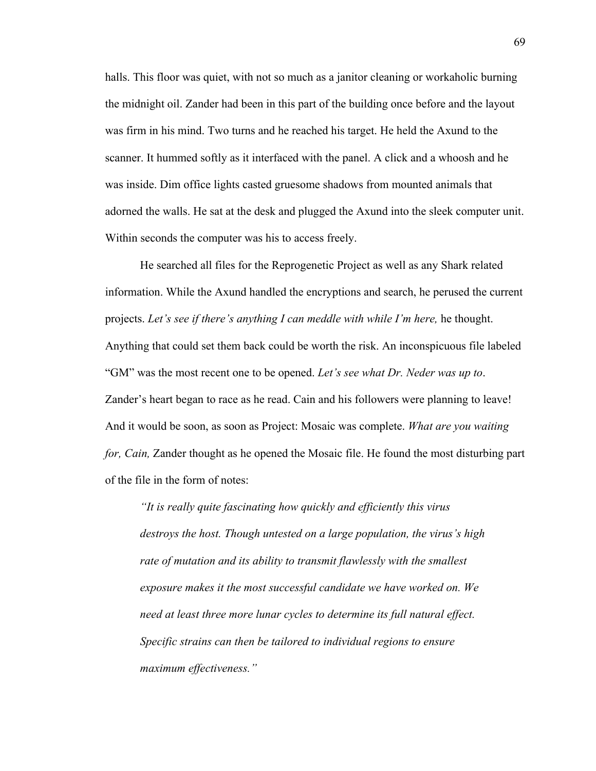halls. This floor was quiet, with not so much as a janitor cleaning or workaholic burning the midnight oil. Zander had been in this part of the building once before and the layout was firm in his mind. Two turns and he reached his target. He held the Axund to the scanner. It hummed softly as it interfaced with the panel. A click and a whoosh and he was inside. Dim office lights casted gruesome shadows from mounted animals that adorned the walls. He sat at the desk and plugged the Axund into the sleek computer unit. Within seconds the computer was his to access freely.

He searched all files for the Reprogenetic Project as well as any Shark related information. While the Axund handled the encryptions and search, he perused the current projects. *Let's see if there's anything I can meddle with while I'm here,* he thought. Anything that could set them back could be worth the risk. An inconspicuous file labeled "GM" was the most recent one to be opened. *Let's see what Dr. Neder was up to*. Zander's heart began to race as he read. Cain and his followers were planning to leave! And it would be soon, as soon as Project: Mosaic was complete. *What are you waiting for, Cain,* Zander thought as he opened the Mosaic file. He found the most disturbing part of the file in the form of notes:

*"It is really quite fascinating how quickly and efficiently this virus destroys the host. Though untested on a large population, the virus's high rate of mutation and its ability to transmit flawlessly with the smallest exposure makes it the most successful candidate we have worked on. We need at least three more lunar cycles to determine its full natural effect. Specific strains can then be tailored to individual regions to ensure maximum effectiveness."*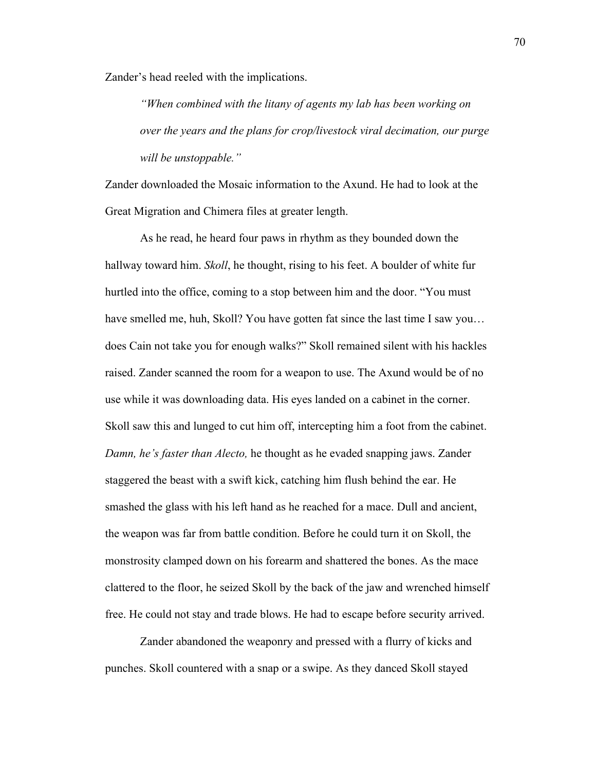Zander's head reeled with the implications.

*"When combined with the litany of agents my lab has been working on over the years and the plans for crop/livestock viral decimation, our purge will be unstoppable."* 

Zander downloaded the Mosaic information to the Axund. He had to look at the Great Migration and Chimera files at greater length.

As he read, he heard four paws in rhythm as they bounded down the hallway toward him. *Skoll*, he thought, rising to his feet. A boulder of white fur hurtled into the office, coming to a stop between him and the door. "You must have smelled me, huh, Skoll? You have gotten fat since the last time I saw you... does Cain not take you for enough walks?" Skoll remained silent with his hackles raised. Zander scanned the room for a weapon to use. The Axund would be of no use while it was downloading data. His eyes landed on a cabinet in the corner. Skoll saw this and lunged to cut him off, intercepting him a foot from the cabinet. *Damn, he's faster than Alecto,* he thought as he evaded snapping jaws. Zander staggered the beast with a swift kick, catching him flush behind the ear. He smashed the glass with his left hand as he reached for a mace. Dull and ancient, the weapon was far from battle condition. Before he could turn it on Skoll, the monstrosity clamped down on his forearm and shattered the bones. As the mace clattered to the floor, he seized Skoll by the back of the jaw and wrenched himself free. He could not stay and trade blows. He had to escape before security arrived.

Zander abandoned the weaponry and pressed with a flurry of kicks and punches. Skoll countered with a snap or a swipe. As they danced Skoll stayed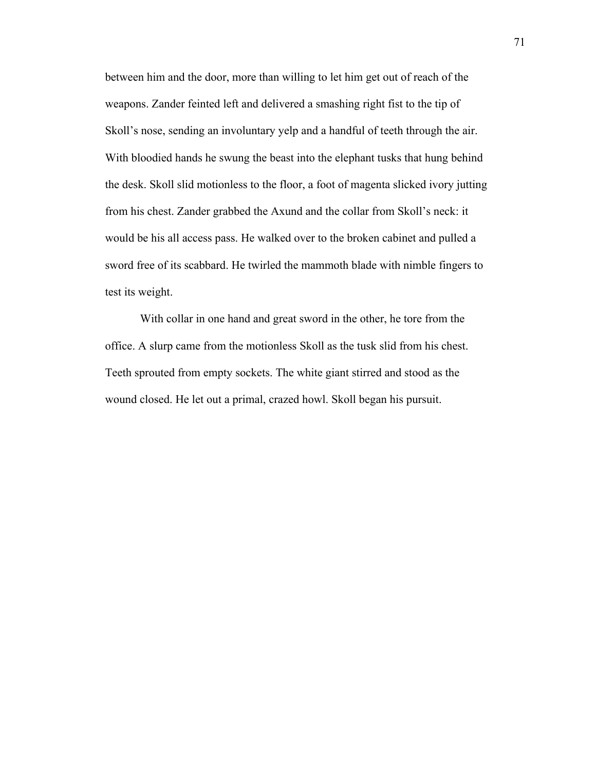between him and the door, more than willing to let him get out of reach of the weapons. Zander feinted left and delivered a smashing right fist to the tip of Skoll's nose, sending an involuntary yelp and a handful of teeth through the air. With bloodied hands he swung the beast into the elephant tusks that hung behind the desk. Skoll slid motionless to the floor, a foot of magenta slicked ivory jutting from his chest. Zander grabbed the Axund and the collar from Skoll's neck: it would be his all access pass. He walked over to the broken cabinet and pulled a sword free of its scabbard. He twirled the mammoth blade with nimble fingers to test its weight.

With collar in one hand and great sword in the other, he tore from the office. A slurp came from the motionless Skoll as the tusk slid from his chest. Teeth sprouted from empty sockets. The white giant stirred and stood as the wound closed. He let out a primal, crazed howl. Skoll began his pursuit.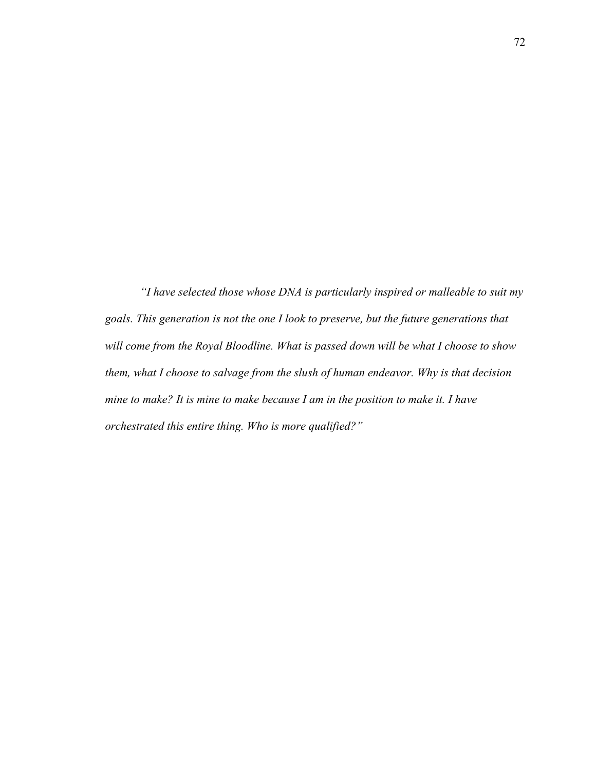*"I have selected those whose DNA is particularly inspired or malleable to suit my goals. This generation is not the one I look to preserve, but the future generations that will come from the Royal Bloodline. What is passed down will be what I choose to show them, what I choose to salvage from the slush of human endeavor. Why is that decision mine to make? It is mine to make because I am in the position to make it. I have orchestrated this entire thing. Who is more qualified?"*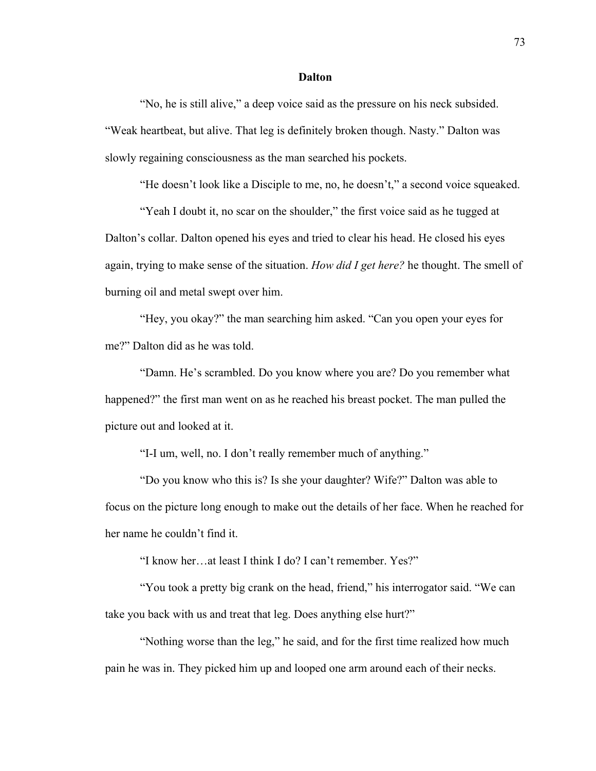#### **Dalton**

"No, he is still alive," a deep voice said as the pressure on his neck subsided. "Weak heartbeat, but alive. That leg is definitely broken though. Nasty." Dalton was slowly regaining consciousness as the man searched his pockets.

"He doesn't look like a Disciple to me, no, he doesn't," a second voice squeaked.

"Yeah I doubt it, no scar on the shoulder," the first voice said as he tugged at Dalton's collar. Dalton opened his eyes and tried to clear his head. He closed his eyes again, trying to make sense of the situation. *How did I get here?* he thought. The smell of burning oil and metal swept over him.

"Hey, you okay?" the man searching him asked. "Can you open your eyes for me?" Dalton did as he was told.

"Damn. He's scrambled. Do you know where you are? Do you remember what happened?" the first man went on as he reached his breast pocket. The man pulled the picture out and looked at it.

"I-I um, well, no. I don't really remember much of anything."

"Do you know who this is? Is she your daughter? Wife?" Dalton was able to focus on the picture long enough to make out the details of her face. When he reached for her name he couldn't find it.

"I know her…at least I think I do? I can't remember. Yes?"

"You took a pretty big crank on the head, friend," his interrogator said. "We can take you back with us and treat that leg. Does anything else hurt?"

"Nothing worse than the leg," he said, and for the first time realized how much pain he was in. They picked him up and looped one arm around each of their necks.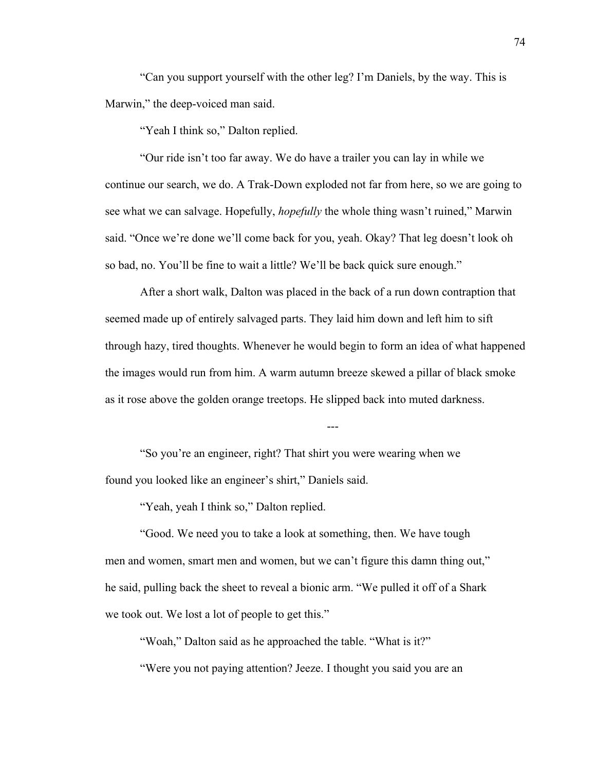"Can you support yourself with the other leg? I'm Daniels, by the way. This is Marwin," the deep-voiced man said.

"Yeah I think so," Dalton replied.

"Our ride isn't too far away. We do have a trailer you can lay in while we continue our search, we do. A Trak-Down exploded not far from here, so we are going to see what we can salvage. Hopefully, *hopefully* the whole thing wasn't ruined," Marwin said. "Once we're done we'll come back for you, yeah. Okay? That leg doesn't look oh so bad, no. You'll be fine to wait a little? We'll be back quick sure enough."

After a short walk, Dalton was placed in the back of a run down contraption that seemed made up of entirely salvaged parts. They laid him down and left him to sift through hazy, tired thoughts. Whenever he would begin to form an idea of what happened the images would run from him. A warm autumn breeze skewed a pillar of black smoke as it rose above the golden orange treetops. He slipped back into muted darkness.

---

"So you're an engineer, right? That shirt you were wearing when we found you looked like an engineer's shirt," Daniels said.

"Yeah, yeah I think so," Dalton replied.

"Good. We need you to take a look at something, then. We have tough men and women, smart men and women, but we can't figure this damn thing out," he said, pulling back the sheet to reveal a bionic arm. "We pulled it off of a Shark we took out. We lost a lot of people to get this."

"Woah," Dalton said as he approached the table. "What is it?"

"Were you not paying attention? Jeeze. I thought you said you are an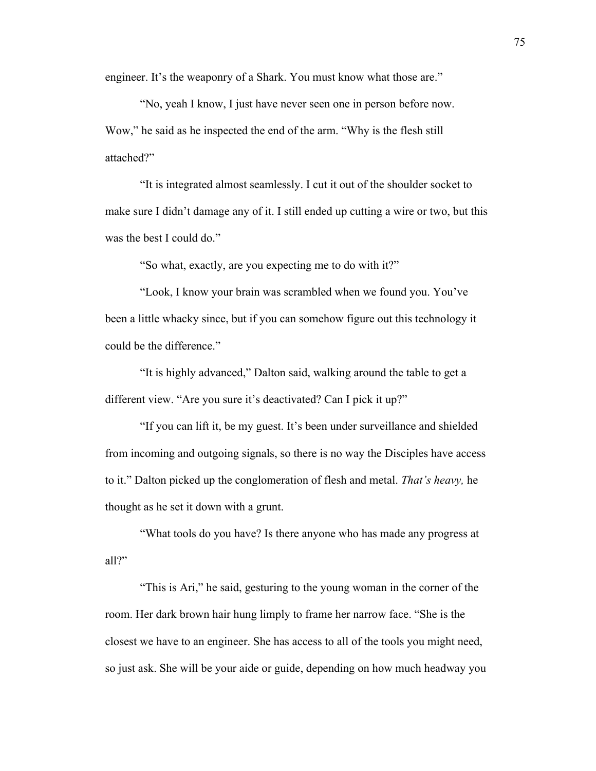engineer. It's the weaponry of a Shark. You must know what those are."

"No, yeah I know, I just have never seen one in person before now. Wow," he said as he inspected the end of the arm. "Why is the flesh still attached?"

"It is integrated almost seamlessly. I cut it out of the shoulder socket to make sure I didn't damage any of it. I still ended up cutting a wire or two, but this was the best I could do."

"So what, exactly, are you expecting me to do with it?"

"Look, I know your brain was scrambled when we found you. You've been a little whacky since, but if you can somehow figure out this technology it could be the difference."

"It is highly advanced," Dalton said, walking around the table to get a different view. "Are you sure it's deactivated? Can I pick it up?"

"If you can lift it, be my guest. It's been under surveillance and shielded from incoming and outgoing signals, so there is no way the Disciples have access to it." Dalton picked up the conglomeration of flesh and metal. *That's heavy,* he thought as he set it down with a grunt.

"What tools do you have? Is there anyone who has made any progress at all?"

"This is Ari," he said, gesturing to the young woman in the corner of the room. Her dark brown hair hung limply to frame her narrow face. "She is the closest we have to an engineer. She has access to all of the tools you might need, so just ask. She will be your aide or guide, depending on how much headway you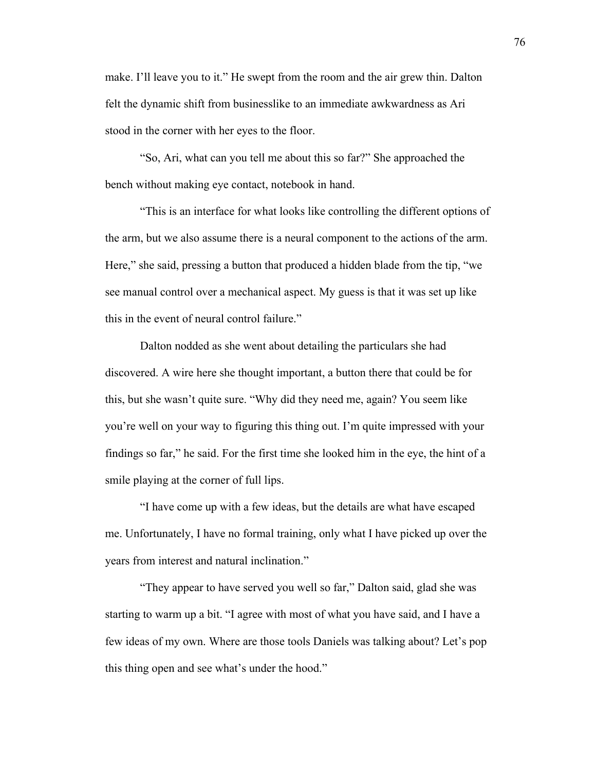make. I'll leave you to it." He swept from the room and the air grew thin. Dalton felt the dynamic shift from businesslike to an immediate awkwardness as Ari stood in the corner with her eyes to the floor.

"So, Ari, what can you tell me about this so far?" She approached the bench without making eye contact, notebook in hand.

"This is an interface for what looks like controlling the different options of the arm, but we also assume there is a neural component to the actions of the arm. Here," she said, pressing a button that produced a hidden blade from the tip, "we see manual control over a mechanical aspect. My guess is that it was set up like this in the event of neural control failure."

Dalton nodded as she went about detailing the particulars she had discovered. A wire here she thought important, a button there that could be for this, but she wasn't quite sure. "Why did they need me, again? You seem like you're well on your way to figuring this thing out. I'm quite impressed with your findings so far," he said. For the first time she looked him in the eye, the hint of a smile playing at the corner of full lips.

"I have come up with a few ideas, but the details are what have escaped me. Unfortunately, I have no formal training, only what I have picked up over the years from interest and natural inclination."

"They appear to have served you well so far," Dalton said, glad she was starting to warm up a bit. "I agree with most of what you have said, and I have a few ideas of my own. Where are those tools Daniels was talking about? Let's pop this thing open and see what's under the hood."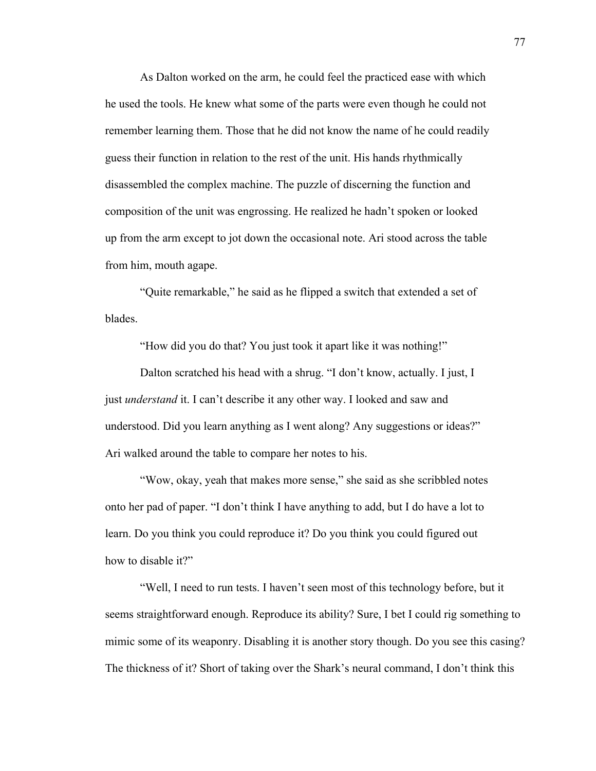As Dalton worked on the arm, he could feel the practiced ease with which he used the tools. He knew what some of the parts were even though he could not remember learning them. Those that he did not know the name of he could readily guess their function in relation to the rest of the unit. His hands rhythmically disassembled the complex machine. The puzzle of discerning the function and composition of the unit was engrossing. He realized he hadn't spoken or looked up from the arm except to jot down the occasional note. Ari stood across the table from him, mouth agape.

"Quite remarkable," he said as he flipped a switch that extended a set of blades.

"How did you do that? You just took it apart like it was nothing!"

Dalton scratched his head with a shrug. "I don't know, actually. I just, I just *understand* it. I can't describe it any other way. I looked and saw and understood. Did you learn anything as I went along? Any suggestions or ideas?" Ari walked around the table to compare her notes to his.

"Wow, okay, yeah that makes more sense," she said as she scribbled notes onto her pad of paper. "I don't think I have anything to add, but I do have a lot to learn. Do you think you could reproduce it? Do you think you could figured out how to disable it?"

"Well, I need to run tests. I haven't seen most of this technology before, but it seems straightforward enough. Reproduce its ability? Sure, I bet I could rig something to mimic some of its weaponry. Disabling it is another story though. Do you see this casing? The thickness of it? Short of taking over the Shark's neural command, I don't think this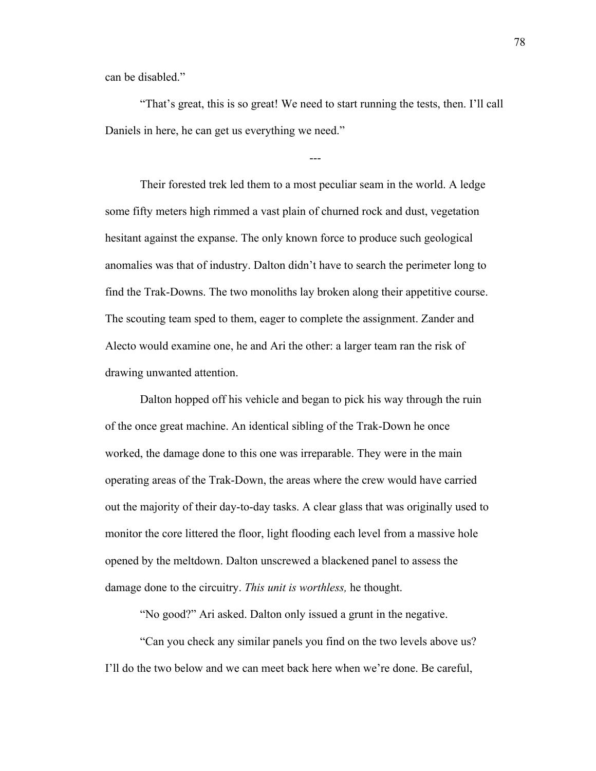can be disabled."

"That's great, this is so great! We need to start running the tests, then. I'll call Daniels in here, he can get us everything we need."

---

Their forested trek led them to a most peculiar seam in the world. A ledge some fifty meters high rimmed a vast plain of churned rock and dust, vegetation hesitant against the expanse. The only known force to produce such geological anomalies was that of industry. Dalton didn't have to search the perimeter long to find the Trak-Downs. The two monoliths lay broken along their appetitive course. The scouting team sped to them, eager to complete the assignment. Zander and Alecto would examine one, he and Ari the other: a larger team ran the risk of drawing unwanted attention.

Dalton hopped off his vehicle and began to pick his way through the ruin of the once great machine. An identical sibling of the Trak-Down he once worked, the damage done to this one was irreparable. They were in the main operating areas of the Trak-Down, the areas where the crew would have carried out the majority of their day-to-day tasks. A clear glass that was originally used to monitor the core littered the floor, light flooding each level from a massive hole opened by the meltdown. Dalton unscrewed a blackened panel to assess the damage done to the circuitry. *This unit is worthless,* he thought.

"No good?" Ari asked. Dalton only issued a grunt in the negative.

"Can you check any similar panels you find on the two levels above us? I'll do the two below and we can meet back here when we're done. Be careful,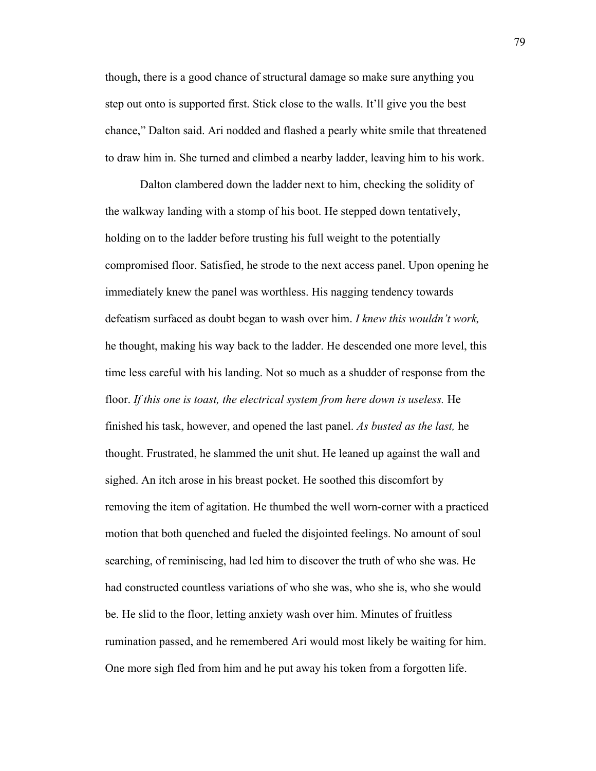though, there is a good chance of structural damage so make sure anything you step out onto is supported first. Stick close to the walls. It'll give you the best chance," Dalton said. Ari nodded and flashed a pearly white smile that threatened to draw him in. She turned and climbed a nearby ladder, leaving him to his work.

Dalton clambered down the ladder next to him, checking the solidity of the walkway landing with a stomp of his boot. He stepped down tentatively, holding on to the ladder before trusting his full weight to the potentially compromised floor. Satisfied, he strode to the next access panel. Upon opening he immediately knew the panel was worthless. His nagging tendency towards defeatism surfaced as doubt began to wash over him. *I knew this wouldn't work,* he thought, making his way back to the ladder. He descended one more level, this time less careful with his landing. Not so much as a shudder of response from the floor. *If this one is toast, the electrical system from here down is useless.* He finished his task, however, and opened the last panel. *As busted as the last,* he thought. Frustrated, he slammed the unit shut. He leaned up against the wall and sighed. An itch arose in his breast pocket. He soothed this discomfort by removing the item of agitation. He thumbed the well worn-corner with a practiced motion that both quenched and fueled the disjointed feelings. No amount of soul searching, of reminiscing, had led him to discover the truth of who she was. He had constructed countless variations of who she was, who she is, who she would be. He slid to the floor, letting anxiety wash over him. Minutes of fruitless rumination passed, and he remembered Ari would most likely be waiting for him. One more sigh fled from him and he put away his token from a forgotten life.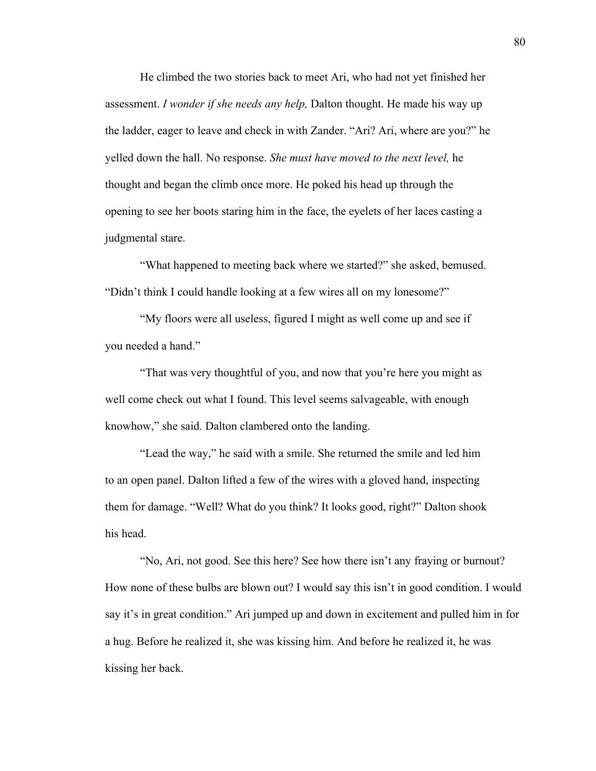He climbed the two stories back to meet Ari, who had not yet finished her assessment. *I wonder if she needs any help,* Dalton thought. He made his way up the ladder, eager to leave and check in with Zander. "Ari? Ari, where are you?" he yelled down the hall. No response. *She must have moved to the next level,* he thought and began the climb once more. He poked his head up through the opening to see her boots staring him in the face, the eyelets of her laces casting a judgmental stare.

"What happened to meeting back where we started?" she asked, bemused. "Didn't think I could handle looking at a few wires all on my lonesome?"

"My floors were all useless, figured I might as well come up and see if you needed a hand."

"That was very thoughtful of you, and now that you're here you might as well come check out what I found. This level seems salvageable, with enough knowhow," she said. Dalton clambered onto the landing.

"Lead the way," he said with a smile. She returned the smile and led him to an open panel. Dalton lifted a few of the wires with a gloved hand, inspecting them for damage. "Well? What do you think? It looks good, right?" Dalton shook his head.

"No, Ari, not good. See this here? See how there isn't any fraying or burnout? How none of these bulbs are blown out? I would say this isn't in good condition. I would say it's in great condition." Ari jumped up and down in excitement and pulled him in for a hug. Before he realized it, she was kissing him. And before he realized it, he was kissing her back.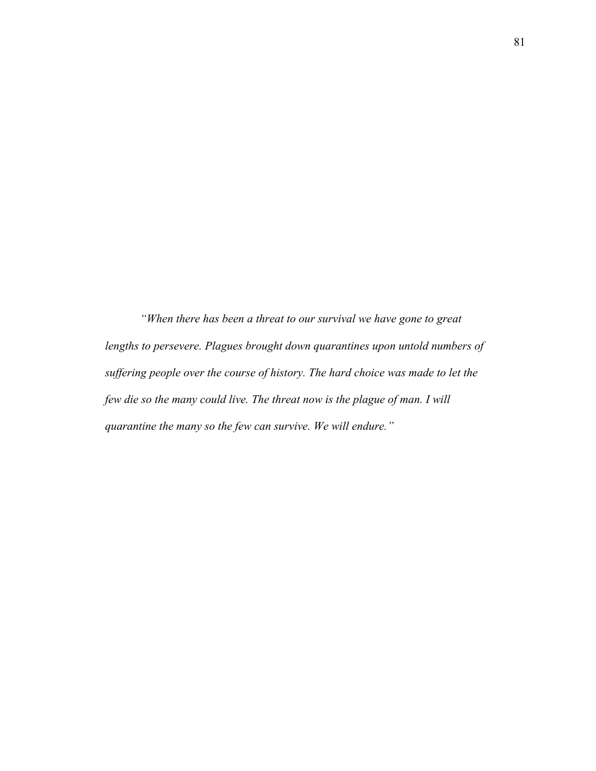*"When there has been a threat to our survival we have gone to great lengths to persevere. Plagues brought down quarantines upon untold numbers of suffering people over the course of history. The hard choice was made to let the few die so the many could live. The threat now is the plague of man. I will quarantine the many so the few can survive. We will endure."*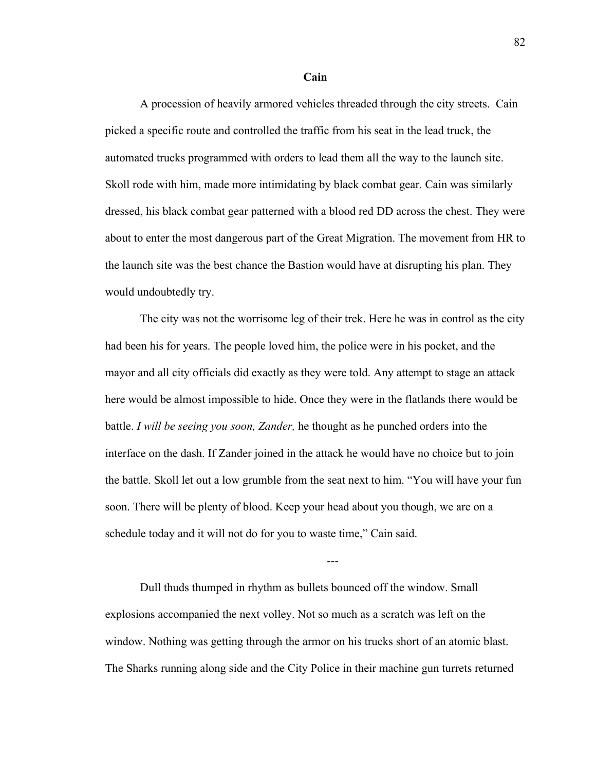#### **Cain**

A procession of heavily armored vehicles threaded through the city streets. Cain picked a specific route and controlled the traffic from his seat in the lead truck, the automated trucks programmed with orders to lead them all the way to the launch site. Skoll rode with him, made more intimidating by black combat gear. Cain was similarly dressed, his black combat gear patterned with a blood red DD across the chest. They were about to enter the most dangerous part of the Great Migration. The movement from HR to the launch site was the best chance the Bastion would have at disrupting his plan. They would undoubtedly try.

The city was not the worrisome leg of their trek. Here he was in control as the city had been his for years. The people loved him, the police were in his pocket, and the mayor and all city officials did exactly as they were told. Any attempt to stage an attack here would be almost impossible to hide. Once they were in the flatlands there would be battle. *I will be seeing you soon, Zander,* he thought as he punched orders into the interface on the dash. If Zander joined in the attack he would have no choice but to join the battle. Skoll let out a low grumble from the seat next to him. "You will have your fun soon. There will be plenty of blood. Keep your head about you though, we are on a schedule today and it will not do for you to waste time," Cain said.

Dull thuds thumped in rhythm as bullets bounced off the window. Small explosions accompanied the next volley. Not so much as a scratch was left on the window. Nothing was getting through the armor on his trucks short of an atomic blast. The Sharks running along side and the City Police in their machine gun turrets returned

---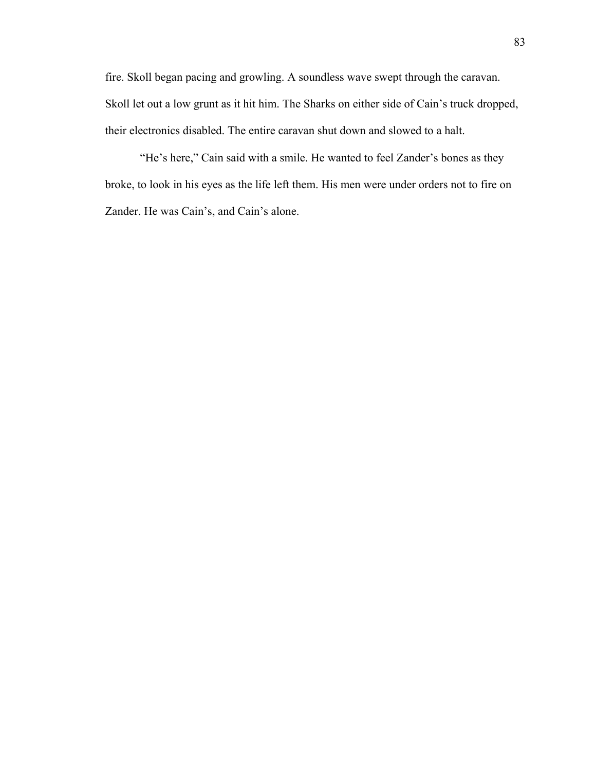fire. Skoll began pacing and growling. A soundless wave swept through the caravan. Skoll let out a low grunt as it hit him. The Sharks on either side of Cain's truck dropped, their electronics disabled. The entire caravan shut down and slowed to a halt.

"He's here," Cain said with a smile. He wanted to feel Zander's bones as they broke, to look in his eyes as the life left them. His men were under orders not to fire on Zander. He was Cain's, and Cain's alone.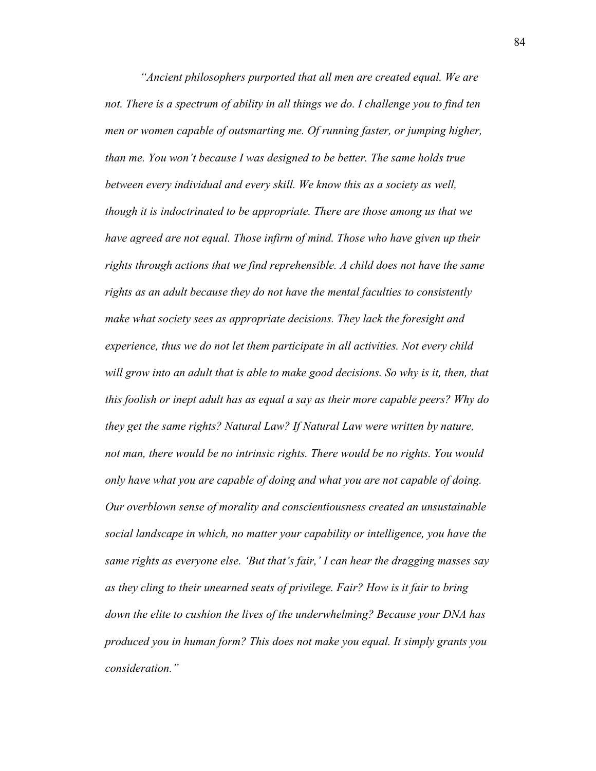*"Ancient philosophers purported that all men are created equal. We are not. There is a spectrum of ability in all things we do. I challenge you to find ten men or women capable of outsmarting me. Of running faster, or jumping higher, than me. You won't because I was designed to be better. The same holds true between every individual and every skill. We know this as a society as well, though it is indoctrinated to be appropriate. There are those among us that we have agreed are not equal. Those infirm of mind. Those who have given up their rights through actions that we find reprehensible. A child does not have the same rights as an adult because they do not have the mental faculties to consistently make what society sees as appropriate decisions. They lack the foresight and experience, thus we do not let them participate in all activities. Not every child*  will grow into an adult that is able to make good decisions. So why is it, then, that *this foolish or inept adult has as equal a say as their more capable peers? Why do they get the same rights? Natural Law? If Natural Law were written by nature, not man, there would be no intrinsic rights. There would be no rights. You would only have what you are capable of doing and what you are not capable of doing. Our overblown sense of morality and conscientiousness created an unsustainable social landscape in which, no matter your capability or intelligence, you have the same rights as everyone else. 'But that's fair,' I can hear the dragging masses say as they cling to their unearned seats of privilege. Fair? How is it fair to bring down the elite to cushion the lives of the underwhelming? Because your DNA has produced you in human form? This does not make you equal. It simply grants you consideration."*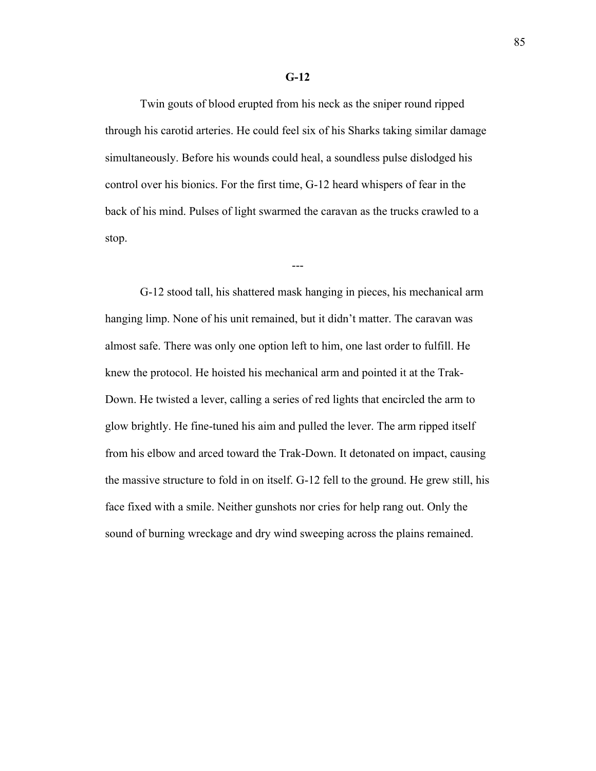## **G-12**

Twin gouts of blood erupted from his neck as the sniper round ripped through his carotid arteries. He could feel six of his Sharks taking similar damage simultaneously. Before his wounds could heal, a soundless pulse dislodged his control over his bionics. For the first time, G-12 heard whispers of fear in the back of his mind. Pulses of light swarmed the caravan as the trucks crawled to a stop.

---

G-12 stood tall, his shattered mask hanging in pieces, his mechanical arm hanging limp. None of his unit remained, but it didn't matter. The caravan was almost safe. There was only one option left to him, one last order to fulfill. He knew the protocol. He hoisted his mechanical arm and pointed it at the Trak-Down. He twisted a lever, calling a series of red lights that encircled the arm to glow brightly. He fine-tuned his aim and pulled the lever. The arm ripped itself from his elbow and arced toward the Trak-Down. It detonated on impact, causing the massive structure to fold in on itself. G-12 fell to the ground. He grew still, his face fixed with a smile. Neither gunshots nor cries for help rang out. Only the sound of burning wreckage and dry wind sweeping across the plains remained.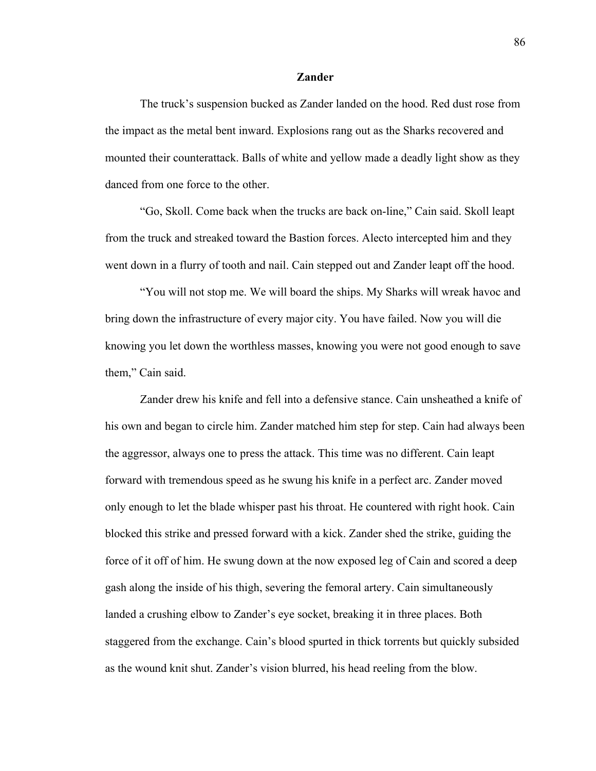### **Zander**

The truck's suspension bucked as Zander landed on the hood. Red dust rose from the impact as the metal bent inward. Explosions rang out as the Sharks recovered and mounted their counterattack. Balls of white and yellow made a deadly light show as they danced from one force to the other.

"Go, Skoll. Come back when the trucks are back on-line," Cain said. Skoll leapt from the truck and streaked toward the Bastion forces. Alecto intercepted him and they went down in a flurry of tooth and nail. Cain stepped out and Zander leapt off the hood.

"You will not stop me. We will board the ships. My Sharks will wreak havoc and bring down the infrastructure of every major city. You have failed. Now you will die knowing you let down the worthless masses, knowing you were not good enough to save them," Cain said.

Zander drew his knife and fell into a defensive stance. Cain unsheathed a knife of his own and began to circle him. Zander matched him step for step. Cain had always been the aggressor, always one to press the attack. This time was no different. Cain leapt forward with tremendous speed as he swung his knife in a perfect arc. Zander moved only enough to let the blade whisper past his throat. He countered with right hook. Cain blocked this strike and pressed forward with a kick. Zander shed the strike, guiding the force of it off of him. He swung down at the now exposed leg of Cain and scored a deep gash along the inside of his thigh, severing the femoral artery. Cain simultaneously landed a crushing elbow to Zander's eye socket, breaking it in three places. Both staggered from the exchange. Cain's blood spurted in thick torrents but quickly subsided as the wound knit shut. Zander's vision blurred, his head reeling from the blow.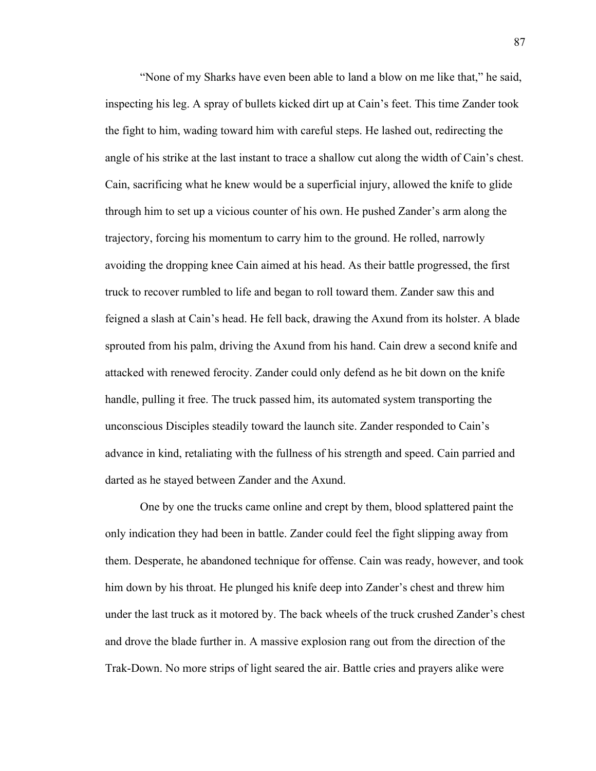"None of my Sharks have even been able to land a blow on me like that," he said, inspecting his leg. A spray of bullets kicked dirt up at Cain's feet. This time Zander took the fight to him, wading toward him with careful steps. He lashed out, redirecting the angle of his strike at the last instant to trace a shallow cut along the width of Cain's chest. Cain, sacrificing what he knew would be a superficial injury, allowed the knife to glide through him to set up a vicious counter of his own. He pushed Zander's arm along the trajectory, forcing his momentum to carry him to the ground. He rolled, narrowly avoiding the dropping knee Cain aimed at his head. As their battle progressed, the first truck to recover rumbled to life and began to roll toward them. Zander saw this and feigned a slash at Cain's head. He fell back, drawing the Axund from its holster. A blade sprouted from his palm, driving the Axund from his hand. Cain drew a second knife and attacked with renewed ferocity. Zander could only defend as he bit down on the knife handle, pulling it free. The truck passed him, its automated system transporting the unconscious Disciples steadily toward the launch site. Zander responded to Cain's advance in kind, retaliating with the fullness of his strength and speed. Cain parried and darted as he stayed between Zander and the Axund.

One by one the trucks came online and crept by them, blood splattered paint the only indication they had been in battle. Zander could feel the fight slipping away from them. Desperate, he abandoned technique for offense. Cain was ready, however, and took him down by his throat. He plunged his knife deep into Zander's chest and threw him under the last truck as it motored by. The back wheels of the truck crushed Zander's chest and drove the blade further in. A massive explosion rang out from the direction of the Trak-Down. No more strips of light seared the air. Battle cries and prayers alike were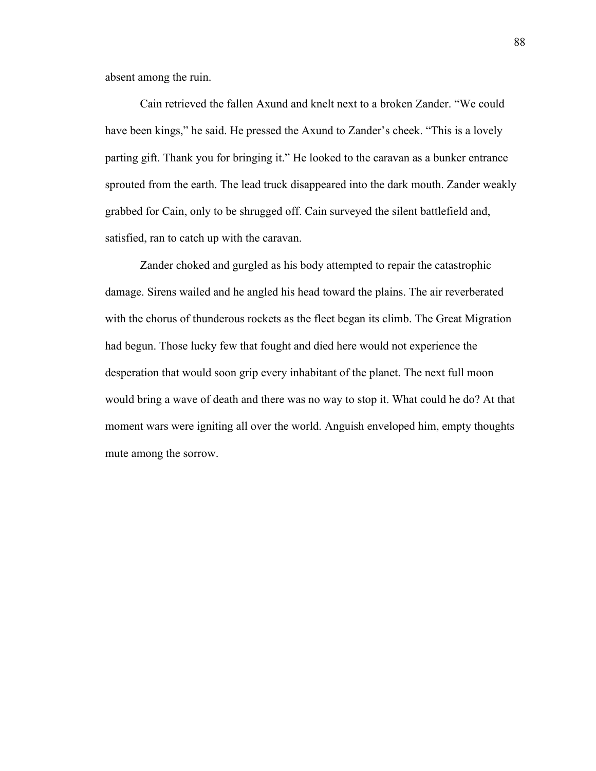absent among the ruin.

Cain retrieved the fallen Axund and knelt next to a broken Zander. "We could have been kings," he said. He pressed the Axund to Zander's cheek. "This is a lovely parting gift. Thank you for bringing it." He looked to the caravan as a bunker entrance sprouted from the earth. The lead truck disappeared into the dark mouth. Zander weakly grabbed for Cain, only to be shrugged off. Cain surveyed the silent battlefield and, satisfied, ran to catch up with the caravan.

Zander choked and gurgled as his body attempted to repair the catastrophic damage. Sirens wailed and he angled his head toward the plains. The air reverberated with the chorus of thunderous rockets as the fleet began its climb. The Great Migration had begun. Those lucky few that fought and died here would not experience the desperation that would soon grip every inhabitant of the planet. The next full moon would bring a wave of death and there was no way to stop it. What could he do? At that moment wars were igniting all over the world. Anguish enveloped him, empty thoughts mute among the sorrow.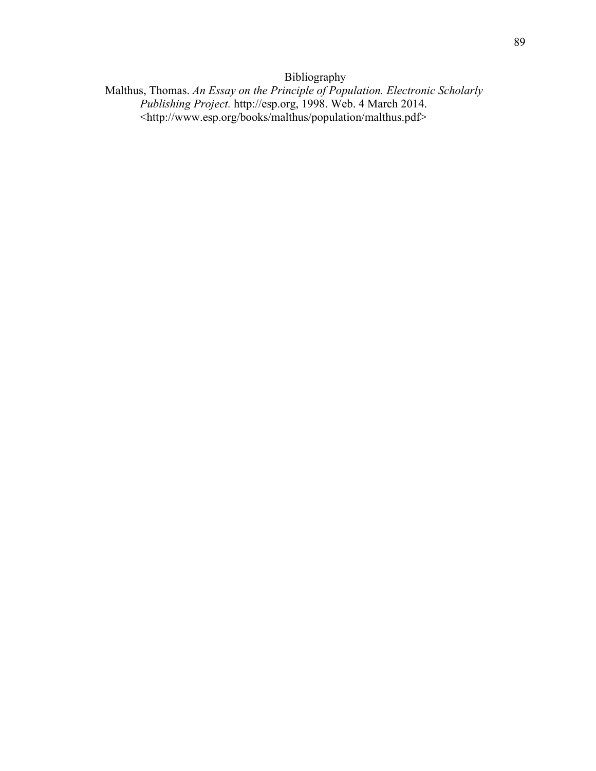Bibliography

Malthus, Thomas. *An Essay on the Principle of Population. Electronic Scholarly Publishing Project.* http://esp.org, 1998. Web. 4 March 2014. <http://www.esp.org/books/malthus/population/malthus.pdf>